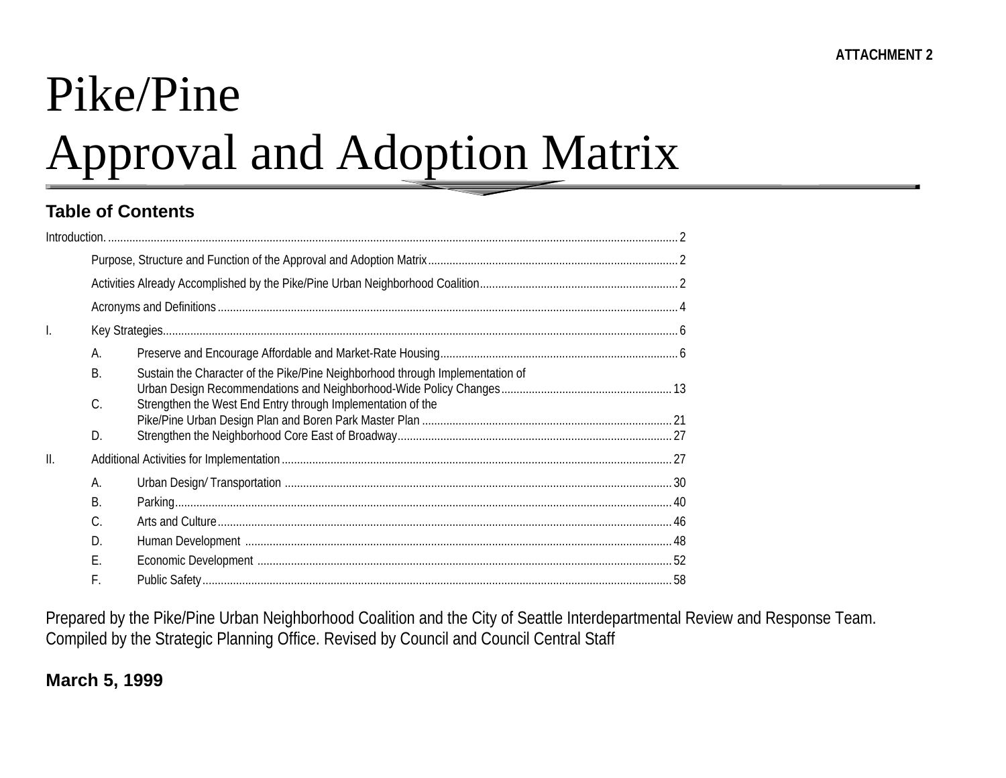# Pike/Pine

# Approval and Adoption Matrix

## **Table of Contents**

| $\mathsf{l}$ .  |          |                                                                               |  |
|-----------------|----------|-------------------------------------------------------------------------------|--|
|                 | А.       |                                                                               |  |
|                 | Β.       | Sustain the Character of the Pike/Pine Neighborhood through Implementation of |  |
|                 | C.<br>D. | Strengthen the West End Entry through Implementation of the                   |  |
| $\mathbf{II}$ . |          |                                                                               |  |
|                 | А.       |                                                                               |  |
|                 | B.       |                                                                               |  |
|                 | C.       |                                                                               |  |
|                 | D.       |                                                                               |  |
|                 | Ε.       |                                                                               |  |
|                 | F.       |                                                                               |  |

Prepared by the Pike/Pine Urban Neighborhood Coalition and the City of Seattle Interdepartmental Review and Response Team. Compiled by the Strategic Planning Office. Revised by Council and Council Central Staff

## **March 5, 1999**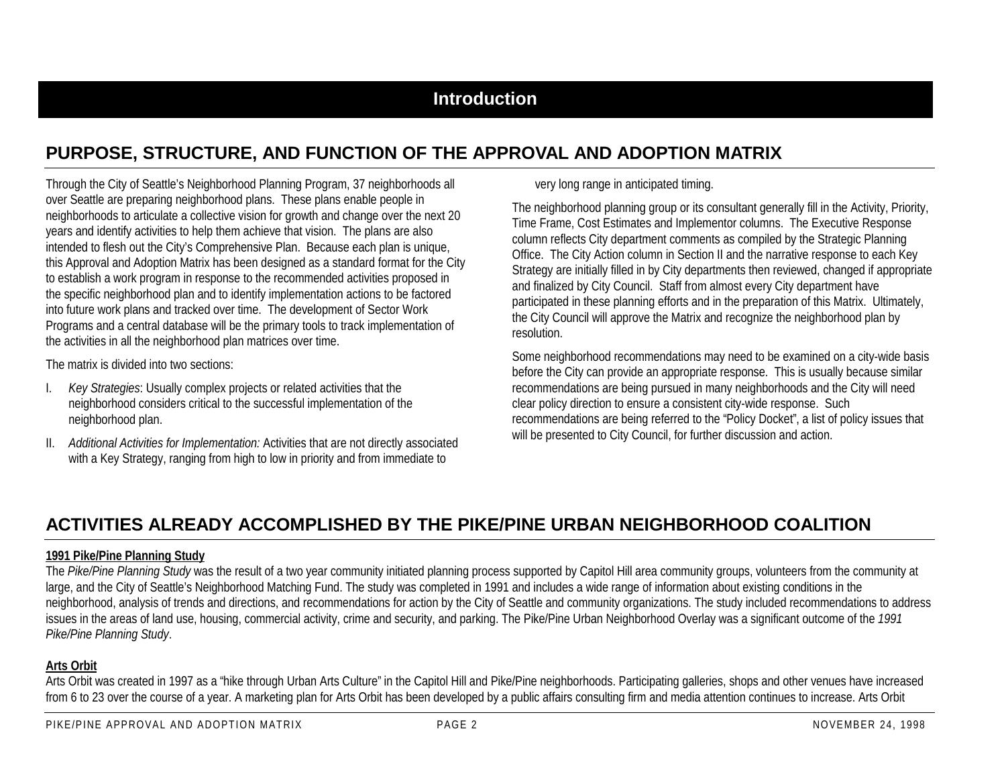## **PURPOSE, STRUCTURE, AND FUNCTION OF THE APPROVAL AND ADOPTION MATRIX**

Through the City of Seattle's Neighborhood Planning Program, 37 neighborhoods all over Seattle are preparing neighborhood plans. These plans enable people in neighborhoods to articulate a collective vision for growth and change over the next 20 years and identify activities to help them achieve that vision. The plans are also intended to flesh out the City's Comprehensive Plan. Because each plan is unique, this Approval and Adoption Matrix has been designed as a standard format for the City to establish a work program in response to the recommended activities proposed in the specific neighborhood plan and to identify implementation actions to be factored into future work plans and tracked over time. The development of Sector Work Programs and a central database will be the primary tools to track implementation of the activities in all the neighborhood plan matrices over time.

The matrix is divided into two sections:

- I. *Key Strategies*: Usually complex projects or related activities that the neighborhood considers critical to the successful implementation of the neighborhood plan.
- II. *Additional Activities for Implementation:* Activities that are not directly associated with a Key Strategy, ranging from high to low in priority and from immediate to

very long range in anticipated timing.

The neighborhood planning group or its consultant generally fill in the Activity, Priority, Time Frame, Cost Estimates and Implementor columns. The Executive Response column reflects City department comments as compiled by the Strategic Planning Office. The City Action column in Section II and the narrative response to each Key Strategy are initially filled in by City departments then reviewed, changed if appropriate and finalized by City Council. Staff from almost every City department have participated in these planning efforts and in the preparation of this Matrix. Ultimately, the City Council will approve the Matrix and recognize the neighborhood plan by resolution.

Some neighborhood recommendations may need to be examined on a city-wide basis before the City can provide an appropriate response. This is usually because similar recommendations are being pursued in many neighborhoods and the City will need clear policy direction to ensure a consistent city-wide response. Such recommendations are being referred to the "Policy Docket", a list of policy issues that will be presented to City Council, for further discussion and action.

## **ACTIVITIES ALREADY ACCOMPLISHED BY THE PIKE/PINE URBAN NEIGHBORHOOD COALITION**

#### **1991 Pike/Pine Planning Study**

The Pike/Pine Planning Study was the result of a two year community initiated planning process supported by Capitol Hill area community groups, volunteers from the community at large, and the City of Seattle's Neighborhood Matching Fund. The study was completed in 1991 and includes a wide range of information about existing conditions in the neighborhood, analysis of trends and directions, and recommendations for action by the City of Seattle and community organizations. The study included recommendations to address issues in the areas of land use, housing, commercial activity, crime and security, and parking. The Pike/Pine Urban Neighborhood Overlay was a significant outcome of the *1991 Pike/Pine Planning Study*.

#### **Arts Orbit**

Arts Orbit was created in 1997 as a "hike through Urban Arts Culture" in the Capitol Hill and Pike/Pine neighborhoods. Participating galleries, shops and other venues have increased from 6 to 23 over the course of a year. A marketing plan for Arts Orbit has been developed by a public affairs consulting firm and media attention continues to increase. Arts Orbit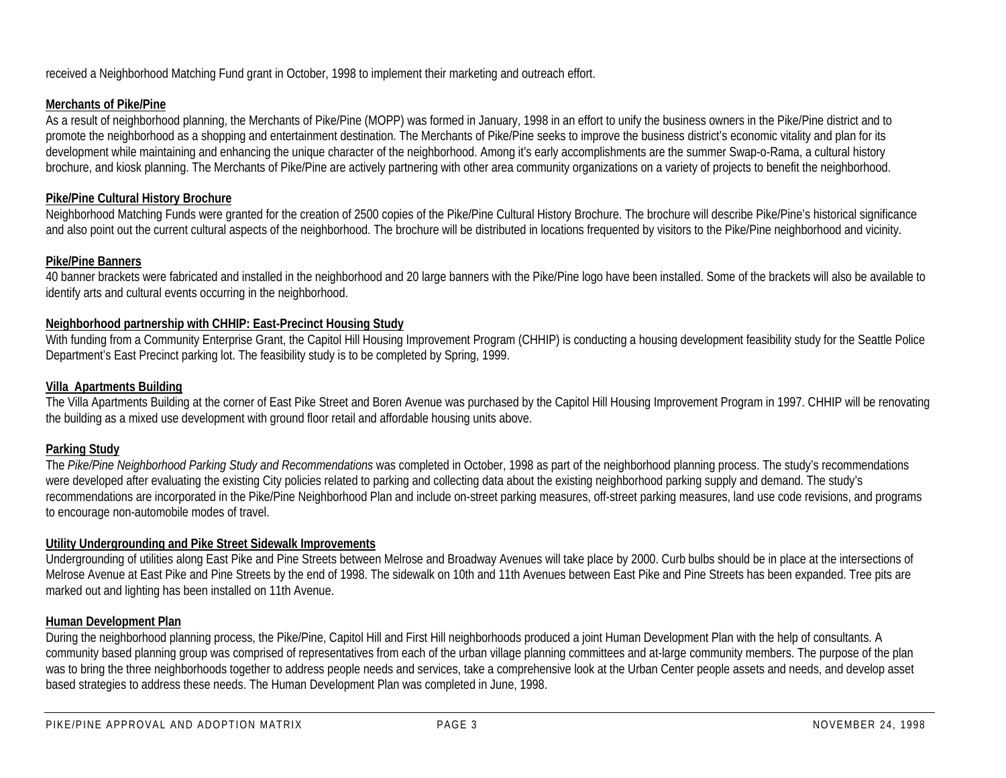received a Neighborhood Matching Fund grant in October, 1998 to implement their marketing and outreach effort.

#### **Merchants of Pike/Pine**

As a result of neighborhood planning, the Merchants of Pike/Pine (MOPP) was formed in January, 1998 in an effort to unify the business owners in the Pike/Pine district and to promote the neighborhood as a shopping and entertainment destination. The Merchants of Pike/Pine seeks to improve the business district's economic vitality and plan for its development while maintaining and enhancing the unique character of the neighborhood. Among it's early accomplishments are the summer Swap-o-Rama, a cultural history brochure, and kiosk planning. The Merchants of Pike/Pine are actively partnering with other area community organizations on a variety of projects to benefit the neighborhood.

#### **Pike/Pine Cultural History Brochure**

Neighborhood Matching Funds were granted for the creation of 2500 copies of the Pike/Pine Cultural History Brochure. The brochure will describe Pike/Pine's historical significance and also point out the current cultural aspects of the neighborhood. The brochure will be distributed in locations frequented by visitors to the Pike/Pine neighborhood and vicinity.

#### **Pike/Pine Banners**

40 banner brackets were fabricated and installed in the neighborhood and 20 large banners with the Pike/Pine logo have been installed. Some of the brackets will also be available to identify arts and cultural events occurring in the neighborhood.

#### **Neighborhood partnership with CHHIP: East-Precinct Housing Study**

With funding from a Community Enterprise Grant, the Capitol Hill Housing Improvement Program (CHHIP) is conducting a housing development feasibility study for the Seattle Police Department's East Precinct parking lot. The feasibility study is to be completed by Spring, 1999.

#### **Villa Apartments Building**

The Villa Apartments Building at the corner of East Pike Street and Boren Avenue was purchased by the Capitol Hill Housing Improvement Program in 1997. CHHIP will be renovating the building as a mixed use development with ground floor retail and affordable housing units above.

#### **Parking Study**

The *Pike/Pine Neighborhood Parking Study and Recommendations* was completed in October, 1998 as part of the neighborhood planning process. The study's recommendations were developed after evaluating the existing City policies related to parking and collecting data about the existing neighborhood parking supply and demand. The study's recommendations are incorporated in the Pike/Pine Neighborhood Plan and include on-street parking measures, off-street parking measures, land use code revisions, and programs to encourage non-automobile modes of travel.

#### **Utility Undergrounding and Pike Street Sidewalk Improvements**

Undergrounding of utilities along East Pike and Pine Streets between Melrose and Broadway Avenues will take place by 2000. Curb bulbs should be in place at the intersections of Melrose Avenue at East Pike and Pine Streets by the end of 1998. The sidewalk on 10th and 11th Avenues between East Pike and Pine Streets has been expanded. Tree pits are marked out and lighting has been installed on 11th Avenue.

#### **Human Development Plan**

During the neighborhood planning process, the Pike/Pine, Capitol Hill and First Hill neighborhoods produced a joint Human Development Plan with the help of consultants. A community based planning group was comprised of representatives from each of the urban village planning committees and at-large community members. The purpose of the plan was to bring the three neighborhoods together to address people needs and services, take a comprehensive look at the Urban Center people assets and needs, and develop asset based strategies to address these needs. The Human Development Plan was completed in June, 1998.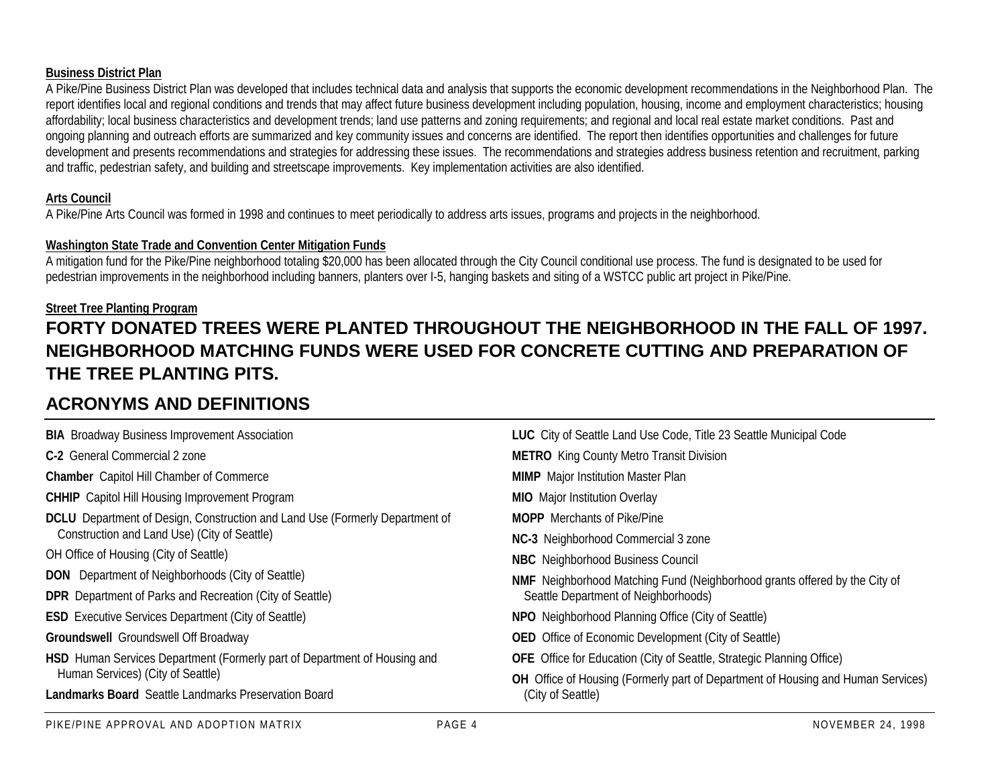#### **Business District Plan**

A Pike/Pine Business District Plan was developed that includes technical data and analysis that supports the economic development recommendations in the Neighborhood Plan. The report identifies local and regional conditions and trends that may affect future business development including population, housing, income and employment characteristics; housing affordability; local business characteristics and development trends; land use patterns and zoning requirements; and regional and local real estate market conditions. Past and ongoing planning and outreach efforts are summarized and key community issues and concerns are identified. The report then identifies opportunities and challenges for future development and presents recommendations and strategies for addressing these issues. The recommendations and strategies address business retention and recruitment, parking and traffic, pedestrian safety, and building and streetscape improvements. Key implementation activities are also identified.

#### **Arts Council**

A Pike/Pine Arts Council was formed in 1998 and continues to meet periodically to address arts issues, programs and projects in the neighborhood.

#### **Washington State Trade and Convention Center Mitigation Funds**

A mitigation fund for the Pike/Pine neighborhood totaling \$20,000 has been allocated through the City Council conditional use process. The fund is designated to be used for pedestrian improvements in the neighborhood including banners, planters over I-5, hanging baskets and siting of a WSTCC public art project in Pike/Pine.

#### **Street Tree Planting Program**

## **FORTY DONATED TREES WERE PLANTED THROUGHOUT THE NEIGHBORHOOD IN THE FALL OF 1997.NEIGHBORHOOD MATCHING FUNDS WERE USED FOR CONCRETE CUTTING AND PREPARATION OFTHE TREE PLANTING PITS.**

## **ACRONYMS AND DEFINITIONS**

| <b>BIA</b> Broadway Business Improvement Association                                | <b>LUC</b> City of Seattle Land Use Code, Title 23 Seattle Municipal Code         |
|-------------------------------------------------------------------------------------|-----------------------------------------------------------------------------------|
| C-2 General Commercial 2 zone                                                       | <b>METRO</b> King County Metro Transit Division                                   |
| <b>Chamber</b> Capitol Hill Chamber of Commerce                                     | <b>MIMP</b> Major Institution Master Plan                                         |
| <b>CHHIP</b> Capitol Hill Housing Improvement Program                               | <b>MIO</b> Major Institution Overlay                                              |
| <b>DCLU</b> Department of Design, Construction and Land Use (Formerly Department of | <b>MOPP</b> Merchants of Pike/Pine                                                |
| Construction and Land Use) (City of Seattle)                                        | NC-3 Neighborhood Commercial 3 zone                                               |
| OH Office of Housing (City of Seattle)                                              | <b>NBC</b> Neighborhood Business Council                                          |
| <b>DON</b> Department of Neighborhoods (City of Seattle)                            | <b>NMF</b> Neighborhood Matching Fund (Neighborhood grants offered by the City of |
| <b>DPR</b> Department of Parks and Recreation (City of Seattle)                     | Seattle Department of Neighborhoods)                                              |
| <b>ESD</b> Executive Services Department (City of Seattle)                          | NPO Neighborhood Planning Office (City of Seattle)                                |
| <b>Groundswell</b> Groundswell Off Broadway                                         | <b>OED</b> Office of Economic Development (City of Seattle)                       |
| HSD Human Services Department (Formerly part of Department of Housing and           | <b>OFE</b> Office for Education (City of Seattle, Strategic Planning Office)      |
| Human Services) (City of Seattle)                                                   | OH Office of Housing (Formerly part of Department of Housing and Human Services)  |
| <b>Landmarks Board</b> Seattle Landmarks Preservation Board                         | (City of Seattle)                                                                 |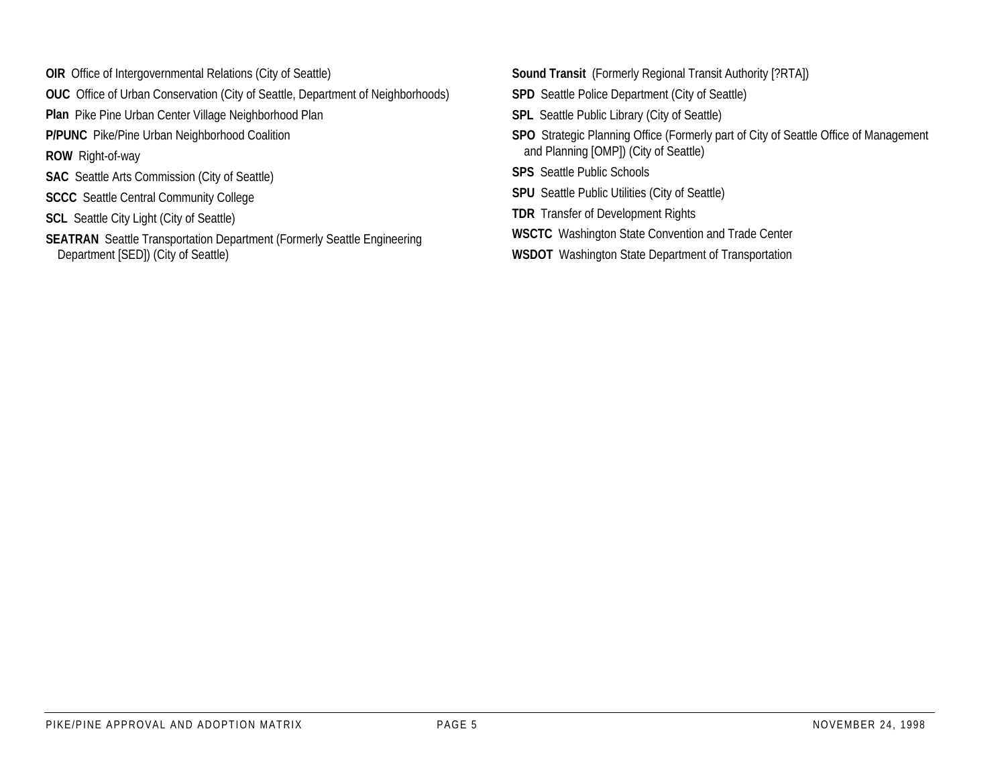- **OIR** Office of Intergovernmental Relations (City of Seattle)
- **OUC** Office of Urban Conservation (City of Seattle, Department of Neighborhoods)
- **Plan** Pike Pine Urban Center Village Neighborhood Plan
- **P/PUNC** Pike/Pine Urban Neighborhood Coalition
- **ROW** Right-of-way
- **SAC** Seattle Arts Commission (City of Seattle)
- **SCCC** Seattle Central Community College
- **SCL** Seattle City Light (City of Seattle)
- **SEATRAN** Seattle Transportation Department (Formerly Seattle Engineering Department [SED]) (City of Seattle)
- **Sound Transit** (Formerly Regional Transit Authority [?RTA])
- **SPD** Seattle Police Department (City of Seattle)
- **SPL** Seattle Public Library (City of Seattle)
- **SPO** Strategic Planning Office (Formerly part of City of Seattle Office of Management and Planning [OMP]) (City of Seattle)
- **SPS** Seattle Public Schools
- **SPU** Seattle Public Utilities (City of Seattle)
- **TDR** Transfer of Development Rights
- **WSCTC** Washington State Convention and Trade Center
- **WSDOT** Washington State Department of Transportation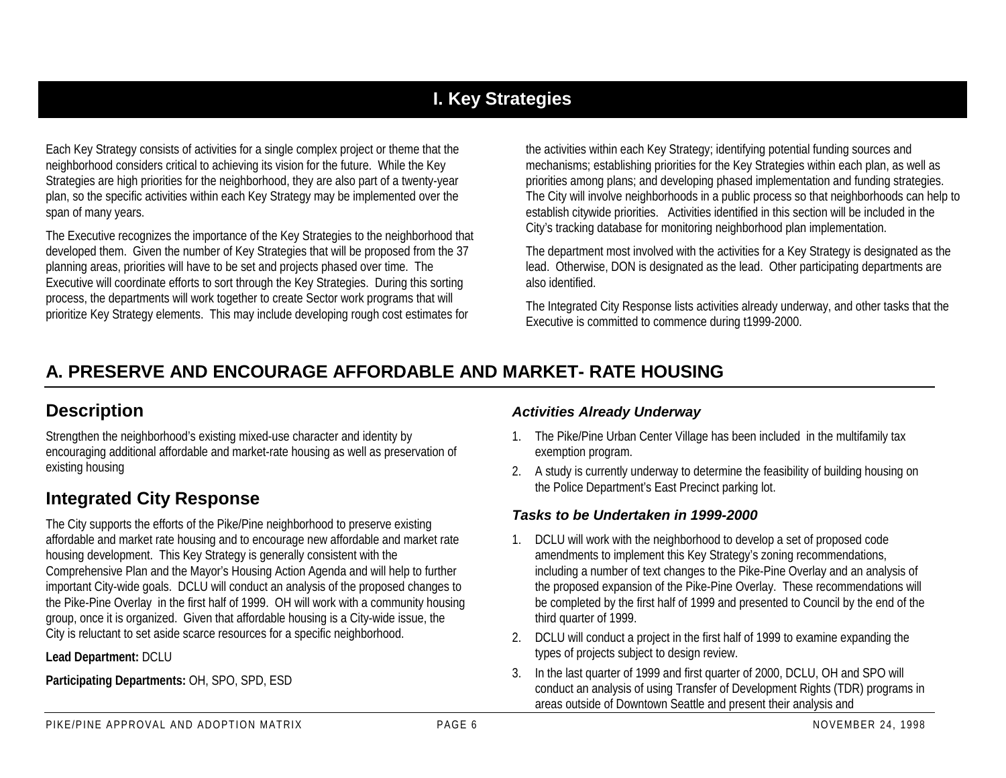## **I. Key Strategies**

Each Key Strategy consists of activities for a single complex project or theme that the neighborhood considers critical to achieving its vision for the future. While the Key Strategies are high priorities for the neighborhood, they are also part of a twenty-year plan, so the specific activities within each Key Strategy may be implemented over the span of many years.

The Executive recognizes the importance of the Key Strategies to the neighborhood that developed them. Given the number of Key Strategies that will be proposed from the 37 planning areas, priorities will have to be set and projects phased over time. The Executive will coordinate efforts to sort through the Key Strategies. During this sorting process, the departments will work together to create Sector work programs that will prioritize Key Strategy elements. This may include developing rough cost estimates for

the activities within each Key Strategy; identifying potential funding sources and mechanisms; establishing priorities for the Key Strategies within each plan, as well as priorities among plans; and developing phased implementation and funding strategies. The City will involve neighborhoods in a public process so that neighborhoods can help to establish citywide priorities. Activities identified in this section will be included in the City's tracking database for monitoring neighborhood plan implementation.

The department most involved with the activities for a Key Strategy is designated as the lead. Otherwise, DON is designated as the lead. Other participating departments are also identified.

The Integrated City Response lists activities already underway, and other tasks that the Executive is committed to commence during t1999-2000.

## **A. PRESERVE AND ENCOURAGE AFFORDABLE AND MARKET- RATE HOUSING**

## **Description**

Strengthen the neighborhood's existing mixed-use character and identity by encouraging additional affordable and market-rate housing as well as preservation of existing housing

## **Integrated City Response**

The City supports the efforts of the Pike/Pine neighborhood to preserve existing affordable and market rate housing and to encourage new affordable and market rate housing development. This Key Strategy is generally consistent with the Comprehensive Plan and the Mayor's Housing Action Agenda and will help to further important City-wide goals. DCLU will conduct an analysis of the proposed changes to the Pike-Pine Overlay in the first half of 1999. OH will work with a community housing group, once it is organized. Given that affordable housing is a City-wide issue, the City is reluctant to set aside scarce resources for a specific neighborhood.

**Lead Department:** DCLU

**Participating Departments:** OH, SPO, SPD, ESD

#### *Activities Already Underway*

- 1. The Pike/Pine Urban Center Village has been included in the multifamily tax exemption program.
- 2. A study is currently underway to determine the feasibility of building housing on the Police Department's East Precinct parking lot.

### *Tasks to be Undertaken in 1999-2000*

- 1. DCLU will work with the neighborhood to develop a set of proposed code amendments to implement this Key Strategy's zoning recommendations, including a number of text changes to the Pike-Pine Overlay and an analysis of the proposed expansion of the Pike-Pine Overlay. These recommendations will be completed by the first half of 1999 and presented to Council by the end of the third quarter of 1999.
- 2. DCLU will conduct a project in the first half of 1999 to examine expanding the types of projects subject to design review.
- 3. In the last quarter of 1999 and first quarter of 2000, DCLU, OH and SPO will conduct an analysis of using Transfer of Development Rights (TDR) programs in areas outside of Downtown Seattle and present their analysis and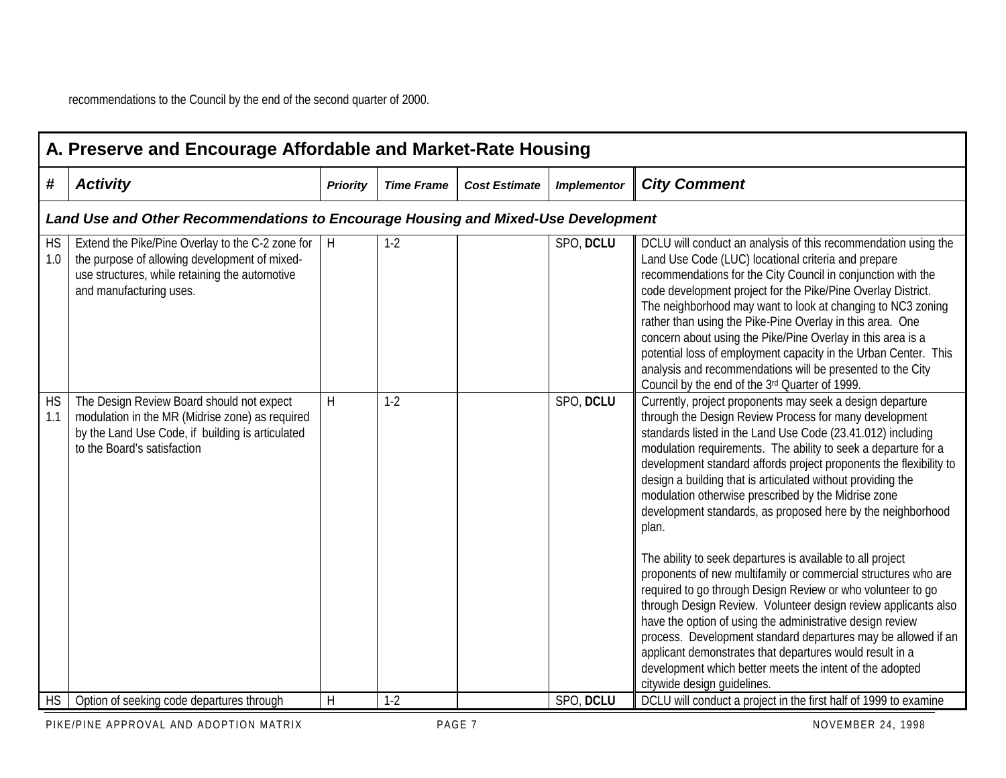|                  | A. Preserve and Encourage Affordable and Market-Rate Housing                                                                                                                    |                 |                   |                      |                    |                                                                                                                                                                                                                                                                                                                                                                                                                                                                                                                                                                                                                                                                                                                                                                                                                                                                                                                                                                                                                                                 |  |  |  |  |
|------------------|---------------------------------------------------------------------------------------------------------------------------------------------------------------------------------|-----------------|-------------------|----------------------|--------------------|-------------------------------------------------------------------------------------------------------------------------------------------------------------------------------------------------------------------------------------------------------------------------------------------------------------------------------------------------------------------------------------------------------------------------------------------------------------------------------------------------------------------------------------------------------------------------------------------------------------------------------------------------------------------------------------------------------------------------------------------------------------------------------------------------------------------------------------------------------------------------------------------------------------------------------------------------------------------------------------------------------------------------------------------------|--|--|--|--|
| #                | <b>Activity</b>                                                                                                                                                                 | <b>Priority</b> | <b>Time Frame</b> | <b>Cost Estimate</b> | <b>Implementor</b> | <b>City Comment</b>                                                                                                                                                                                                                                                                                                                                                                                                                                                                                                                                                                                                                                                                                                                                                                                                                                                                                                                                                                                                                             |  |  |  |  |
|                  | Land Use and Other Recommendations to Encourage Housing and Mixed-Use Development                                                                                               |                 |                   |                      |                    |                                                                                                                                                                                                                                                                                                                                                                                                                                                                                                                                                                                                                                                                                                                                                                                                                                                                                                                                                                                                                                                 |  |  |  |  |
| <b>HS</b><br>1.0 | Extend the Pike/Pine Overlay to the C-2 zone for<br>the purpose of allowing development of mixed-<br>use structures, while retaining the automotive<br>and manufacturing uses.  | H               | $1-2$             |                      | SPO, DCLU          | DCLU will conduct an analysis of this recommendation using the<br>Land Use Code (LUC) locational criteria and prepare<br>recommendations for the City Council in conjunction with the<br>code development project for the Pike/Pine Overlay District.<br>The neighborhood may want to look at changing to NC3 zoning<br>rather than using the Pike-Pine Overlay in this area. One<br>concern about using the Pike/Pine Overlay in this area is a<br>potential loss of employment capacity in the Urban Center. This<br>analysis and recommendations will be presented to the City<br>Council by the end of the 3rd Quarter of 1999.                                                                                                                                                                                                                                                                                                                                                                                                             |  |  |  |  |
| <b>HS</b><br>1.1 | The Design Review Board should not expect<br>modulation in the MR (Midrise zone) as required<br>by the Land Use Code, if building is articulated<br>to the Board's satisfaction | H               | $1-2$             |                      | SPO, DCLU          | Currently, project proponents may seek a design departure<br>through the Design Review Process for many development<br>standards listed in the Land Use Code (23.41.012) including<br>modulation requirements. The ability to seek a departure for a<br>development standard affords project proponents the flexibility to<br>design a building that is articulated without providing the<br>modulation otherwise prescribed by the Midrise zone<br>development standards, as proposed here by the neighborhood<br>plan.<br>The ability to seek departures is available to all project<br>proponents of new multifamily or commercial structures who are<br>required to go through Design Review or who volunteer to go<br>through Design Review. Volunteer design review applicants also<br>have the option of using the administrative design review<br>process. Development standard departures may be allowed if an<br>applicant demonstrates that departures would result in a<br>development which better meets the intent of the adopted |  |  |  |  |
| <b>HS</b>        | Option of seeking code departures through                                                                                                                                       | $\mathsf H$     | $1-2$             |                      | SPO, DCLU          | citywide design quidelines.<br>DCLU will conduct a project in the first half of 1999 to examine                                                                                                                                                                                                                                                                                                                                                                                                                                                                                                                                                                                                                                                                                                                                                                                                                                                                                                                                                 |  |  |  |  |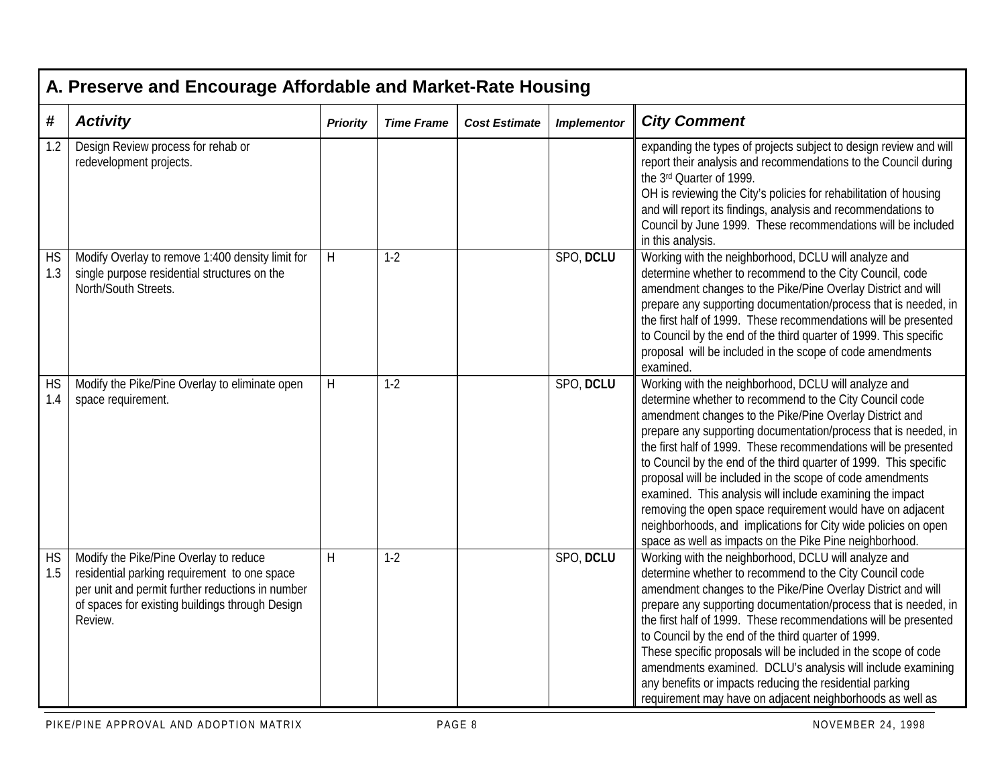|                  | A. Preserve and Encourage Affordable and Market-Rate Housing                                                                                                                                             |                 |                   |                      |                    |                                                                                                                                                                                                                                                                                                                                                                                                                                                                                                                                                                                                                                                                                                            |  |  |  |
|------------------|----------------------------------------------------------------------------------------------------------------------------------------------------------------------------------------------------------|-----------------|-------------------|----------------------|--------------------|------------------------------------------------------------------------------------------------------------------------------------------------------------------------------------------------------------------------------------------------------------------------------------------------------------------------------------------------------------------------------------------------------------------------------------------------------------------------------------------------------------------------------------------------------------------------------------------------------------------------------------------------------------------------------------------------------------|--|--|--|
| #                | <b>Activity</b>                                                                                                                                                                                          | <b>Priority</b> | <b>Time Frame</b> | <b>Cost Estimate</b> | <b>Implementor</b> | <b>City Comment</b>                                                                                                                                                                                                                                                                                                                                                                                                                                                                                                                                                                                                                                                                                        |  |  |  |
| 1.2              | Design Review process for rehab or<br>redevelopment projects.                                                                                                                                            |                 |                   |                      |                    | expanding the types of projects subject to design review and will<br>report their analysis and recommendations to the Council during<br>the 3rd Quarter of 1999.<br>OH is reviewing the City's policies for rehabilitation of housing<br>and will report its findings, analysis and recommendations to<br>Council by June 1999. These recommendations will be included<br>in this analysis.                                                                                                                                                                                                                                                                                                                |  |  |  |
| <b>HS</b><br>1.3 | Modify Overlay to remove 1:400 density limit for<br>single purpose residential structures on the<br>North/South Streets.                                                                                 | H               | $1-2$             |                      | SPO, DCLU          | Working with the neighborhood, DCLU will analyze and<br>determine whether to recommend to the City Council, code<br>amendment changes to the Pike/Pine Overlay District and will<br>prepare any supporting documentation/process that is needed, in<br>the first half of 1999. These recommendations will be presented<br>to Council by the end of the third quarter of 1999. This specific<br>proposal will be included in the scope of code amendments<br>examined.                                                                                                                                                                                                                                      |  |  |  |
| <b>HS</b><br>1.4 | Modify the Pike/Pine Overlay to eliminate open<br>space requirement.                                                                                                                                     | $\sf H$         | $1-2$             |                      | SPO, DCLU          | Working with the neighborhood, DCLU will analyze and<br>determine whether to recommend to the City Council code<br>amendment changes to the Pike/Pine Overlay District and<br>prepare any supporting documentation/process that is needed, in<br>the first half of 1999. These recommendations will be presented<br>to Council by the end of the third quarter of 1999. This specific<br>proposal will be included in the scope of code amendments<br>examined. This analysis will include examining the impact<br>removing the open space requirement would have on adjacent<br>neighborhoods, and implications for City wide policies on open<br>space as well as impacts on the Pike Pine neighborhood. |  |  |  |
| <b>HS</b><br>1.5 | Modify the Pike/Pine Overlay to reduce<br>residential parking requirement to one space<br>per unit and permit further reductions in number<br>of spaces for existing buildings through Design<br>Review. | H               | $1-2$             |                      | SPO, DCLU          | Working with the neighborhood, DCLU will analyze and<br>determine whether to recommend to the City Council code<br>amendment changes to the Pike/Pine Overlay District and will<br>prepare any supporting documentation/process that is needed, in<br>the first half of 1999. These recommendations will be presented<br>to Council by the end of the third quarter of 1999.<br>These specific proposals will be included in the scope of code<br>amendments examined. DCLU's analysis will include examining<br>any benefits or impacts reducing the residential parking<br>requirement may have on adjacent neighborhoods as well as                                                                     |  |  |  |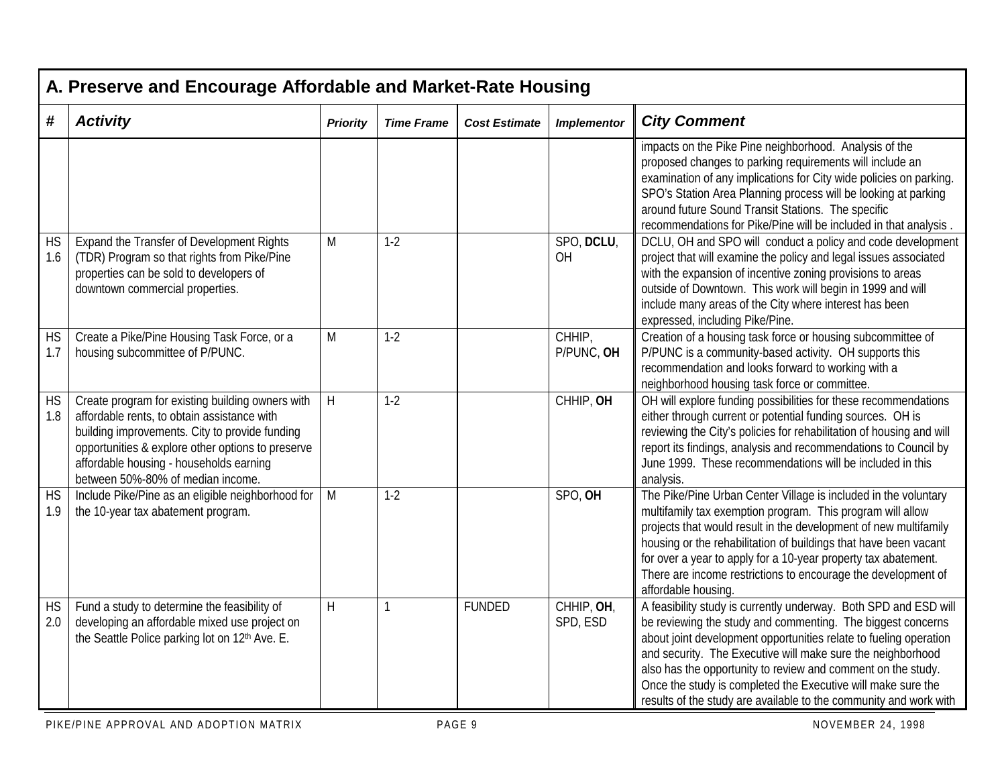|                  | A. Preserve and Encourage Affordable and Market-Rate Housing                                                                                                                                                                                                                           |                 |                   |                      |                        |                                                                                                                                                                                                                                                                                                                                                                                                                                                                          |  |  |  |
|------------------|----------------------------------------------------------------------------------------------------------------------------------------------------------------------------------------------------------------------------------------------------------------------------------------|-----------------|-------------------|----------------------|------------------------|--------------------------------------------------------------------------------------------------------------------------------------------------------------------------------------------------------------------------------------------------------------------------------------------------------------------------------------------------------------------------------------------------------------------------------------------------------------------------|--|--|--|
| #                | <b>Activity</b>                                                                                                                                                                                                                                                                        | <b>Priority</b> | <b>Time Frame</b> | <b>Cost Estimate</b> | <b>Implementor</b>     | <b>City Comment</b>                                                                                                                                                                                                                                                                                                                                                                                                                                                      |  |  |  |
|                  |                                                                                                                                                                                                                                                                                        |                 |                   |                      |                        | impacts on the Pike Pine neighborhood. Analysis of the<br>proposed changes to parking requirements will include an<br>examination of any implications for City wide policies on parking.<br>SPO's Station Area Planning process will be looking at parking<br>around future Sound Transit Stations. The specific<br>recommendations for Pike/Pine will be included in that analysis.                                                                                     |  |  |  |
| <b>HS</b><br>1.6 | Expand the Transfer of Development Rights<br>(TDR) Program so that rights from Pike/Pine<br>properties can be sold to developers of<br>downtown commercial properties.                                                                                                                 | M               | $1-2$             |                      | SPO, DCLU,<br>OH       | DCLU, OH and SPO will conduct a policy and code development<br>project that will examine the policy and legal issues associated<br>with the expansion of incentive zoning provisions to areas<br>outside of Downtown. This work will begin in 1999 and will<br>include many areas of the City where interest has been<br>expressed, including Pike/Pine.                                                                                                                 |  |  |  |
| <b>HS</b><br>1.7 | Create a Pike/Pine Housing Task Force, or a<br>housing subcommittee of P/PUNC.                                                                                                                                                                                                         | M               | $1-2$             |                      | CHHIP,<br>P/PUNC, OH   | Creation of a housing task force or housing subcommittee of<br>P/PUNC is a community-based activity. OH supports this<br>recommendation and looks forward to working with a<br>neighborhood housing task force or committee.                                                                                                                                                                                                                                             |  |  |  |
| <b>HS</b><br>1.8 | Create program for existing building owners with<br>affordable rents, to obtain assistance with<br>building improvements. City to provide funding<br>opportunities & explore other options to preserve<br>affordable housing - households earning<br>between 50%-80% of median income. | H               | $1-2$             |                      | CHHIP, OH              | OH will explore funding possibilities for these recommendations<br>either through current or potential funding sources. OH is<br>reviewing the City's policies for rehabilitation of housing and will<br>report its findings, analysis and recommendations to Council by<br>June 1999. These recommendations will be included in this<br>analysis.                                                                                                                       |  |  |  |
| <b>HS</b><br>1.9 | Include Pike/Pine as an eligible neighborhood for<br>the 10-year tax abatement program.                                                                                                                                                                                                | M               | $1-2$             |                      | SPO, OH                | The Pike/Pine Urban Center Village is included in the voluntary<br>multifamily tax exemption program. This program will allow<br>projects that would result in the development of new multifamily<br>housing or the rehabilitation of buildings that have been vacant<br>for over a year to apply for a 10-year property tax abatement.<br>There are income restrictions to encourage the development of<br>affordable housing.                                          |  |  |  |
| <b>HS</b><br>2.0 | Fund a study to determine the feasibility of<br>developing an affordable mixed use project on<br>the Seattle Police parking lot on 12th Ave. E.                                                                                                                                        | H               | 1                 | <b>FUNDED</b>        | CHHIP, OH,<br>SPD, ESD | A feasibility study is currently underway. Both SPD and ESD will<br>be reviewing the study and commenting. The biggest concerns<br>about joint development opportunities relate to fueling operation<br>and security. The Executive will make sure the neighborhood<br>also has the opportunity to review and comment on the study.<br>Once the study is completed the Executive will make sure the<br>results of the study are available to the community and work with |  |  |  |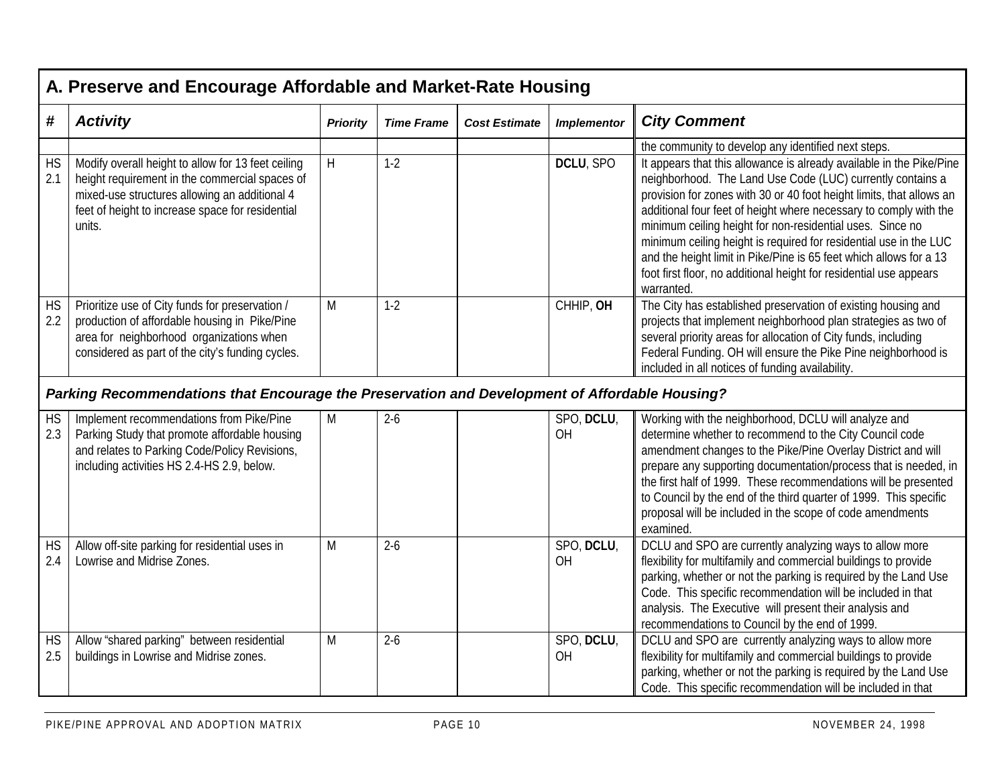|                  | A. Preserve and Encourage Affordable and Market-Rate Housing                                                                                                                                                        |                 |                   |                      |                    |                                                                                                                                                                                                                                                                                                                                                                                                                                                                                                                                                                                                                                    |  |  |  |
|------------------|---------------------------------------------------------------------------------------------------------------------------------------------------------------------------------------------------------------------|-----------------|-------------------|----------------------|--------------------|------------------------------------------------------------------------------------------------------------------------------------------------------------------------------------------------------------------------------------------------------------------------------------------------------------------------------------------------------------------------------------------------------------------------------------------------------------------------------------------------------------------------------------------------------------------------------------------------------------------------------------|--|--|--|
| #                | <b>Activity</b>                                                                                                                                                                                                     | <b>Priority</b> | <b>Time Frame</b> | <b>Cost Estimate</b> | <b>Implementor</b> | <b>City Comment</b>                                                                                                                                                                                                                                                                                                                                                                                                                                                                                                                                                                                                                |  |  |  |
| <b>HS</b><br>2.1 | Modify overall height to allow for 13 feet ceiling<br>height requirement in the commercial spaces of<br>mixed-use structures allowing an additional 4<br>feet of height to increase space for residential<br>units. | H               | $1-2$             |                      | DCLU, SPO          | the community to develop any identified next steps.<br>It appears that this allowance is already available in the Pike/Pine<br>neighborhood. The Land Use Code (LUC) currently contains a<br>provision for zones with 30 or 40 foot height limits, that allows an<br>additional four feet of height where necessary to comply with the<br>minimum ceiling height for non-residential uses. Since no<br>minimum ceiling height is required for residential use in the LUC<br>and the height limit in Pike/Pine is 65 feet which allows for a 13<br>foot first floor, no additional height for residential use appears<br>warranted. |  |  |  |
| <b>HS</b><br>2.2 | Prioritize use of City funds for preservation /<br>production of affordable housing in Pike/Pine<br>area for neighborhood organizations when<br>considered as part of the city's funding cycles.                    | M               | $1-2$             |                      | CHHIP, OH          | The City has established preservation of existing housing and<br>projects that implement neighborhood plan strategies as two of<br>several priority areas for allocation of City funds, including<br>Federal Funding. OH will ensure the Pike Pine neighborhood is<br>included in all notices of funding availability.                                                                                                                                                                                                                                                                                                             |  |  |  |
|                  | Parking Recommendations that Encourage the Preservation and Development of Affordable Housing?                                                                                                                      |                 |                   |                      |                    |                                                                                                                                                                                                                                                                                                                                                                                                                                                                                                                                                                                                                                    |  |  |  |
| <b>HS</b><br>2.3 | Implement recommendations from Pike/Pine<br>Parking Study that promote affordable housing<br>and relates to Parking Code/Policy Revisions,<br>including activities HS 2.4-HS 2.9, below.                            | M               | $2-6$             |                      | SPO, DCLU,<br>OH   | Working with the neighborhood, DCLU will analyze and<br>determine whether to recommend to the City Council code<br>amendment changes to the Pike/Pine Overlay District and will<br>prepare any supporting documentation/process that is needed, in<br>the first half of 1999. These recommendations will be presented<br>to Council by the end of the third quarter of 1999. This specific<br>proposal will be included in the scope of code amendments<br>examined.                                                                                                                                                               |  |  |  |
| <b>HS</b><br>2.4 | Allow off-site parking for residential uses in<br>Lowrise and Midrise Zones.                                                                                                                                        | M               | $2-6$             |                      | SPO, DCLU,<br>OH   | DCLU and SPO are currently analyzing ways to allow more<br>flexibility for multifamily and commercial buildings to provide<br>parking, whether or not the parking is required by the Land Use<br>Code. This specific recommendation will be included in that<br>analysis. The Executive will present their analysis and<br>recommendations to Council by the end of 1999.                                                                                                                                                                                                                                                          |  |  |  |
| <b>HS</b><br>2.5 | Allow "shared parking" between residential<br>buildings in Lowrise and Midrise zones.                                                                                                                               | M               | $2-6$             |                      | SPO, DCLU,<br>OH   | DCLU and SPO are currently analyzing ways to allow more<br>flexibility for multifamily and commercial buildings to provide<br>parking, whether or not the parking is required by the Land Use<br>Code. This specific recommendation will be included in that                                                                                                                                                                                                                                                                                                                                                                       |  |  |  |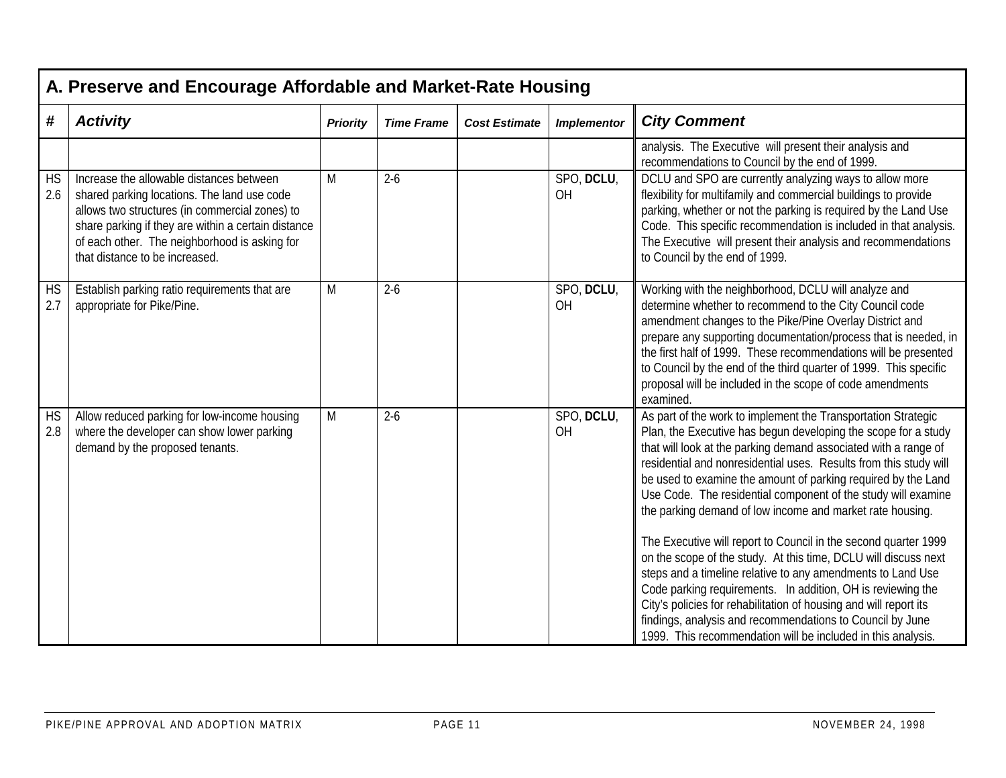|                  | A. Preserve and Encourage Affordable and Market-Rate Housing                                                                                                                                                                                                                        |                 |                   |                      |                         |                                                                                                                                                                                                                                                                                                                                                                                                                                                                                                                                                                                                                                                                                                                                                                                                                                                                                                                                              |  |  |  |  |
|------------------|-------------------------------------------------------------------------------------------------------------------------------------------------------------------------------------------------------------------------------------------------------------------------------------|-----------------|-------------------|----------------------|-------------------------|----------------------------------------------------------------------------------------------------------------------------------------------------------------------------------------------------------------------------------------------------------------------------------------------------------------------------------------------------------------------------------------------------------------------------------------------------------------------------------------------------------------------------------------------------------------------------------------------------------------------------------------------------------------------------------------------------------------------------------------------------------------------------------------------------------------------------------------------------------------------------------------------------------------------------------------------|--|--|--|--|
| #                | <b>Activity</b>                                                                                                                                                                                                                                                                     | <b>Priority</b> | <b>Time Frame</b> | <b>Cost Estimate</b> | <b>Implementor</b>      | <b>City Comment</b>                                                                                                                                                                                                                                                                                                                                                                                                                                                                                                                                                                                                                                                                                                                                                                                                                                                                                                                          |  |  |  |  |
|                  |                                                                                                                                                                                                                                                                                     |                 |                   |                      |                         | analysis. The Executive will present their analysis and<br>recommendations to Council by the end of 1999.                                                                                                                                                                                                                                                                                                                                                                                                                                                                                                                                                                                                                                                                                                                                                                                                                                    |  |  |  |  |
| <b>HS</b><br>2.6 | Increase the allowable distances between<br>shared parking locations. The land use code<br>allows two structures (in commercial zones) to<br>share parking if they are within a certain distance<br>of each other. The neighborhood is asking for<br>that distance to be increased. | M               | $2-6$             |                      | SPO, DCLU,<br><b>OH</b> | DCLU and SPO are currently analyzing ways to allow more<br>flexibility for multifamily and commercial buildings to provide<br>parking, whether or not the parking is required by the Land Use<br>Code. This specific recommendation is included in that analysis.<br>The Executive will present their analysis and recommendations<br>to Council by the end of 1999.                                                                                                                                                                                                                                                                                                                                                                                                                                                                                                                                                                         |  |  |  |  |
| <b>HS</b><br>2.7 | Establish parking ratio requirements that are<br>appropriate for Pike/Pine.                                                                                                                                                                                                         | M               | $2-6$             |                      | SPO, DCLU,<br>OH        | Working with the neighborhood, DCLU will analyze and<br>determine whether to recommend to the City Council code<br>amendment changes to the Pike/Pine Overlay District and<br>prepare any supporting documentation/process that is needed, in<br>the first half of 1999. These recommendations will be presented<br>to Council by the end of the third quarter of 1999. This specific<br>proposal will be included in the scope of code amendments<br>examined.                                                                                                                                                                                                                                                                                                                                                                                                                                                                              |  |  |  |  |
| <b>HS</b><br>2.8 | Allow reduced parking for low-income housing<br>where the developer can show lower parking<br>demand by the proposed tenants.                                                                                                                                                       | M               | $2-6$             |                      | SPO, DCLU,<br>OH        | As part of the work to implement the Transportation Strategic<br>Plan, the Executive has begun developing the scope for a study<br>that will look at the parking demand associated with a range of<br>residential and nonresidential uses. Results from this study will<br>be used to examine the amount of parking required by the Land<br>Use Code. The residential component of the study will examine<br>the parking demand of low income and market rate housing.<br>The Executive will report to Council in the second quarter 1999<br>on the scope of the study. At this time, DCLU will discuss next<br>steps and a timeline relative to any amendments to Land Use<br>Code parking requirements. In addition, OH is reviewing the<br>City's policies for rehabilitation of housing and will report its<br>findings, analysis and recommendations to Council by June<br>1999. This recommendation will be included in this analysis. |  |  |  |  |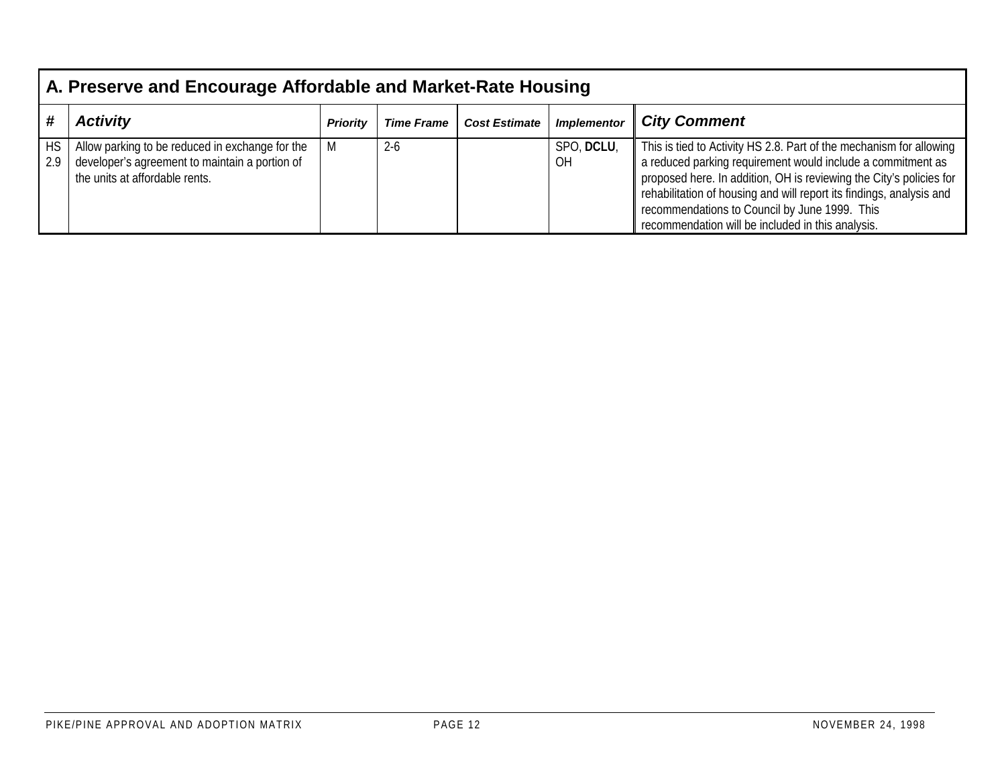|                  | A. Preserve and Encourage Affordable and Market-Rate Housing                                                                        |                 |                   |                      |                    |                                                                                                                                                                                                                                                                                                                                                                                         |  |  |
|------------------|-------------------------------------------------------------------------------------------------------------------------------------|-----------------|-------------------|----------------------|--------------------|-----------------------------------------------------------------------------------------------------------------------------------------------------------------------------------------------------------------------------------------------------------------------------------------------------------------------------------------------------------------------------------------|--|--|
|                  | <b>Activity</b>                                                                                                                     | <b>Priority</b> | <b>Time Frame</b> | <b>Cost Estimate</b> | <b>Implementor</b> | <b>City Comment</b>                                                                                                                                                                                                                                                                                                                                                                     |  |  |
| <b>HS</b><br>2.9 | Allow parking to be reduced in exchange for the<br>developer's agreement to maintain a portion of<br>the units at affordable rents. | M               | $2 - 6$           |                      | SPO, DCLU,<br>0H   | This is tied to Activity HS 2.8. Part of the mechanism for allowing<br>a reduced parking requirement would include a commitment as<br>proposed here. In addition, OH is reviewing the City's policies for<br>rehabilitation of housing and will report its findings, analysis and<br>recommendations to Council by June 1999. This<br>recommendation will be included in this analysis. |  |  |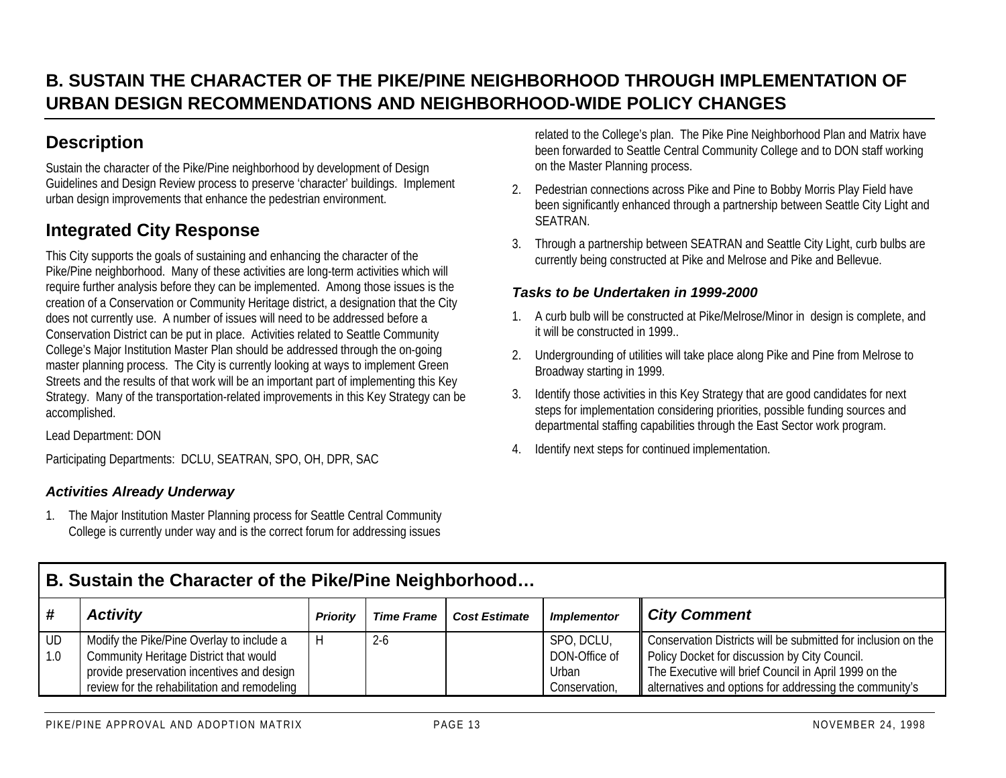## **B. SUSTAIN THE CHARACTER OF THE PIKE/PINE NEIGHBORHOOD THROUGH IMPLEMENTATION OFURBAN DESIGN RECOMMENDATIONS AND NEIGHBORHOOD-WIDE POLICY CHANGES**

## **Description**

Sustain the character of the Pike/Pine neighborhood by development of Design Guidelines and Design Review process to preserve 'character' buildings. Implement urban design improvements that enhance the pedestrian environment.

## **Integrated City Response**

This City supports the goals of sustaining and enhancing the character of the Pike/Pine neighborhood. Many of these activities are long-term activities which will require further analysis before they can be implemented. Among those issues is the creation of a Conservation or Community Heritage district, a designation that the City does not currently use. A number of issues will need to be addressed before a Conservation District can be put in place. Activities related to Seattle Community College's Major Institution Master Plan should be addressed through the on-going master planning process. The City is currently looking at ways to implement Green Streets and the results of that work will be an important part of implementing this Key Strategy. Many of the transportation-related improvements in this Key Strategy can be accomplished.

Lead Department: DON

Participating Departments: DCLU, SEATRAN, SPO, OH, DPR, SAC

### *Activities Already Underway*

1. The Major Institution Master Planning process for Seattle Central Community College is currently under way and is the correct forum for addressing issues related to the College's plan. The Pike Pine Neighborhood Plan and Matrix have been forwarded to Seattle Central Community College and to DON staff working on the Master Planning process.

- 2. Pedestrian connections across Pike and Pine to Bobby Morris Play Field have been significantly enhanced through a partnership between Seattle City Light and SEATRAN.
- 3. Through a partnership between SEATRAN and Seattle City Light, curb bulbs are currently being constructed at Pike and Melrose and Pike and Bellevue.

#### *Tasks to be Undertaken in 1999-2000*

- 1. A curb bulb will be constructed at Pike/Melrose/Minor in design is complete, and it will be constructed in 1999
- 2. Undergrounding of utilities will take place along Pike and Pine from Melrose to Broadway starting in 1999.
- 3. Identify those activities in this Key Strategy that are good candidates for next steps for implementation considering priorities, possible funding sources and departmental staffing capabilities through the East Sector work program.
- 4. Identify next steps for continued implementation.

|     | B. Sustain the Character of the Pike/Pine Neighborhood |                 |                   |                      |                    |                                                               |  |  |  |
|-----|--------------------------------------------------------|-----------------|-------------------|----------------------|--------------------|---------------------------------------------------------------|--|--|--|
| #   | <b>Activity</b>                                        | <b>Priority</b> | <b>Time Frame</b> | <b>Cost Estimate</b> | <b>Implementor</b> | <b>City Comment</b>                                           |  |  |  |
| UD  | Modify the Pike/Pine Overlay to include a              |                 | $2 - 6$           |                      | SPO, DCLU,         | Conservation Districts will be submitted for inclusion on the |  |  |  |
| 1.0 | Community Heritage District that would                 |                 |                   |                      | DON-Office of      | Policy Docket for discussion by City Council.                 |  |  |  |
|     | provide preservation incentives and design             |                 |                   |                      | Urban              | The Executive will brief Council in April 1999 on the         |  |  |  |
|     | review for the rehabilitation and remodeling           |                 |                   |                      | Conservation,      | alternatives and options for addressing the community's       |  |  |  |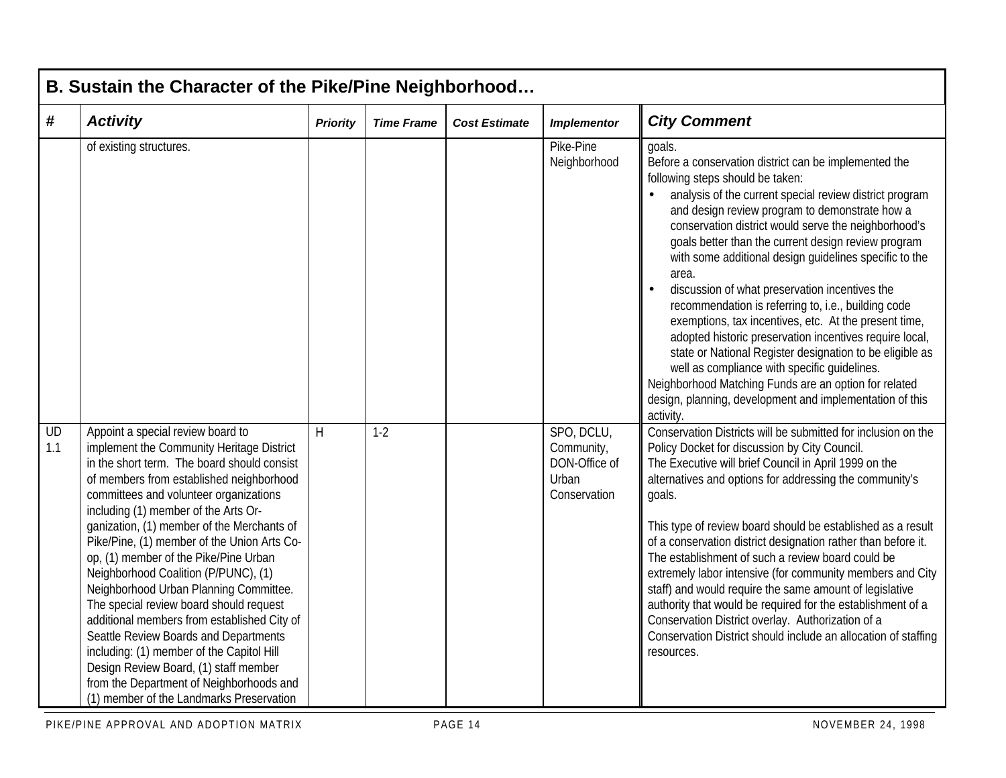|           | B. Sustain the Character of the Pike/Pine Neighborhood                                                                                                                                                                                                                                                                                                                                                                                                                                                                                                                                                                                                                                                                                                                                               |                 |                   |                      |                                                                    |                                                                                                                                                                                                                                                                                                                                                                                                                                                                                                                                                                                                                                                                                                                                                                                                                                                                               |  |  |  |
|-----------|------------------------------------------------------------------------------------------------------------------------------------------------------------------------------------------------------------------------------------------------------------------------------------------------------------------------------------------------------------------------------------------------------------------------------------------------------------------------------------------------------------------------------------------------------------------------------------------------------------------------------------------------------------------------------------------------------------------------------------------------------------------------------------------------------|-----------------|-------------------|----------------------|--------------------------------------------------------------------|-------------------------------------------------------------------------------------------------------------------------------------------------------------------------------------------------------------------------------------------------------------------------------------------------------------------------------------------------------------------------------------------------------------------------------------------------------------------------------------------------------------------------------------------------------------------------------------------------------------------------------------------------------------------------------------------------------------------------------------------------------------------------------------------------------------------------------------------------------------------------------|--|--|--|
| #         | <b>Activity</b>                                                                                                                                                                                                                                                                                                                                                                                                                                                                                                                                                                                                                                                                                                                                                                                      | <b>Priority</b> | <b>Time Frame</b> | <b>Cost Estimate</b> | <b>Implementor</b>                                                 | <b>City Comment</b>                                                                                                                                                                                                                                                                                                                                                                                                                                                                                                                                                                                                                                                                                                                                                                                                                                                           |  |  |  |
|           | of existing structures.                                                                                                                                                                                                                                                                                                                                                                                                                                                                                                                                                                                                                                                                                                                                                                              |                 |                   |                      | Pike-Pine<br>Neighborhood                                          | goals.<br>Before a conservation district can be implemented the<br>following steps should be taken:<br>analysis of the current special review district program<br>and design review program to demonstrate how a<br>conservation district would serve the neighborhood's<br>goals better than the current design review program<br>with some additional design guidelines specific to the<br>area.<br>discussion of what preservation incentives the<br>recommendation is referring to, i.e., building code<br>exemptions, tax incentives, etc. At the present time,<br>adopted historic preservation incentives require local,<br>state or National Register designation to be eligible as<br>well as compliance with specific guidelines.<br>Neighborhood Matching Funds are an option for related<br>design, planning, development and implementation of this<br>activity. |  |  |  |
| UD<br>1.1 | Appoint a special review board to<br>implement the Community Heritage District<br>in the short term. The board should consist<br>of members from established neighborhood<br>committees and volunteer organizations<br>including (1) member of the Arts Or-<br>ganization, (1) member of the Merchants of<br>Pike/Pine, (1) member of the Union Arts Co-<br>op, (1) member of the Pike/Pine Urban<br>Neighborhood Coalition (P/PUNC), (1)<br>Neighborhood Urban Planning Committee.<br>The special review board should request<br>additional members from established City of<br>Seattle Review Boards and Departments<br>including: (1) member of the Capitol Hill<br>Design Review Board, (1) staff member<br>from the Department of Neighborhoods and<br>(1) member of the Landmarks Preservation | H               | $1-2$             |                      | SPO, DCLU,<br>Community,<br>DON-Office of<br>Urban<br>Conservation | Conservation Districts will be submitted for inclusion on the<br>Policy Docket for discussion by City Council.<br>The Executive will brief Council in April 1999 on the<br>alternatives and options for addressing the community's<br>goals.<br>This type of review board should be established as a result<br>of a conservation district designation rather than before it.<br>The establishment of such a review board could be<br>extremely labor intensive (for community members and City<br>staff) and would require the same amount of legislative<br>authority that would be required for the establishment of a<br>Conservation District overlay. Authorization of a<br>Conservation District should include an allocation of staffing<br>resources.                                                                                                                 |  |  |  |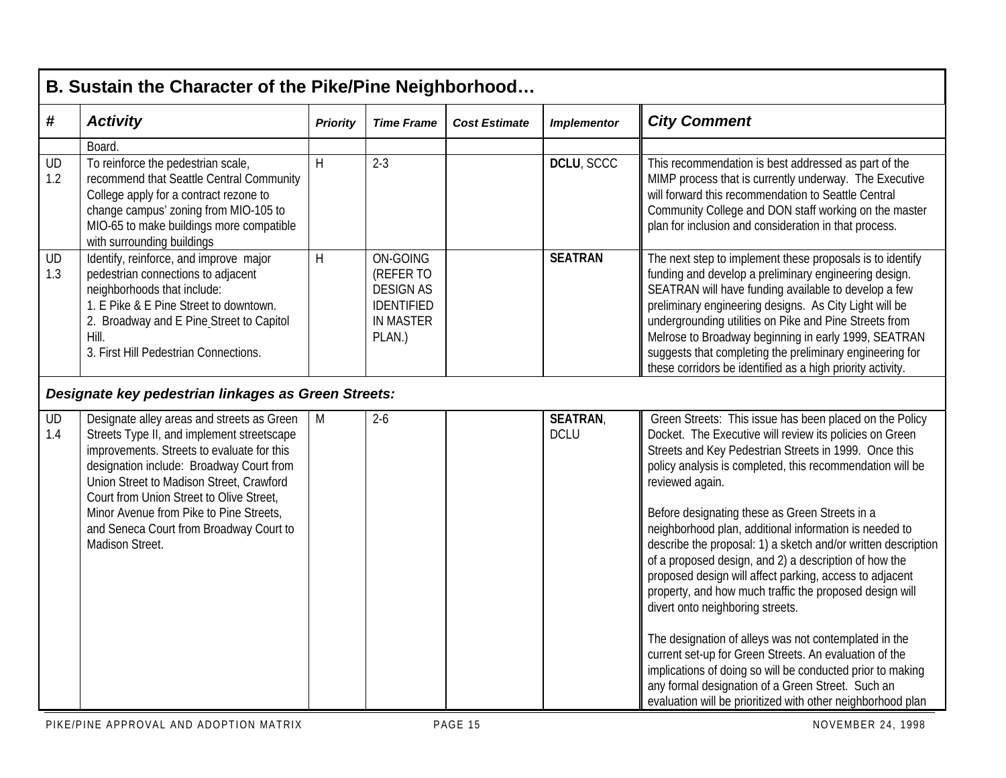|                  | B. Sustain the Character of the Pike/Pine Neighborhood                                                                                                                                                                                                                                                                                                                              |                 |                                                                                              |                      |                               |                                                                                                                                                                                                                                                                                                                                                                                                                                                                                                                                                                                                                                                                                                                                                                                                                                                                                                                                                                  |  |  |  |
|------------------|-------------------------------------------------------------------------------------------------------------------------------------------------------------------------------------------------------------------------------------------------------------------------------------------------------------------------------------------------------------------------------------|-----------------|----------------------------------------------------------------------------------------------|----------------------|-------------------------------|------------------------------------------------------------------------------------------------------------------------------------------------------------------------------------------------------------------------------------------------------------------------------------------------------------------------------------------------------------------------------------------------------------------------------------------------------------------------------------------------------------------------------------------------------------------------------------------------------------------------------------------------------------------------------------------------------------------------------------------------------------------------------------------------------------------------------------------------------------------------------------------------------------------------------------------------------------------|--|--|--|
| #                | <b>Activity</b>                                                                                                                                                                                                                                                                                                                                                                     | <b>Priority</b> | <b>Time Frame</b>                                                                            | <b>Cost Estimate</b> | <b>Implementor</b>            | <b>City Comment</b>                                                                                                                                                                                                                                                                                                                                                                                                                                                                                                                                                                                                                                                                                                                                                                                                                                                                                                                                              |  |  |  |
| <b>UD</b><br>1.2 | Board.<br>To reinforce the pedestrian scale,<br>recommend that Seattle Central Community<br>College apply for a contract rezone to<br>change campus' zoning from MIO-105 to<br>MIO-65 to make buildings more compatible<br>with surrounding buildings                                                                                                                               | H               | $2 - 3$                                                                                      |                      | DCLU, SCCC                    | This recommendation is best addressed as part of the<br>MIMP process that is currently underway. The Executive<br>will forward this recommendation to Seattle Central<br>Community College and DON staff working on the master<br>plan for inclusion and consideration in that process.                                                                                                                                                                                                                                                                                                                                                                                                                                                                                                                                                                                                                                                                          |  |  |  |
| UD<br>1.3        | Identify, reinforce, and improve major<br>pedestrian connections to adjacent<br>neighborhoods that include:<br>1. E Pike & E Pine Street to downtown.<br>2. Broadway and E Pine Street to Capitol<br>Hill.<br>3. First Hill Pedestrian Connections.                                                                                                                                 | H               | ON-GOING<br>(REFER TO<br><b>DESIGN AS</b><br><b>IDENTIFIED</b><br><b>IN MASTER</b><br>PLAN.) |                      | <b>SEATRAN</b>                | The next step to implement these proposals is to identify<br>funding and develop a preliminary engineering design.<br>SEATRAN will have funding available to develop a few<br>preliminary engineering designs. As City Light will be<br>undergrounding utilities on Pike and Pine Streets from<br>Melrose to Broadway beginning in early 1999, SEATRAN<br>suggests that completing the preliminary engineering for<br>these corridors be identified as a high priority activity.                                                                                                                                                                                                                                                                                                                                                                                                                                                                                 |  |  |  |
|                  | Designate key pedestrian linkages as Green Streets:                                                                                                                                                                                                                                                                                                                                 |                 |                                                                                              |                      |                               |                                                                                                                                                                                                                                                                                                                                                                                                                                                                                                                                                                                                                                                                                                                                                                                                                                                                                                                                                                  |  |  |  |
| <b>UD</b><br>1.4 | Designate alley areas and streets as Green<br>Streets Type II, and implement streetscape<br>improvements. Streets to evaluate for this<br>designation include: Broadway Court from<br>Union Street to Madison Street, Crawford<br>Court from Union Street to Olive Street,<br>Minor Avenue from Pike to Pine Streets,<br>and Seneca Court from Broadway Court to<br>Madison Street. | M               | $2-6$                                                                                        |                      | <b>SEATRAN</b><br><b>DCLU</b> | Green Streets: This issue has been placed on the Policy<br>Docket. The Executive will review its policies on Green<br>Streets and Key Pedestrian Streets in 1999. Once this<br>policy analysis is completed, this recommendation will be<br>reviewed again.<br>Before designating these as Green Streets in a<br>neighborhood plan, additional information is needed to<br>describe the proposal: 1) a sketch and/or written description<br>of a proposed design, and 2) a description of how the<br>proposed design will affect parking, access to adjacent<br>property, and how much traffic the proposed design will<br>divert onto neighboring streets.<br>The designation of alleys was not contemplated in the<br>current set-up for Green Streets. An evaluation of the<br>implications of doing so will be conducted prior to making<br>any formal designation of a Green Street. Such an<br>evaluation will be prioritized with other neighborhood plan |  |  |  |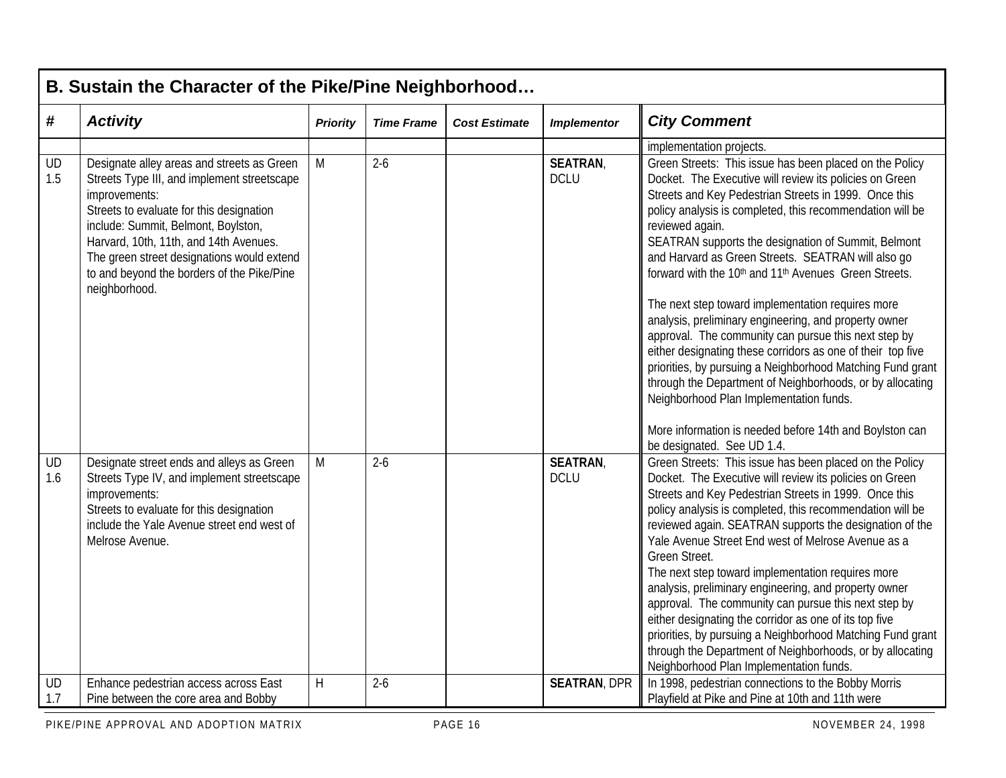|           | B. Sustain the Character of the Pike/Pine Neighborhood                                                                                                                                                                                                                                                                                               |                         |                   |                      |                               |                                                                                                                                                                                                                                                                                                                                                                                                                                                                                                                                                                                                                                                                                                                                                                                                                                                                                                                                                               |  |  |  |
|-----------|------------------------------------------------------------------------------------------------------------------------------------------------------------------------------------------------------------------------------------------------------------------------------------------------------------------------------------------------------|-------------------------|-------------------|----------------------|-------------------------------|---------------------------------------------------------------------------------------------------------------------------------------------------------------------------------------------------------------------------------------------------------------------------------------------------------------------------------------------------------------------------------------------------------------------------------------------------------------------------------------------------------------------------------------------------------------------------------------------------------------------------------------------------------------------------------------------------------------------------------------------------------------------------------------------------------------------------------------------------------------------------------------------------------------------------------------------------------------|--|--|--|
| #         | <b>Activity</b>                                                                                                                                                                                                                                                                                                                                      | <b>Priority</b>         | <b>Time Frame</b> | <b>Cost Estimate</b> | <b>Implementor</b>            | <b>City Comment</b>                                                                                                                                                                                                                                                                                                                                                                                                                                                                                                                                                                                                                                                                                                                                                                                                                                                                                                                                           |  |  |  |
|           |                                                                                                                                                                                                                                                                                                                                                      |                         |                   |                      |                               | implementation projects.                                                                                                                                                                                                                                                                                                                                                                                                                                                                                                                                                                                                                                                                                                                                                                                                                                                                                                                                      |  |  |  |
| UD<br>1.5 | Designate alley areas and streets as Green<br>Streets Type III, and implement streetscape<br>improvements:<br>Streets to evaluate for this designation<br>include: Summit, Belmont, Boylston,<br>Harvard, 10th, 11th, and 14th Avenues.<br>The green street designations would extend<br>to and beyond the borders of the Pike/Pine<br>neighborhood. | M                       | $2-6$             |                      | <b>SEATRAN</b><br><b>DCLU</b> | Green Streets: This issue has been placed on the Policy<br>Docket. The Executive will review its policies on Green<br>Streets and Key Pedestrian Streets in 1999. Once this<br>policy analysis is completed, this recommendation will be<br>reviewed again.<br>SEATRAN supports the designation of Summit, Belmont<br>and Harvard as Green Streets. SEATRAN will also go<br>forward with the 10 <sup>th</sup> and 11 <sup>th</sup> Avenues Green Streets.<br>The next step toward implementation requires more<br>analysis, preliminary engineering, and property owner<br>approval. The community can pursue this next step by<br>either designating these corridors as one of their top five<br>priorities, by pursuing a Neighborhood Matching Fund grant<br>through the Department of Neighborhoods, or by allocating<br>Neighborhood Plan Implementation funds.<br>More information is needed before 14th and Boylston can<br>be designated. See UD 1.4. |  |  |  |
| UD<br>1.6 | Designate street ends and alleys as Green<br>Streets Type IV, and implement streetscape<br>improvements:<br>Streets to evaluate for this designation<br>include the Yale Avenue street end west of<br>Melrose Avenue.                                                                                                                                | M                       | $2-6$             |                      | <b>SEATRAN</b><br><b>DCLU</b> | Green Streets: This issue has been placed on the Policy<br>Docket. The Executive will review its policies on Green<br>Streets and Key Pedestrian Streets in 1999. Once this<br>policy analysis is completed, this recommendation will be<br>reviewed again. SEATRAN supports the designation of the<br>Yale Avenue Street End west of Melrose Avenue as a<br>Green Street.<br>The next step toward implementation requires more<br>analysis, preliminary engineering, and property owner<br>approval. The community can pursue this next step by<br>either designating the corridor as one of its top five<br>priorities, by pursuing a Neighborhood Matching Fund grant<br>through the Department of Neighborhoods, or by allocating<br>Neighborhood Plan Implementation funds.                                                                                                                                                                              |  |  |  |
| UD<br>1.7 | Enhance pedestrian access across East<br>Pine between the core area and Bobby                                                                                                                                                                                                                                                                        | $\overline{\mathsf{H}}$ | $2 - 6$           |                      | <b>SEATRAN, DPR</b>           | In 1998, pedestrian connections to the Bobby Morris<br>Playfield at Pike and Pine at 10th and 11th were                                                                                                                                                                                                                                                                                                                                                                                                                                                                                                                                                                                                                                                                                                                                                                                                                                                       |  |  |  |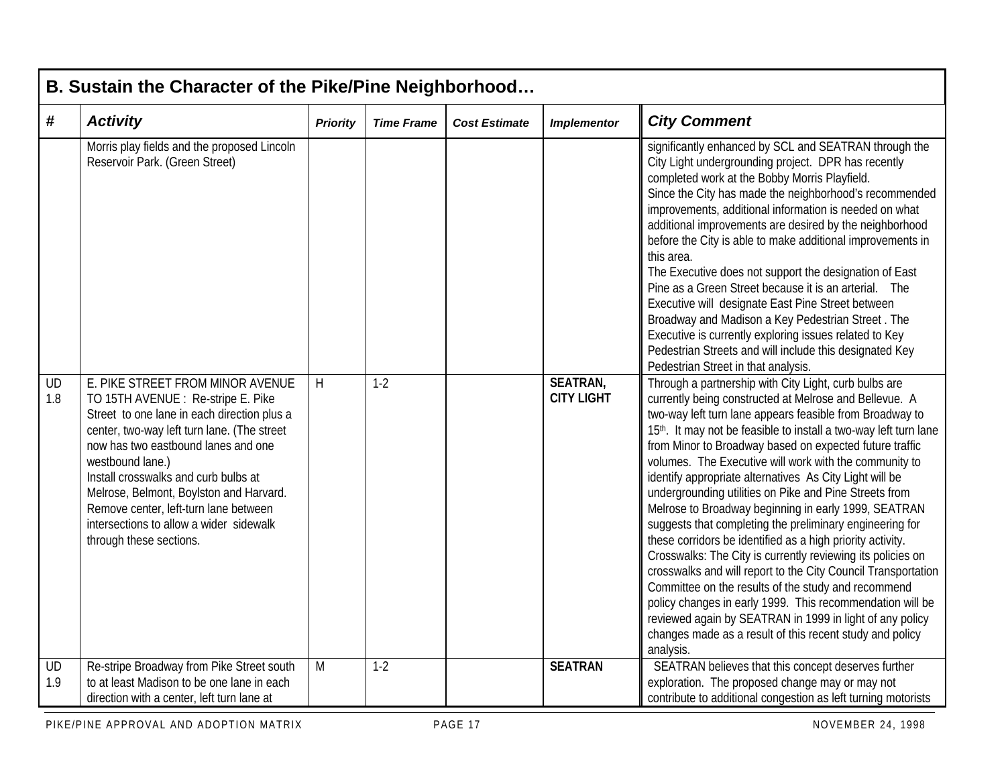|                   | B. Sustain the Character of the Pike/Pine Neighborhood                                                                                                                                                                                                                                                                                                                                                                            |                 |                   |                      |                                      |                                                                                                                                                                                                                                                                                                                                                                                                                                                                                                                                                                                                                                                                                                                                                                                                                                                                                                                                                                                                                                                                      |  |  |  |  |  |
|-------------------|-----------------------------------------------------------------------------------------------------------------------------------------------------------------------------------------------------------------------------------------------------------------------------------------------------------------------------------------------------------------------------------------------------------------------------------|-----------------|-------------------|----------------------|--------------------------------------|----------------------------------------------------------------------------------------------------------------------------------------------------------------------------------------------------------------------------------------------------------------------------------------------------------------------------------------------------------------------------------------------------------------------------------------------------------------------------------------------------------------------------------------------------------------------------------------------------------------------------------------------------------------------------------------------------------------------------------------------------------------------------------------------------------------------------------------------------------------------------------------------------------------------------------------------------------------------------------------------------------------------------------------------------------------------|--|--|--|--|--|
| $\boldsymbol{\#}$ | <b>Activity</b>                                                                                                                                                                                                                                                                                                                                                                                                                   | <b>Priority</b> | <b>Time Frame</b> | <b>Cost Estimate</b> | <b>Implementor</b>                   | <b>City Comment</b>                                                                                                                                                                                                                                                                                                                                                                                                                                                                                                                                                                                                                                                                                                                                                                                                                                                                                                                                                                                                                                                  |  |  |  |  |  |
|                   | Morris play fields and the proposed Lincoln<br>Reservoir Park. (Green Street)                                                                                                                                                                                                                                                                                                                                                     |                 |                   |                      |                                      | significantly enhanced by SCL and SEATRAN through the<br>City Light undergrounding project. DPR has recently<br>completed work at the Bobby Morris Playfield.<br>Since the City has made the neighborhood's recommended<br>improvements, additional information is needed on what<br>additional improvements are desired by the neighborhood<br>before the City is able to make additional improvements in<br>this area.<br>The Executive does not support the designation of East<br>Pine as a Green Street because it is an arterial. The<br>Executive will designate East Pine Street between<br>Broadway and Madison a Key Pedestrian Street. The<br>Executive is currently exploring issues related to Key<br>Pedestrian Streets and will include this designated Key<br>Pedestrian Street in that analysis.                                                                                                                                                                                                                                                    |  |  |  |  |  |
| <b>UD</b><br>1.8  | E. PIKE STREET FROM MINOR AVENUE<br>TO 15TH AVENUE : Re-stripe E. Pike<br>Street to one lane in each direction plus a<br>center, two-way left turn lane. (The street<br>now has two eastbound lanes and one<br>westbound lane.)<br>Install crosswalks and curb bulbs at<br>Melrose, Belmont, Boylston and Harvard.<br>Remove center, left-turn lane between<br>intersections to allow a wider sidewalk<br>through these sections. | H               | $1-2$             |                      | <b>SEATRAN,</b><br><b>CITY LIGHT</b> | Through a partnership with City Light, curb bulbs are<br>currently being constructed at Melrose and Bellevue. A<br>two-way left turn lane appears feasible from Broadway to<br>15th. It may not be feasible to install a two-way left turn lane<br>from Minor to Broadway based on expected future traffic<br>volumes. The Executive will work with the community to<br>identify appropriate alternatives As City Light will be<br>undergrounding utilities on Pike and Pine Streets from<br>Melrose to Broadway beginning in early 1999, SEATRAN<br>suggests that completing the preliminary engineering for<br>these corridors be identified as a high priority activity.<br>Crosswalks: The City is currently reviewing its policies on<br>crosswalks and will report to the City Council Transportation<br>Committee on the results of the study and recommend<br>policy changes in early 1999. This recommendation will be<br>reviewed again by SEATRAN in 1999 in light of any policy<br>changes made as a result of this recent study and policy<br>analysis. |  |  |  |  |  |
| UD<br>1.9         | Re-stripe Broadway from Pike Street south<br>to at least Madison to be one lane in each<br>direction with a center, left turn lane at                                                                                                                                                                                                                                                                                             | M               | $1-2$             |                      | <b>SEATRAN</b>                       | SEATRAN believes that this concept deserves further<br>exploration. The proposed change may or may not<br>contribute to additional congestion as left turning motorists                                                                                                                                                                                                                                                                                                                                                                                                                                                                                                                                                                                                                                                                                                                                                                                                                                                                                              |  |  |  |  |  |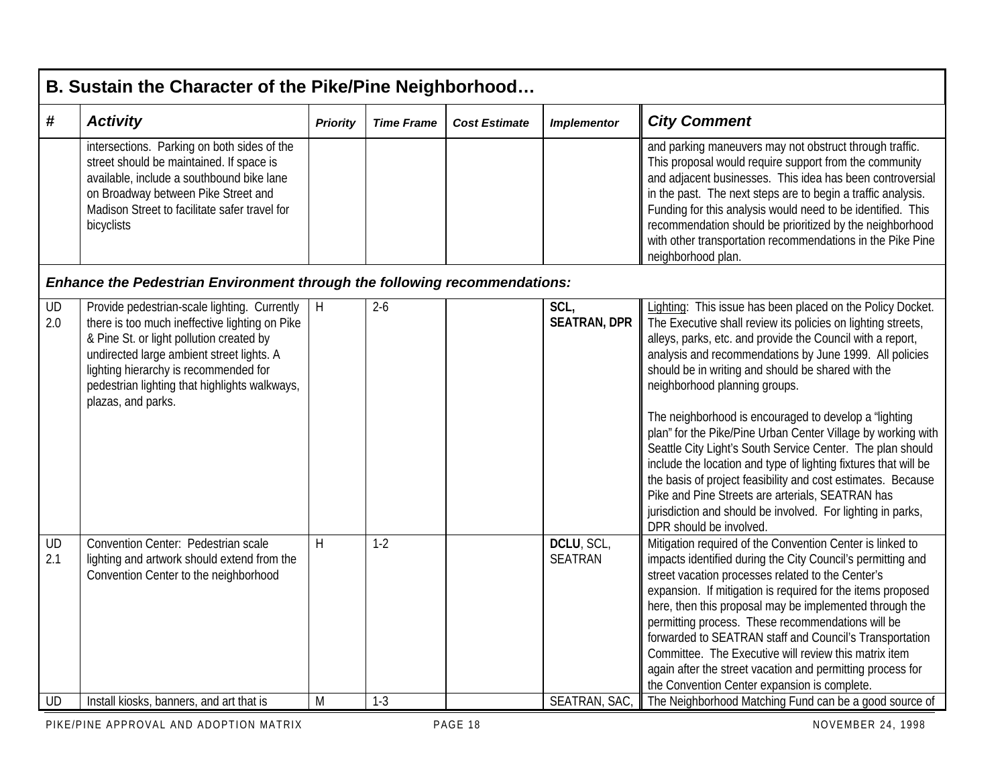|                  | B. Sustain the Character of the Pike/Pine Neighborhood                                                                                                                                                                                                                                                  |                 |                   |                      |                              |                                                                                                                                                                                                                                                                                                                                                                                                                                                                                                                                                                                                                                                                                                                                                                                                                    |  |  |  |  |  |
|------------------|---------------------------------------------------------------------------------------------------------------------------------------------------------------------------------------------------------------------------------------------------------------------------------------------------------|-----------------|-------------------|----------------------|------------------------------|--------------------------------------------------------------------------------------------------------------------------------------------------------------------------------------------------------------------------------------------------------------------------------------------------------------------------------------------------------------------------------------------------------------------------------------------------------------------------------------------------------------------------------------------------------------------------------------------------------------------------------------------------------------------------------------------------------------------------------------------------------------------------------------------------------------------|--|--|--|--|--|
| #                | <b>Activity</b>                                                                                                                                                                                                                                                                                         | <b>Priority</b> | <b>Time Frame</b> | <b>Cost Estimate</b> | <b>Implementor</b>           | <b>City Comment</b>                                                                                                                                                                                                                                                                                                                                                                                                                                                                                                                                                                                                                                                                                                                                                                                                |  |  |  |  |  |
|                  | intersections. Parking on both sides of the<br>street should be maintained. If space is<br>available, include a southbound bike lane<br>on Broadway between Pike Street and<br>Madison Street to facilitate safer travel for<br>bicyclists                                                              |                 |                   |                      |                              | and parking maneuvers may not obstruct through traffic.<br>This proposal would require support from the community<br>and adjacent businesses. This idea has been controversial<br>in the past. The next steps are to begin a traffic analysis.<br>Funding for this analysis would need to be identified. This<br>recommendation should be prioritized by the neighborhood<br>with other transportation recommendations in the Pike Pine<br>neighborhood plan.                                                                                                                                                                                                                                                                                                                                                      |  |  |  |  |  |
|                  | <b>Enhance the Pedestrian Environment through the following recommendations:</b>                                                                                                                                                                                                                        |                 |                   |                      |                              |                                                                                                                                                                                                                                                                                                                                                                                                                                                                                                                                                                                                                                                                                                                                                                                                                    |  |  |  |  |  |
| <b>UD</b><br>2.0 | Provide pedestrian-scale lighting. Currently<br>there is too much ineffective lighting on Pike<br>& Pine St. or light pollution created by<br>undirected large ambient street lights. A<br>lighting hierarchy is recommended for<br>pedestrian lighting that highlights walkways,<br>plazas, and parks. | H               | $2-6$             |                      | SCL,<br><b>SEATRAN, DPR</b>  | Lighting: This issue has been placed on the Policy Docket.<br>The Executive shall review its policies on lighting streets,<br>alleys, parks, etc. and provide the Council with a report,<br>analysis and recommendations by June 1999. All policies<br>should be in writing and should be shared with the<br>neighborhood planning groups.<br>The neighborhood is encouraged to develop a "lighting<br>plan" for the Pike/Pine Urban Center Village by working with<br>Seattle City Light's South Service Center. The plan should<br>include the location and type of lighting fixtures that will be<br>the basis of project feasibility and cost estimates. Because<br>Pike and Pine Streets are arterials, SEATRAN has<br>jurisdiction and should be involved. For lighting in parks,<br>DPR should be involved. |  |  |  |  |  |
| UD<br>2.1        | Convention Center: Pedestrian scale<br>lighting and artwork should extend from the<br>Convention Center to the neighborhood                                                                                                                                                                             | H               | $1-2$             |                      | DCLU, SCL,<br><b>SEATRAN</b> | Mitigation required of the Convention Center is linked to<br>impacts identified during the City Council's permitting and<br>street vacation processes related to the Center's<br>expansion. If mitigation is required for the items proposed<br>here, then this proposal may be implemented through the<br>permitting process. These recommendations will be<br>forwarded to SEATRAN staff and Council's Transportation<br>Committee. The Executive will review this matrix item<br>again after the street vacation and permitting process for<br>the Convention Center expansion is complete.                                                                                                                                                                                                                     |  |  |  |  |  |
| UD               | Install kiosks, banners, and art that is                                                                                                                                                                                                                                                                | M               | $1-3$             |                      | SEATRAN, SAC,                | The Neighborhood Matching Fund can be a good source of                                                                                                                                                                                                                                                                                                                                                                                                                                                                                                                                                                                                                                                                                                                                                             |  |  |  |  |  |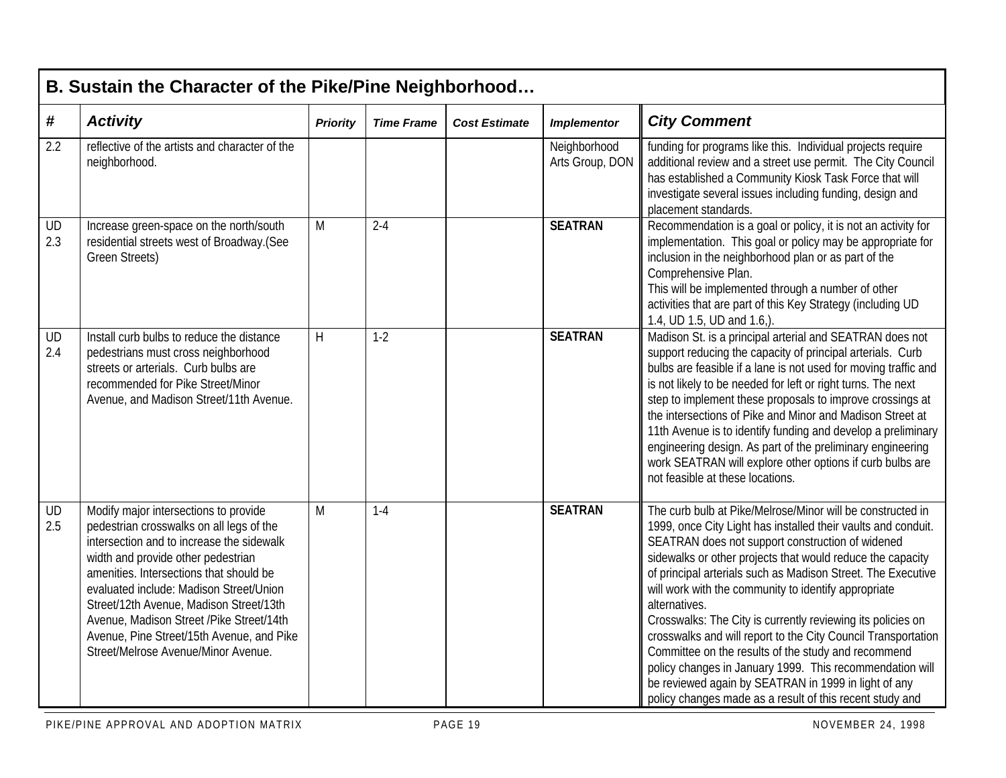|            | B. Sustain the Character of the Pike/Pine Neighborhood                                                                                                                                                                                                                                                                                                                                                                                 |                 |                   |                      |                                 |                                                                                                                                                                                                                                                                                                                                                                                                                                                                                                                                                                                                                                                                                                                                                               |  |  |  |  |  |
|------------|----------------------------------------------------------------------------------------------------------------------------------------------------------------------------------------------------------------------------------------------------------------------------------------------------------------------------------------------------------------------------------------------------------------------------------------|-----------------|-------------------|----------------------|---------------------------------|---------------------------------------------------------------------------------------------------------------------------------------------------------------------------------------------------------------------------------------------------------------------------------------------------------------------------------------------------------------------------------------------------------------------------------------------------------------------------------------------------------------------------------------------------------------------------------------------------------------------------------------------------------------------------------------------------------------------------------------------------------------|--|--|--|--|--|
| $\pmb{\#}$ | <b>Activity</b>                                                                                                                                                                                                                                                                                                                                                                                                                        | <b>Priority</b> | <b>Time Frame</b> | <b>Cost Estimate</b> | <b>Implementor</b>              | <b>City Comment</b>                                                                                                                                                                                                                                                                                                                                                                                                                                                                                                                                                                                                                                                                                                                                           |  |  |  |  |  |
| 2.2        | reflective of the artists and character of the<br>neighborhood.                                                                                                                                                                                                                                                                                                                                                                        |                 |                   |                      | Neighborhood<br>Arts Group, DON | funding for programs like this. Individual projects require<br>additional review and a street use permit. The City Council<br>has established a Community Kiosk Task Force that will<br>investigate several issues including funding, design and<br>placement standards.                                                                                                                                                                                                                                                                                                                                                                                                                                                                                      |  |  |  |  |  |
| UD<br>2.3  | Increase green-space on the north/south<br>residential streets west of Broadway.(See<br><b>Green Streets)</b>                                                                                                                                                                                                                                                                                                                          | M               | $2 - 4$           |                      | <b>SEATRAN</b>                  | Recommendation is a goal or policy, it is not an activity for<br>implementation. This goal or policy may be appropriate for<br>inclusion in the neighborhood plan or as part of the<br>Comprehensive Plan.<br>This will be implemented through a number of other<br>activities that are part of this Key Strategy (including UD<br>1.4, UD 1.5, UD and 1.6,).                                                                                                                                                                                                                                                                                                                                                                                                 |  |  |  |  |  |
| UD<br>2.4  | Install curb bulbs to reduce the distance<br>pedestrians must cross neighborhood<br>streets or arterials. Curb bulbs are<br>recommended for Pike Street/Minor<br>Avenue, and Madison Street/11th Avenue.                                                                                                                                                                                                                               | H               | $1 - 2$           |                      | <b>SEATRAN</b>                  | Madison St. is a principal arterial and SEATRAN does not<br>support reducing the capacity of principal arterials. Curb<br>bulbs are feasible if a lane is not used for moving traffic and<br>is not likely to be needed for left or right turns. The next<br>step to implement these proposals to improve crossings at<br>the intersections of Pike and Minor and Madison Street at<br>11th Avenue is to identify funding and develop a preliminary<br>engineering design. As part of the preliminary engineering<br>work SEATRAN will explore other options if curb bulbs are<br>not feasible at these locations.                                                                                                                                            |  |  |  |  |  |
| UD<br>2.5  | Modify major intersections to provide<br>pedestrian crosswalks on all legs of the<br>intersection and to increase the sidewalk<br>width and provide other pedestrian<br>amenities. Intersections that should be<br>evaluated include: Madison Street/Union<br>Street/12th Avenue, Madison Street/13th<br>Avenue, Madison Street / Pike Street/14th<br>Avenue, Pine Street/15th Avenue, and Pike<br>Street/Melrose Avenue/Minor Avenue. | M               | $1 - 4$           |                      | <b>SEATRAN</b>                  | The curb bulb at Pike/Melrose/Minor will be constructed in<br>1999, once City Light has installed their vaults and conduit.<br>SEATRAN does not support construction of widened<br>sidewalks or other projects that would reduce the capacity<br>of principal arterials such as Madison Street. The Executive<br>will work with the community to identify appropriate<br>alternatives.<br>Crosswalks: The City is currently reviewing its policies on<br>crosswalks and will report to the City Council Transportation<br>Committee on the results of the study and recommend<br>policy changes in January 1999. This recommendation will<br>be reviewed again by SEATRAN in 1999 in light of any<br>policy changes made as a result of this recent study and |  |  |  |  |  |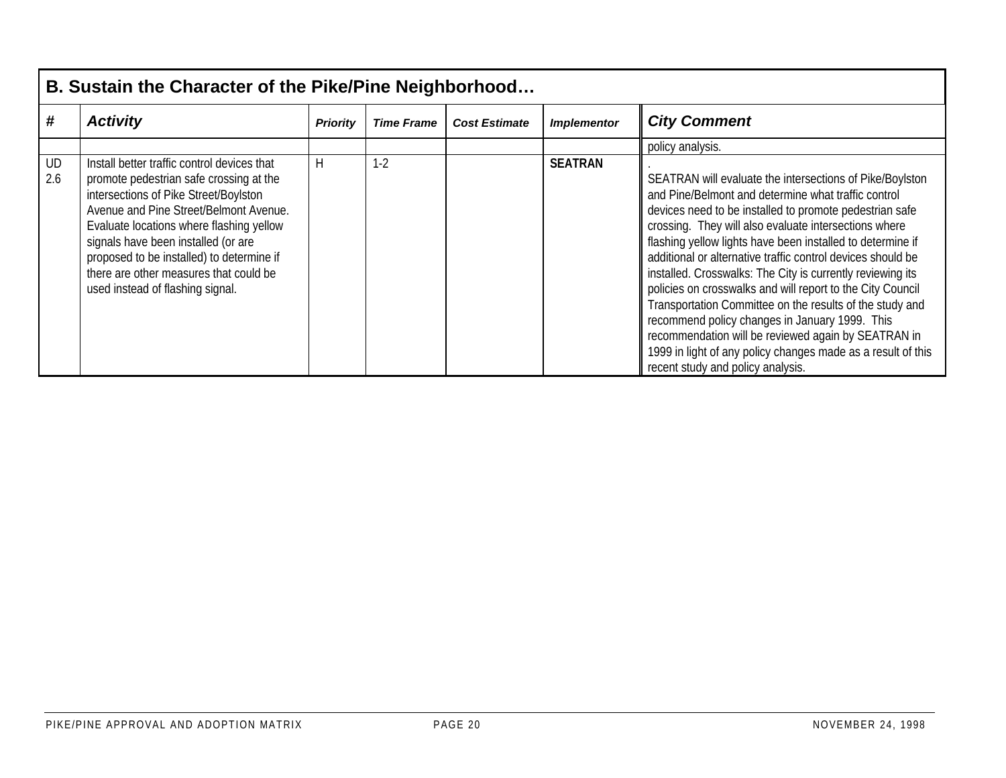|           | B. Sustain the Character of the Pike/Pine Neighborhood                                                                                                                                                                                                                                                                                                                                  |                 |                   |                      |                    |                                                                                                                                                                                                                                                                                                                                                                                                                                                                                                                                                                                                                                                                                                                                                                        |  |  |  |  |  |
|-----------|-----------------------------------------------------------------------------------------------------------------------------------------------------------------------------------------------------------------------------------------------------------------------------------------------------------------------------------------------------------------------------------------|-----------------|-------------------|----------------------|--------------------|------------------------------------------------------------------------------------------------------------------------------------------------------------------------------------------------------------------------------------------------------------------------------------------------------------------------------------------------------------------------------------------------------------------------------------------------------------------------------------------------------------------------------------------------------------------------------------------------------------------------------------------------------------------------------------------------------------------------------------------------------------------------|--|--|--|--|--|
| #         | <b>Activity</b>                                                                                                                                                                                                                                                                                                                                                                         | <b>Priority</b> | <b>Time Frame</b> | <b>Cost Estimate</b> | <b>Implementor</b> | <b>City Comment</b>                                                                                                                                                                                                                                                                                                                                                                                                                                                                                                                                                                                                                                                                                                                                                    |  |  |  |  |  |
|           |                                                                                                                                                                                                                                                                                                                                                                                         |                 |                   |                      |                    | policy analysis.                                                                                                                                                                                                                                                                                                                                                                                                                                                                                                                                                                                                                                                                                                                                                       |  |  |  |  |  |
| UD<br>2.6 | Install better traffic control devices that<br>promote pedestrian safe crossing at the<br>intersections of Pike Street/Boylston<br>Avenue and Pine Street/Belmont Avenue.<br>Evaluate locations where flashing yellow<br>signals have been installed (or are<br>proposed to be installed) to determine if<br>there are other measures that could be<br>used instead of flashing signal. | Н               | $1-2$             |                      | <b>SEATRAN</b>     | SEATRAN will evaluate the intersections of Pike/Boylston<br>and Pine/Belmont and determine what traffic control<br>devices need to be installed to promote pedestrian safe<br>crossing. They will also evaluate intersections where<br>flashing yellow lights have been installed to determine if<br>additional or alternative traffic control devices should be<br>installed. Crosswalks: The City is currently reviewing its<br>policies on crosswalks and will report to the City Council<br>Transportation Committee on the results of the study and<br>recommend policy changes in January 1999. This<br>recommendation will be reviewed again by SEATRAN in<br>1999 in light of any policy changes made as a result of this<br>recent study and policy analysis. |  |  |  |  |  |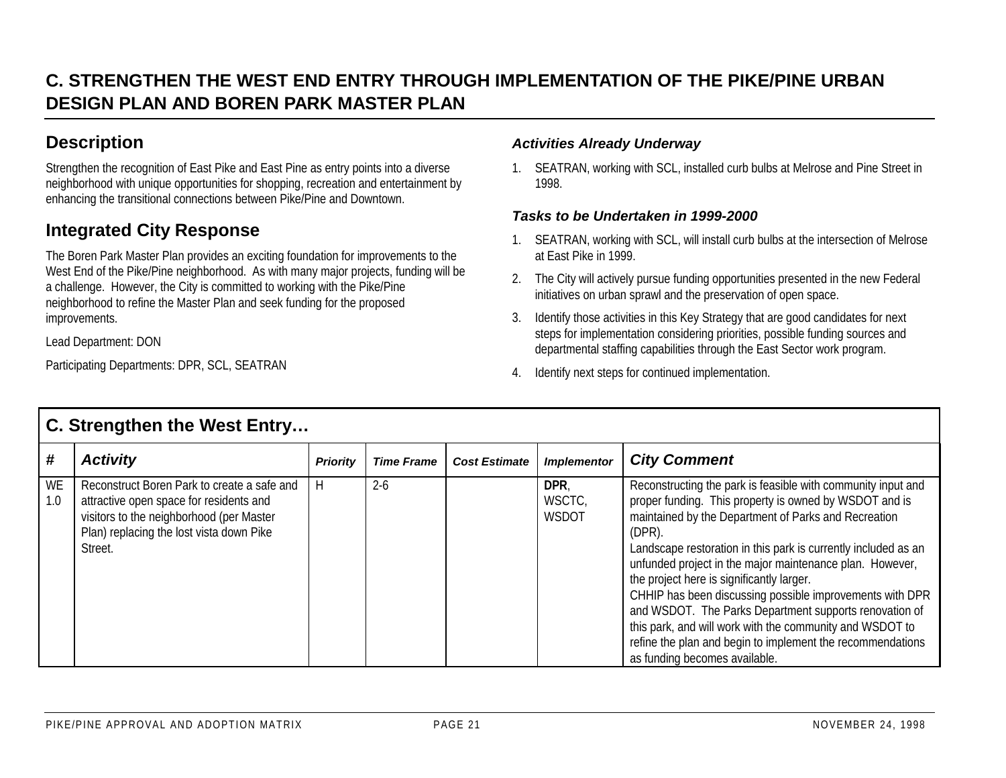## **C. STRENGTHEN THE WEST END ENTRY THROUGH IMPLEMENTATION OF THE PIKE/PINE URBANDESIGN PLAN AND BOREN PARK MASTER PLAN**

## **Description**

Strengthen the recognition of East Pike and East Pine as entry points into a diverse neighborhood with unique opportunities for shopping, recreation and entertainment by enhancing the transitional connections between Pike/Pine and Downtown.

## **Integrated City Response**

The Boren Park Master Plan provides an exciting foundation for improvements to the West End of the Pike/Pine neighborhood. As with many major projects, funding will be a challenge. However, the City is committed to working with the Pike/Pine neighborhood to refine the Master Plan and seek funding for the proposed improvements.

Lead Department: DON

Participating Departments: DPR, SCL, SEATRAN

#### *Activities Already Underway*

1. SEATRAN, working with SCL, installed curb bulbs at Melrose and Pine Street in 1998.

#### *Tasks to be Undertaken in 1999-2000*

- 1. SEATRAN, working with SCL, will install curb bulbs at the intersection of Melrose at East Pike in 1999.
- 2. The City will actively pursue funding opportunities presented in the new Federal initiatives on urban sprawl and the preservation of open space.
- 3. Identify those activities in this Key Strategy that are good candidates for next steps for implementation considering priorities, possible funding sources and departmental staffing capabilities through the East Sector work program.
- 4. Identify next steps for continued implementation.

|           | <b>C. Strengthen the West Entry</b>                                                                                                                                                       |                 |                   |                      |                         |                                                                                                                                                                                                                                                                                                                                                                                                                                                                                                                                                                                                                                                         |  |  |  |  |  |
|-----------|-------------------------------------------------------------------------------------------------------------------------------------------------------------------------------------------|-----------------|-------------------|----------------------|-------------------------|---------------------------------------------------------------------------------------------------------------------------------------------------------------------------------------------------------------------------------------------------------------------------------------------------------------------------------------------------------------------------------------------------------------------------------------------------------------------------------------------------------------------------------------------------------------------------------------------------------------------------------------------------------|--|--|--|--|--|
| #         | <b>Activity</b>                                                                                                                                                                           | <b>Priority</b> | <b>Time Frame</b> | <b>Cost Estimate</b> | <b>Implementor</b>      | <b>City Comment</b>                                                                                                                                                                                                                                                                                                                                                                                                                                                                                                                                                                                                                                     |  |  |  |  |  |
| WE<br>1.0 | Reconstruct Boren Park to create a safe and<br>attractive open space for residents and<br>visitors to the neighborhood (per Master<br>Plan) replacing the lost vista down Pike<br>Street. | H               | $2 - 6$           |                      | DPR,<br>WSCTC,<br>WSDOT | Reconstructing the park is feasible with community input and<br>proper funding. This property is owned by WSDOT and is<br>maintained by the Department of Parks and Recreation<br>$(DPR)$ .<br>Landscape restoration in this park is currently included as an<br>unfunded project in the major maintenance plan. However,<br>the project here is significantly larger.<br>CHHIP has been discussing possible improvements with DPR<br>and WSDOT. The Parks Department supports renovation of<br>this park, and will work with the community and WSDOT to<br>refine the plan and begin to implement the recommendations<br>as funding becomes available. |  |  |  |  |  |

## **C. Strengthen the West Entry…**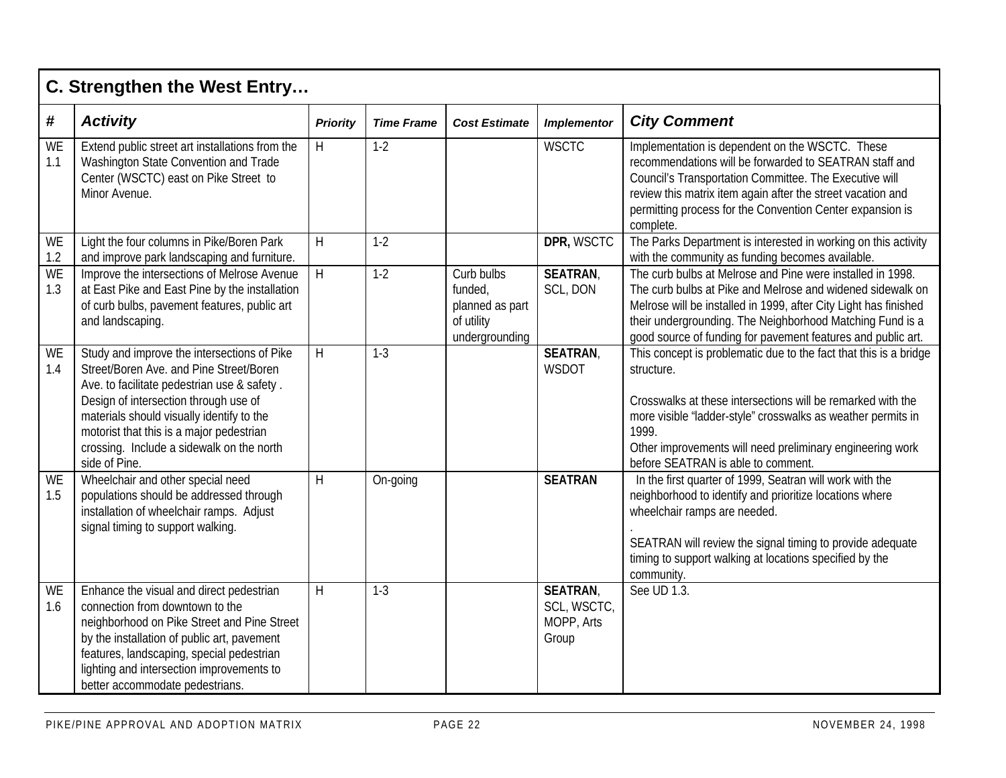|                  | C. Strengthen the West Entry                                                                                                                                                                                                                                                                                                          |                 |                   |                                                                          |                                                      |                                                                                                                                                                                                                                                                                                                            |  |  |  |  |  |
|------------------|---------------------------------------------------------------------------------------------------------------------------------------------------------------------------------------------------------------------------------------------------------------------------------------------------------------------------------------|-----------------|-------------------|--------------------------------------------------------------------------|------------------------------------------------------|----------------------------------------------------------------------------------------------------------------------------------------------------------------------------------------------------------------------------------------------------------------------------------------------------------------------------|--|--|--|--|--|
| $\pmb{\#}$       | <b>Activity</b>                                                                                                                                                                                                                                                                                                                       | <b>Priority</b> | <b>Time Frame</b> | <b>Cost Estimate</b>                                                     | <b>Implementor</b>                                   | <b>City Comment</b>                                                                                                                                                                                                                                                                                                        |  |  |  |  |  |
| WE<br>1.1        | Extend public street art installations from the<br>Washington State Convention and Trade<br>Center (WSCTC) east on Pike Street to<br>Minor Avenue.                                                                                                                                                                                    | H               | $1-2$             |                                                                          | <b>WSCTC</b>                                         | Implementation is dependent on the WSCTC. These<br>recommendations will be forwarded to SEATRAN staff and<br>Council's Transportation Committee. The Executive will<br>review this matrix item again after the street vacation and<br>permitting process for the Convention Center expansion is<br>complete.               |  |  |  |  |  |
| WE<br>1.2        | Light the four columns in Pike/Boren Park<br>and improve park landscaping and furniture.                                                                                                                                                                                                                                              | H               | $1-2$             |                                                                          | DPR, WSCTC                                           | The Parks Department is interested in working on this activity<br>with the community as funding becomes available.                                                                                                                                                                                                         |  |  |  |  |  |
| <b>WE</b><br>1.3 | Improve the intersections of Melrose Avenue<br>at East Pike and East Pine by the installation<br>of curb bulbs, pavement features, public art<br>and landscaping.                                                                                                                                                                     | $\overline{H}$  | $1-2$             | Curb bulbs<br>funded,<br>planned as part<br>of utility<br>undergrounding | <b>SEATRAN</b><br>SCL, DON                           | The curb bulbs at Melrose and Pine were installed in 1998.<br>The curb bulbs at Pike and Melrose and widened sidewalk on<br>Melrose will be installed in 1999, after City Light has finished<br>their undergrounding. The Neighborhood Matching Fund is a<br>good source of funding for pavement features and public art.  |  |  |  |  |  |
| WE<br>1.4        | Study and improve the intersections of Pike<br>Street/Boren Ave. and Pine Street/Boren<br>Ave. to facilitate pedestrian use & safety.<br>Design of intersection through use of<br>materials should visually identify to the<br>motorist that this is a major pedestrian<br>crossing. Include a sidewalk on the north<br>side of Pine. | H               | $1-3$             |                                                                          | <b>SEATRAN,</b><br><b>WSDOT</b>                      | This concept is problematic due to the fact that this is a bridge<br>structure.<br>Crosswalks at these intersections will be remarked with the<br>more visible "ladder-style" crosswalks as weather permits in<br>1999.<br>Other improvements will need preliminary engineering work<br>before SEATRAN is able to comment. |  |  |  |  |  |
| WE<br>1.5        | Wheelchair and other special need<br>populations should be addressed through<br>installation of wheelchair ramps. Adjust<br>signal timing to support walking.                                                                                                                                                                         | H               | On-going          |                                                                          | <b>SEATRAN</b>                                       | In the first quarter of 1999, Seatran will work with the<br>neighborhood to identify and prioritize locations where<br>wheelchair ramps are needed.<br>SEATRAN will review the signal timing to provide adequate<br>timing to support walking at locations specified by the<br>community.                                  |  |  |  |  |  |
| WE<br>1.6        | Enhance the visual and direct pedestrian<br>connection from downtown to the<br>neighborhood on Pike Street and Pine Street<br>by the installation of public art, pavement<br>features, landscaping, special pedestrian<br>lighting and intersection improvements to<br>better accommodate pedestrians.                                | H               | $1-3$             |                                                                          | <b>SEATRAN</b><br>SCL, WSCTC,<br>MOPP, Arts<br>Group | See UD 1.3.                                                                                                                                                                                                                                                                                                                |  |  |  |  |  |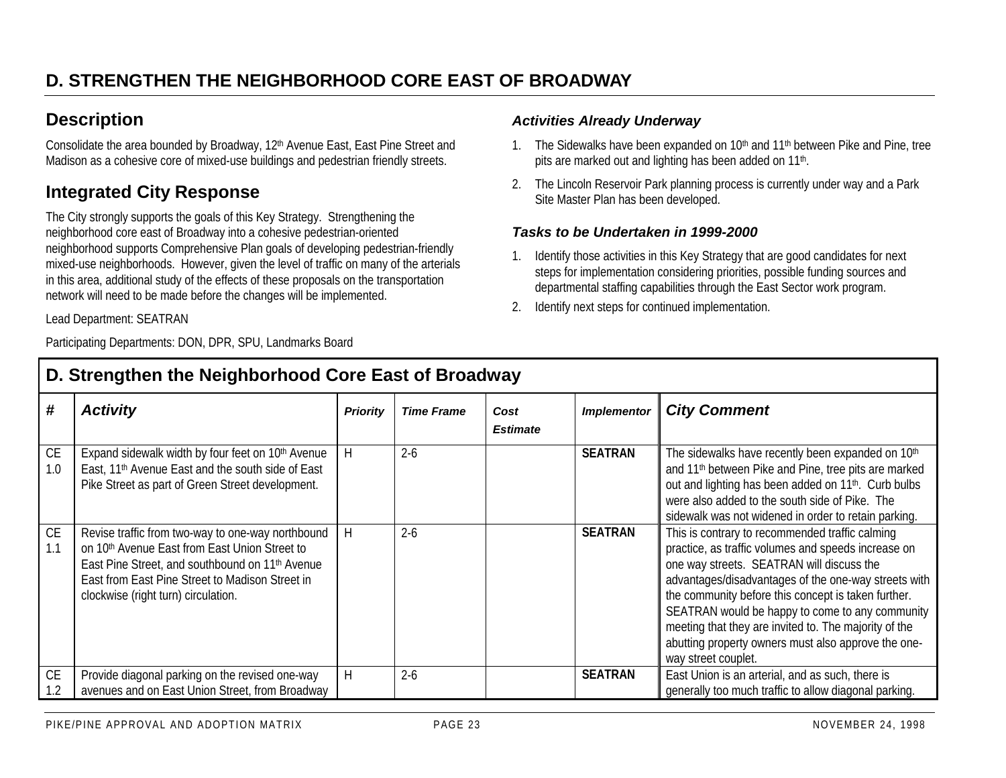## **Description**

Consolidate the area bounded by Broadway, 12<sup>th</sup> Avenue East, East Pine Street and Madison as a cohesive core of mixed-use buildings and pedestrian friendly streets.

## **Integrated City Response**

The City strongly supports the goals of this Key Strategy. Strengthening the neighborhood core east of Broadway into a cohesive pedestrian-oriented neighborhood supports Comprehensive Plan goals of developing pedestrian-friendly mixed-use neighborhoods. However, given the level of traffic on many of the arterials in this area, additional study of the effects of these proposals on the transportation network will need to be made before the changes will be implemented.

Lead Department: SEATRAN

Participating Departments: DON, DPR, SPU, Landmarks Board

### *Activities Already Underway*

- 1. The Sidewalks have been expanded on 10<sup>th</sup> and 11<sup>th</sup> between Pike and Pine, tree pits are marked out and lighting has been added on 11<sup>th</sup>.
- 2. The Lincoln Reservoir Park planning process is currently under way and a Park Site Master Plan has been developed.

#### *Tasks to be Undertaken in 1999-2000*

- 1. Identify those activities in this Key Strategy that are good candidates for next steps for implementation considering priorities, possible funding sources and departmental staffing capabilities through the East Sector work program.
- 2. Identify next steps for continued implementation.

|                          | 2. Ou chguich the neighborhood Oore East or Droadway                                                                                                                                                                                                        |                 |                   |                         |                    |                                                                                                                                                                                                                                                                                                                                                                                                                                                              |  |  |  |  |  |  |
|--------------------------|-------------------------------------------------------------------------------------------------------------------------------------------------------------------------------------------------------------------------------------------------------------|-----------------|-------------------|-------------------------|--------------------|--------------------------------------------------------------------------------------------------------------------------------------------------------------------------------------------------------------------------------------------------------------------------------------------------------------------------------------------------------------------------------------------------------------------------------------------------------------|--|--|--|--|--|--|
| #                        | <b>Activity</b>                                                                                                                                                                                                                                             | <b>Priority</b> | <b>Time Frame</b> | Cost<br><b>Estimate</b> | <b>Implementor</b> | <b>City Comment</b>                                                                                                                                                                                                                                                                                                                                                                                                                                          |  |  |  |  |  |  |
| CE<br>1.0                | Expand sidewalk width by four feet on 10th Avenue<br>East, 11 <sup>th</sup> Avenue East and the south side of East<br>Pike Street as part of Green Street development.                                                                                      |                 | $2 - 6$           |                         | <b>SEATRAN</b>     | The sidewalks have recently been expanded on 10th<br>and 11 <sup>th</sup> between Pike and Pine, tree pits are marked<br>out and lighting has been added on 11 <sup>th</sup> . Curb bulbs<br>were also added to the south side of Pike. The<br>sidewalk was not widened in order to retain parking.                                                                                                                                                          |  |  |  |  |  |  |
| <b>CE</b><br>$\vert$ 1.1 | Revise traffic from two-way to one-way northbound<br>on 10th Avenue East from East Union Street to<br>East Pine Street, and southbound on 11 <sup>th</sup> Avenue<br>East from East Pine Street to Madison Street in<br>clockwise (right turn) circulation. | H               | $2-6$             |                         | <b>SEATRAN</b>     | This is contrary to recommended traffic calming<br>practice, as traffic volumes and speeds increase on<br>one way streets. SEATRAN will discuss the<br>advantages/disadvantages of the one-way streets with<br>the community before this concept is taken further.<br>SEATRAN would be happy to come to any community<br>meeting that they are invited to. The majority of the<br>abutting property owners must also approve the one-<br>way street couplet. |  |  |  |  |  |  |
| <b>CE</b><br>1.2         | Provide diagonal parking on the revised one-way<br>avenues and on East Union Street, from Broadway                                                                                                                                                          | H               | $2-6$             |                         | <b>SEATRAN</b>     | East Union is an arterial, and as such, there is<br>generally too much traffic to allow diagonal parking.                                                                                                                                                                                                                                                                                                                                                    |  |  |  |  |  |  |

## **D. Strengthen the Neighborhood Core East of Broadway**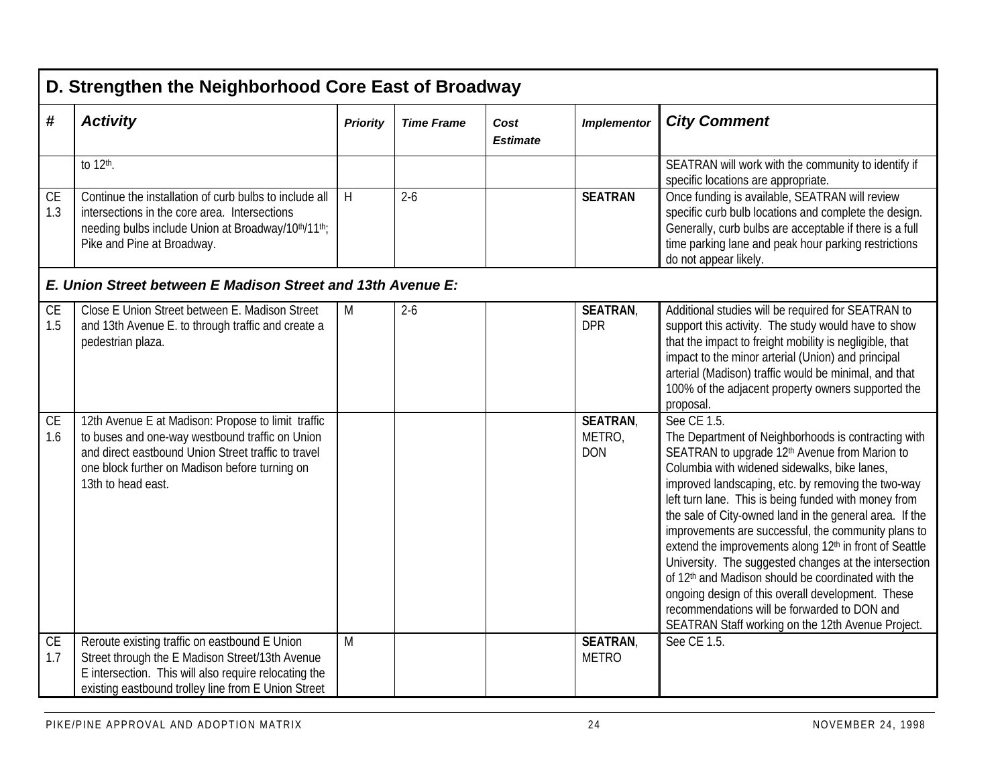|                  | D. Strengthen the Neighborhood Core East of Broadway                                                                                                                                                                                 |                 |                   |                         |                                        |                                                                                                                                                                                                                                                                                                                                                                                                                                                                                                                                                                                                                                                                                                                                                                |  |  |  |  |
|------------------|--------------------------------------------------------------------------------------------------------------------------------------------------------------------------------------------------------------------------------------|-----------------|-------------------|-------------------------|----------------------------------------|----------------------------------------------------------------------------------------------------------------------------------------------------------------------------------------------------------------------------------------------------------------------------------------------------------------------------------------------------------------------------------------------------------------------------------------------------------------------------------------------------------------------------------------------------------------------------------------------------------------------------------------------------------------------------------------------------------------------------------------------------------------|--|--|--|--|
| #                | <b>Activity</b>                                                                                                                                                                                                                      | <b>Priority</b> | <b>Time Frame</b> | Cost<br><b>Estimate</b> | <b>Implementor</b>                     | <b>City Comment</b>                                                                                                                                                                                                                                                                                                                                                                                                                                                                                                                                                                                                                                                                                                                                            |  |  |  |  |
|                  | to 12th.                                                                                                                                                                                                                             |                 |                   |                         |                                        | SEATRAN will work with the community to identify if<br>specific locations are appropriate.                                                                                                                                                                                                                                                                                                                                                                                                                                                                                                                                                                                                                                                                     |  |  |  |  |
| <b>CE</b><br>1.3 | Continue the installation of curb bulbs to include all<br>intersections in the core area. Intersections<br>needing bulbs include Union at Broadway/10th/11th;<br>Pike and Pine at Broadway.                                          | H               | $2 - 6$           |                         | <b>SEATRAN</b>                         | Once funding is available, SEATRAN will review<br>specific curb bulb locations and complete the design.<br>Generally, curb bulbs are acceptable if there is a full<br>time parking lane and peak hour parking restrictions<br>do not appear likely.                                                                                                                                                                                                                                                                                                                                                                                                                                                                                                            |  |  |  |  |
|                  | E. Union Street between E Madison Street and 13th Avenue E:                                                                                                                                                                          |                 |                   |                         |                                        |                                                                                                                                                                                                                                                                                                                                                                                                                                                                                                                                                                                                                                                                                                                                                                |  |  |  |  |
| <b>CE</b><br>1.5 | Close E Union Street between E. Madison Street<br>and 13th Avenue E. to through traffic and create a<br>pedestrian plaza.                                                                                                            | M               | $2 - 6$           |                         | <b>SEATRAN,</b><br><b>DPR</b>          | Additional studies will be required for SEATRAN to<br>support this activity. The study would have to show<br>that the impact to freight mobility is negligible, that<br>impact to the minor arterial (Union) and principal<br>arterial (Madison) traffic would be minimal, and that<br>100% of the adjacent property owners supported the<br>proposal.                                                                                                                                                                                                                                                                                                                                                                                                         |  |  |  |  |
| <b>CE</b><br>1.6 | 12th Avenue E at Madison: Propose to limit traffic<br>to buses and one-way westbound traffic on Union<br>and direct eastbound Union Street traffic to travel<br>one block further on Madison before turning on<br>13th to head east. |                 |                   |                         | <b>SEATRAN</b><br>METRO,<br><b>DON</b> | See CE 1.5.<br>The Department of Neighborhoods is contracting with<br>SEATRAN to upgrade 12 <sup>th</sup> Avenue from Marion to<br>Columbia with widened sidewalks, bike lanes,<br>improved landscaping, etc. by removing the two-way<br>left turn lane. This is being funded with money from<br>the sale of City-owned land in the general area. If the<br>improvements are successful, the community plans to<br>extend the improvements along 12 <sup>th</sup> in front of Seattle<br>University. The suggested changes at the intersection<br>of 12th and Madison should be coordinated with the<br>ongoing design of this overall development. These<br>recommendations will be forwarded to DON and<br>SEATRAN Staff working on the 12th Avenue Project. |  |  |  |  |
| CE<br>1.7        | Reroute existing traffic on eastbound E Union<br>Street through the E Madison Street/13th Avenue<br>E intersection. This will also require relocating the<br>existing eastbound trolley line from E Union Street                     | M               |                   |                         | SEATRAN,<br><b>METRO</b>               | See CE 1.5.                                                                                                                                                                                                                                                                                                                                                                                                                                                                                                                                                                                                                                                                                                                                                    |  |  |  |  |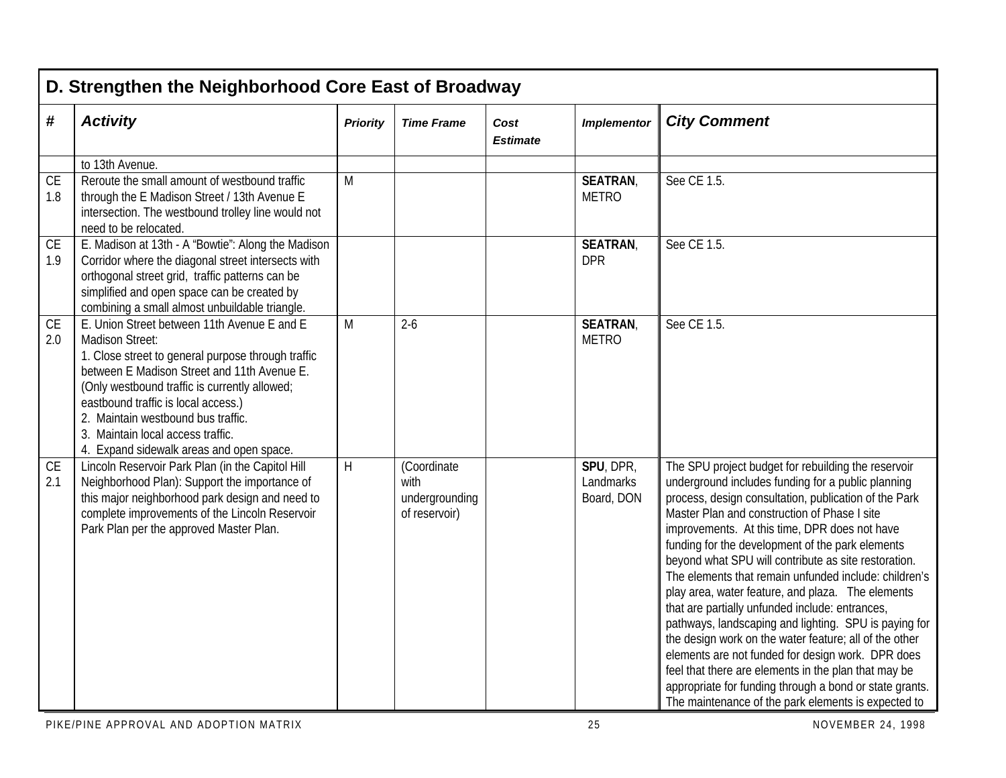|                  | D. Strengthen the Neighborhood Core East of Broadway                                                                                                                                                                                                                                                                                                                                      |                 |                                                        |                         |                                      |                                                                                                                                                                                                                                                                                                                                                                                                                                                                                                                                                                                                                                                                                                                                                                                                                                                                                                    |  |  |  |  |  |
|------------------|-------------------------------------------------------------------------------------------------------------------------------------------------------------------------------------------------------------------------------------------------------------------------------------------------------------------------------------------------------------------------------------------|-----------------|--------------------------------------------------------|-------------------------|--------------------------------------|----------------------------------------------------------------------------------------------------------------------------------------------------------------------------------------------------------------------------------------------------------------------------------------------------------------------------------------------------------------------------------------------------------------------------------------------------------------------------------------------------------------------------------------------------------------------------------------------------------------------------------------------------------------------------------------------------------------------------------------------------------------------------------------------------------------------------------------------------------------------------------------------------|--|--|--|--|--|
| #                | <b>Activity</b>                                                                                                                                                                                                                                                                                                                                                                           | <b>Priority</b> | <b>Time Frame</b>                                      | Cost<br><b>Estimate</b> | <b>Implementor</b>                   | <b>City Comment</b>                                                                                                                                                                                                                                                                                                                                                                                                                                                                                                                                                                                                                                                                                                                                                                                                                                                                                |  |  |  |  |  |
|                  | to 13th Avenue.                                                                                                                                                                                                                                                                                                                                                                           |                 |                                                        |                         |                                      |                                                                                                                                                                                                                                                                                                                                                                                                                                                                                                                                                                                                                                                                                                                                                                                                                                                                                                    |  |  |  |  |  |
| CE<br>1.8        | Reroute the small amount of westbound traffic<br>through the E Madison Street / 13th Avenue E<br>intersection. The westbound trolley line would not<br>need to be relocated.                                                                                                                                                                                                              | M               |                                                        |                         | <b>SEATRAN,</b><br><b>METRO</b>      | See CE 1.5.                                                                                                                                                                                                                                                                                                                                                                                                                                                                                                                                                                                                                                                                                                                                                                                                                                                                                        |  |  |  |  |  |
| <b>CE</b><br>1.9 | E. Madison at 13th - A "Bowtie": Along the Madison<br>Corridor where the diagonal street intersects with<br>orthogonal street grid, traffic patterns can be<br>simplified and open space can be created by<br>combining a small almost unbuildable triangle.                                                                                                                              |                 |                                                        |                         | <b>SEATRAN,</b><br><b>DPR</b>        | See CE 1.5.                                                                                                                                                                                                                                                                                                                                                                                                                                                                                                                                                                                                                                                                                                                                                                                                                                                                                        |  |  |  |  |  |
| <b>CE</b><br>2.0 | E. Union Street between 11th Avenue E and E<br><b>Madison Street:</b><br>1. Close street to general purpose through traffic<br>between E Madison Street and 11th Avenue E.<br>(Only westbound traffic is currently allowed;<br>eastbound traffic is local access.)<br>2. Maintain westbound bus traffic.<br>3. Maintain local access traffic.<br>4. Expand sidewalk areas and open space. | M               | $2 - 6$                                                |                         | <b>SEATRAN,</b><br><b>METRO</b>      | See CE 1.5.                                                                                                                                                                                                                                                                                                                                                                                                                                                                                                                                                                                                                                                                                                                                                                                                                                                                                        |  |  |  |  |  |
| CE<br>2.1        | Lincoln Reservoir Park Plan (in the Capitol Hill<br>Neighborhood Plan): Support the importance of<br>this major neighborhood park design and need to<br>complete improvements of the Lincoln Reservoir<br>Park Plan per the approved Master Plan.                                                                                                                                         | H               | (Coordinate<br>with<br>undergrounding<br>of reservoir) |                         | SPU, DPR,<br>Landmarks<br>Board, DON | The SPU project budget for rebuilding the reservoir<br>underground includes funding for a public planning<br>process, design consultation, publication of the Park<br>Master Plan and construction of Phase I site<br>improvements. At this time, DPR does not have<br>funding for the development of the park elements<br>beyond what SPU will contribute as site restoration.<br>The elements that remain unfunded include: children's<br>play area, water feature, and plaza. The elements<br>that are partially unfunded include: entrances,<br>pathways, landscaping and lighting. SPU is paying for<br>the design work on the water feature; all of the other<br>elements are not funded for design work. DPR does<br>feel that there are elements in the plan that may be<br>appropriate for funding through a bond or state grants.<br>The maintenance of the park elements is expected to |  |  |  |  |  |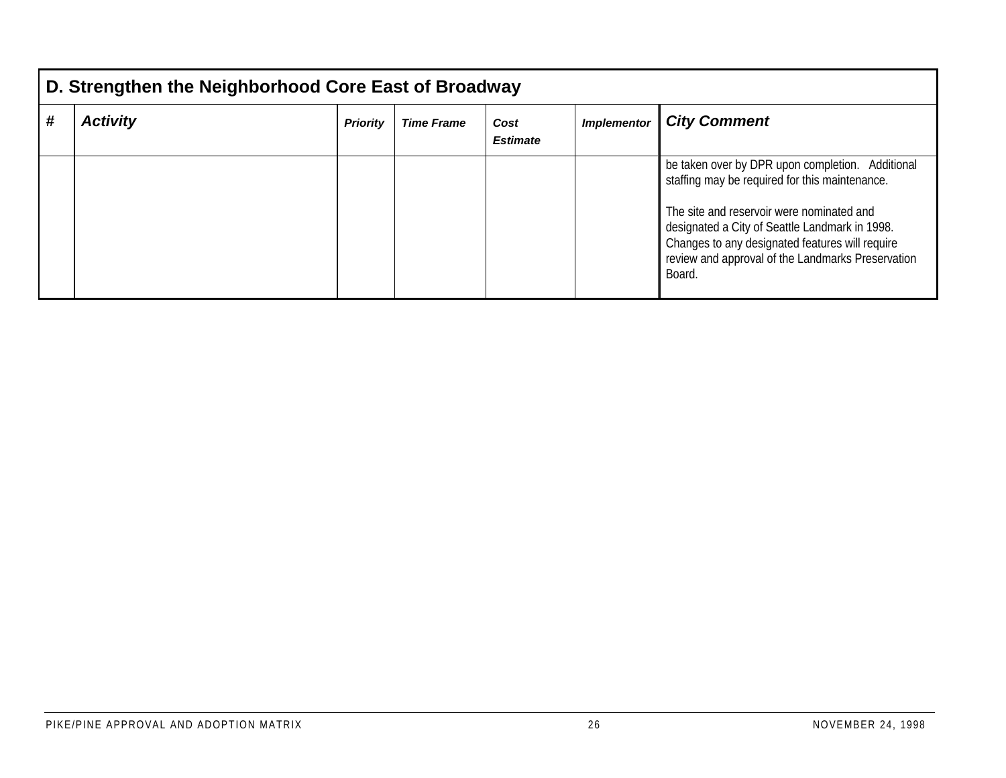|   | D. Strengthen the Neighborhood Core East of Broadway                                                                            |  |  |  |  |                                                                                                                                                                                                                                                                                                                     |  |  |  |  |  |
|---|---------------------------------------------------------------------------------------------------------------------------------|--|--|--|--|---------------------------------------------------------------------------------------------------------------------------------------------------------------------------------------------------------------------------------------------------------------------------------------------------------------------|--|--|--|--|--|
| # | <b>Activity</b><br><b>City Comment</b><br><b>Priority</b><br><b>Implementor</b><br><b>Time Frame</b><br>Cost<br><b>Estimate</b> |  |  |  |  |                                                                                                                                                                                                                                                                                                                     |  |  |  |  |  |
|   |                                                                                                                                 |  |  |  |  | be taken over by DPR upon completion. Additional<br>staffing may be required for this maintenance.<br>The site and reservoir were nominated and<br>designated a City of Seattle Landmark in 1998.<br>Changes to any designated features will require<br>review and approval of the Landmarks Preservation<br>Board. |  |  |  |  |  |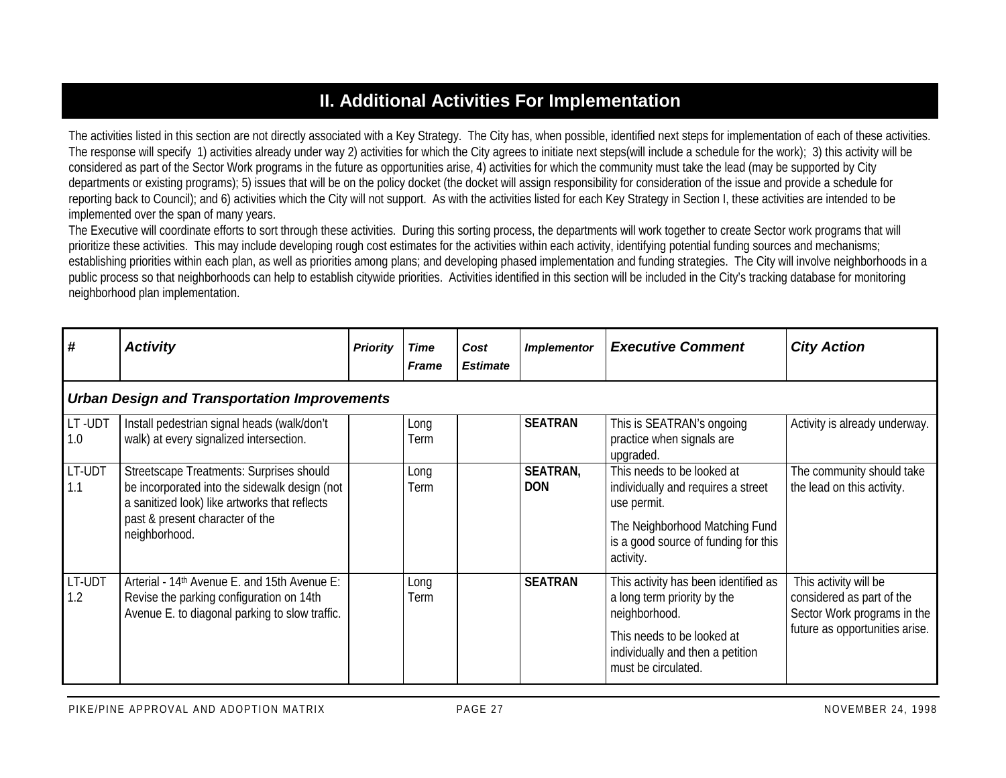## **II. Additional Activities For Implementation**

The activities listed in this section are not directly associated with a Key Strategy. The City has, when possible, identified next steps for implementation of each of these activities. The response will specify 1) activities already under way 2) activities for which the City agrees to initiate next steps(will include a schedule for the work); 3) this activity will be considered as part of the Sector Work programs in the future as opportunities arise, 4) activities for which the community must take the lead (may be supported by City departments or existing programs); 5) issues that will be on the policy docket (the docket will assign responsibility for consideration of the issue and provide a schedule for reporting back to Council); and 6) activities which the City will not support. As with the activities listed for each Key Strategy in Section I, these activities are intended to be implemented over the span of many years.

The Executive will coordinate efforts to sort through these activities. During this sorting process, the departments will work together to create Sector work programs that will prioritize these activities. This may include developing rough cost estimates for the activities within each activity, identifying potential funding sources and mechanisms; establishing priorities within each plan, as well as priorities among plans; and developing phased implementation and funding strategies. The City will involve neighborhoods in a public process so that neighborhoods can help to establish citywide priorities. Activities identified in this section will be included in the City's tracking database for monitoring neighborhood plan implementation.

| #             | <b>Activity</b>                                                                                                                                                                                | <b>Priority</b> | Time<br><b>Frame</b> | Cost<br><b>Estimate</b> | <b>Implementor</b>            | <b>Executive Comment</b>                                                                                                                                                      | <b>City Action</b>                                                                                                  |  |  |  |  |  |
|---------------|------------------------------------------------------------------------------------------------------------------------------------------------------------------------------------------------|-----------------|----------------------|-------------------------|-------------------------------|-------------------------------------------------------------------------------------------------------------------------------------------------------------------------------|---------------------------------------------------------------------------------------------------------------------|--|--|--|--|--|
|               | <b>Urban Design and Transportation Improvements</b>                                                                                                                                            |                 |                      |                         |                               |                                                                                                                                                                               |                                                                                                                     |  |  |  |  |  |
| LT-UDT<br>1.0 | Install pedestrian signal heads (walk/don't<br>walk) at every signalized intersection.                                                                                                         |                 | Long<br>Term         |                         | <b>SEATRAN</b>                | This is SEATRAN's ongoing<br>practice when signals are<br>upgraded.                                                                                                           | Activity is already underway.                                                                                       |  |  |  |  |  |
| LT-UDT<br>1.1 | Streetscape Treatments: Surprises should<br>be incorporated into the sidewalk design (not<br>a sanitized look) like artworks that reflects<br>past & present character of the<br>neighborhood. |                 | Long<br>Term         |                         | <b>SEATRAN,</b><br><b>DON</b> | This needs to be looked at<br>individually and requires a street<br>use permit.<br>The Neighborhood Matching Fund<br>is a good source of funding for this<br>activity.        | The community should take<br>the lead on this activity.                                                             |  |  |  |  |  |
| LT-UDT<br>1.2 | Arterial - 14 <sup>th</sup> Avenue E. and 15th Avenue E:<br>Revise the parking configuration on 14th<br>Avenue E. to diagonal parking to slow traffic.                                         |                 | Long<br>Term         |                         | <b>SEATRAN</b>                | This activity has been identified as<br>a long term priority by the<br>neighborhood.<br>This needs to be looked at<br>individually and then a petition<br>must be circulated. | This activity will be<br>considered as part of the<br>Sector Work programs in the<br>future as opportunities arise. |  |  |  |  |  |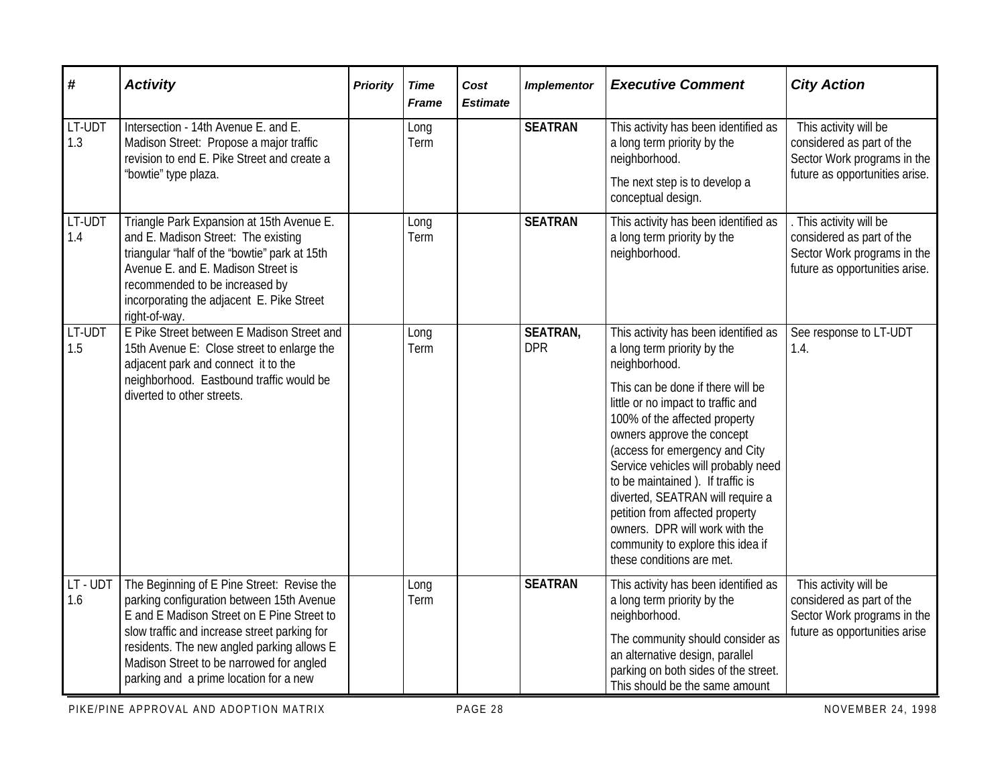| #             | <b>Activity</b>                                                                                                                                                                                                                                                                                                           | <b>Priority</b> | <b>Time</b><br><b>Frame</b> | Cost<br><b>Estimate</b> | <b>Implementor</b>            | <b>Executive Comment</b>                                                                                                                                                                                                                                                                                                                                                                                                                                                                                               | <b>City Action</b>                                                                                                  |
|---------------|---------------------------------------------------------------------------------------------------------------------------------------------------------------------------------------------------------------------------------------------------------------------------------------------------------------------------|-----------------|-----------------------------|-------------------------|-------------------------------|------------------------------------------------------------------------------------------------------------------------------------------------------------------------------------------------------------------------------------------------------------------------------------------------------------------------------------------------------------------------------------------------------------------------------------------------------------------------------------------------------------------------|---------------------------------------------------------------------------------------------------------------------|
| LT-UDT<br>1.3 | Intersection - 14th Avenue E. and E.<br>Madison Street: Propose a major traffic<br>revision to end E. Pike Street and create a<br>"bowtie" type plaza.                                                                                                                                                                    |                 | Long<br>Term                |                         | <b>SEATRAN</b>                | This activity has been identified as<br>a long term priority by the<br>neighborhood.<br>The next step is to develop a<br>conceptual design.                                                                                                                                                                                                                                                                                                                                                                            | This activity will be<br>considered as part of the<br>Sector Work programs in the<br>future as opportunities arise. |
| LT-UDT<br>1.4 | Triangle Park Expansion at 15th Avenue E.<br>and E. Madison Street: The existing<br>triangular "half of the "bowtie" park at 15th<br>Avenue E. and E. Madison Street is<br>recommended to be increased by<br>incorporating the adjacent E. Pike Street<br>right-of-way.                                                   |                 | Long<br>Term                |                         | <b>SEATRAN</b>                | This activity has been identified as<br>a long term priority by the<br>neighborhood.                                                                                                                                                                                                                                                                                                                                                                                                                                   | This activity will be<br>considered as part of the<br>Sector Work programs in the<br>future as opportunities arise. |
| LT-UDT<br>1.5 | E Pike Street between E Madison Street and<br>15th Avenue E: Close street to enlarge the<br>adjacent park and connect it to the<br>neighborhood. Eastbound traffic would be<br>diverted to other streets.                                                                                                                 |                 | Long<br>Term                |                         | <b>SEATRAN,</b><br><b>DPR</b> | This activity has been identified as<br>a long term priority by the<br>neighborhood.<br>This can be done if there will be<br>little or no impact to traffic and<br>100% of the affected property<br>owners approve the concept<br>(access for emergency and City<br>Service vehicles will probably need<br>to be maintained). If traffic is<br>diverted, SEATRAN will require a<br>petition from affected property<br>owners. DPR will work with the<br>community to explore this idea if<br>these conditions are met. | See response to LT-UDT<br>1.4.                                                                                      |
| LT-UDT<br>1.6 | The Beginning of E Pine Street: Revise the<br>parking configuration between 15th Avenue<br>E and E Madison Street on E Pine Street to<br>slow traffic and increase street parking for<br>residents. The new angled parking allows E<br>Madison Street to be narrowed for angled<br>parking and a prime location for a new |                 | Long<br>Term                |                         | <b>SEATRAN</b>                | This activity has been identified as<br>a long term priority by the<br>neighborhood.<br>The community should consider as<br>an alternative design, parallel<br>parking on both sides of the street.<br>This should be the same amount                                                                                                                                                                                                                                                                                  | This activity will be<br>considered as part of the<br>Sector Work programs in the<br>future as opportunities arise  |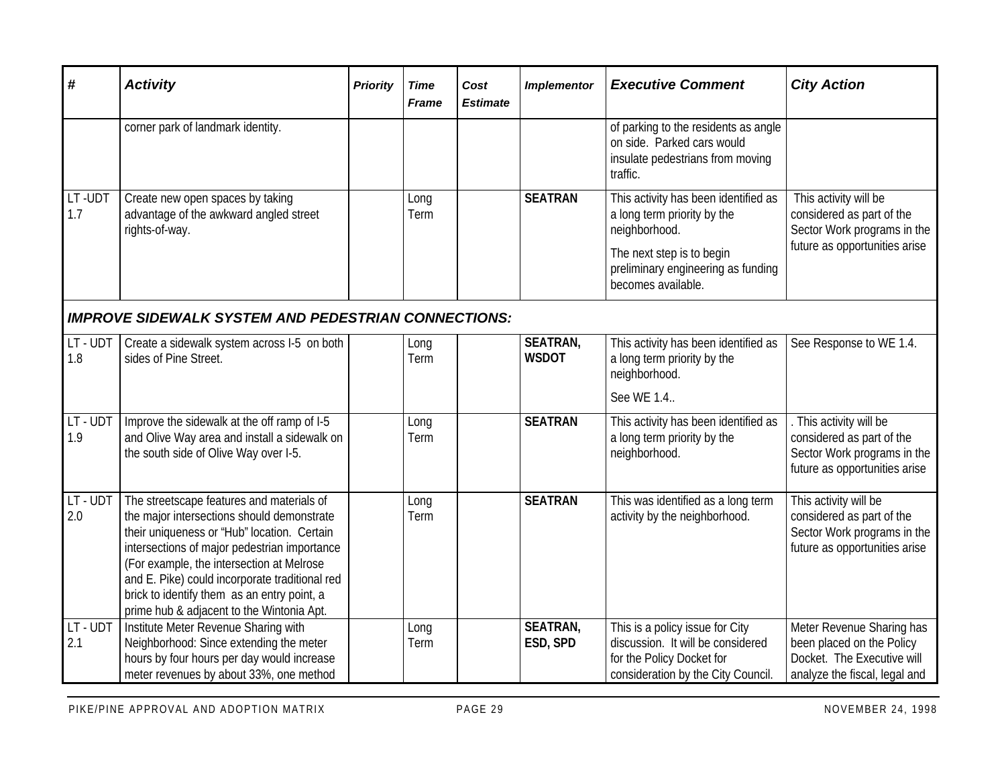| #               | <b>Activity</b>                                                                                                                                                                                                                                                                                                                                                                   | <b>Priority</b> | <b>Time</b><br><b>Frame</b> | Cost<br><b>Estimate</b> | <b>Implementor</b>              | <b>Executive Comment</b>                                                                                                                                                      | <b>City Action</b>                                                                                                    |
|-----------------|-----------------------------------------------------------------------------------------------------------------------------------------------------------------------------------------------------------------------------------------------------------------------------------------------------------------------------------------------------------------------------------|-----------------|-----------------------------|-------------------------|---------------------------------|-------------------------------------------------------------------------------------------------------------------------------------------------------------------------------|-----------------------------------------------------------------------------------------------------------------------|
|                 | corner park of landmark identity.                                                                                                                                                                                                                                                                                                                                                 |                 |                             |                         |                                 | of parking to the residents as angle<br>on side. Parked cars would<br>insulate pedestrians from moving<br>traffic.                                                            |                                                                                                                       |
| LT-UDT<br>1.7   | Create new open spaces by taking<br>advantage of the awkward angled street<br>rights-of-way.                                                                                                                                                                                                                                                                                      |                 | Long<br>Term                |                         | <b>SEATRAN</b>                  | This activity has been identified as<br>a long term priority by the<br>neighborhood.<br>The next step is to begin<br>preliminary engineering as funding<br>becomes available. | This activity will be<br>considered as part of the<br>Sector Work programs in the<br>future as opportunities arise    |
|                 | <b>IMPROVE SIDEWALK SYSTEM AND PEDESTRIAN CONNECTIONS:</b>                                                                                                                                                                                                                                                                                                                        |                 |                             |                         |                                 |                                                                                                                                                                               |                                                                                                                       |
| LT-UDT<br>1.8   | Create a sidewalk system across I-5 on both<br>sides of Pine Street.                                                                                                                                                                                                                                                                                                              |                 | Long<br>Term                |                         | <b>SEATRAN,</b><br><b>WSDOT</b> | This activity has been identified as<br>a long term priority by the<br>neighborhood.<br>See WE 1.4                                                                            | See Response to WE 1.4.                                                                                               |
| LT-UDT<br>1.9   | Improve the sidewalk at the off ramp of I-5<br>and Olive Way area and install a sidewalk on<br>the south side of Olive Way over I-5.                                                                                                                                                                                                                                              |                 | Long<br>Term                |                         | <b>SEATRAN</b>                  | This activity has been identified as<br>a long term priority by the<br>neighborhood.                                                                                          | . This activity will be<br>considered as part of the<br>Sector Work programs in the<br>future as opportunities arise  |
| LT - UDT<br>2.0 | The streetscape features and materials of<br>the major intersections should demonstrate<br>their uniqueness or "Hub" location. Certain<br>intersections of major pedestrian importance<br>(For example, the intersection at Melrose<br>and E. Pike) could incorporate traditional red<br>brick to identify them as an entry point, a<br>prime hub & adjacent to the Wintonia Apt. |                 | Long<br>Term                |                         | <b>SEATRAN</b>                  | This was identified as a long term<br>activity by the neighborhood.                                                                                                           | This activity will be<br>considered as part of the<br>Sector Work programs in the<br>future as opportunities arise    |
| LT - UDT<br>2.1 | Institute Meter Revenue Sharing with<br>Neighborhood: Since extending the meter<br>hours by four hours per day would increase<br>meter revenues by about 33%, one method                                                                                                                                                                                                          |                 | Long<br>Term                |                         | <b>SEATRAN,</b><br>ESD, SPD     | This is a policy issue for City<br>discussion. It will be considered<br>for the Policy Docket for<br>consideration by the City Council.                                       | Meter Revenue Sharing has<br>been placed on the Policy<br>Docket. The Executive will<br>analyze the fiscal, legal and |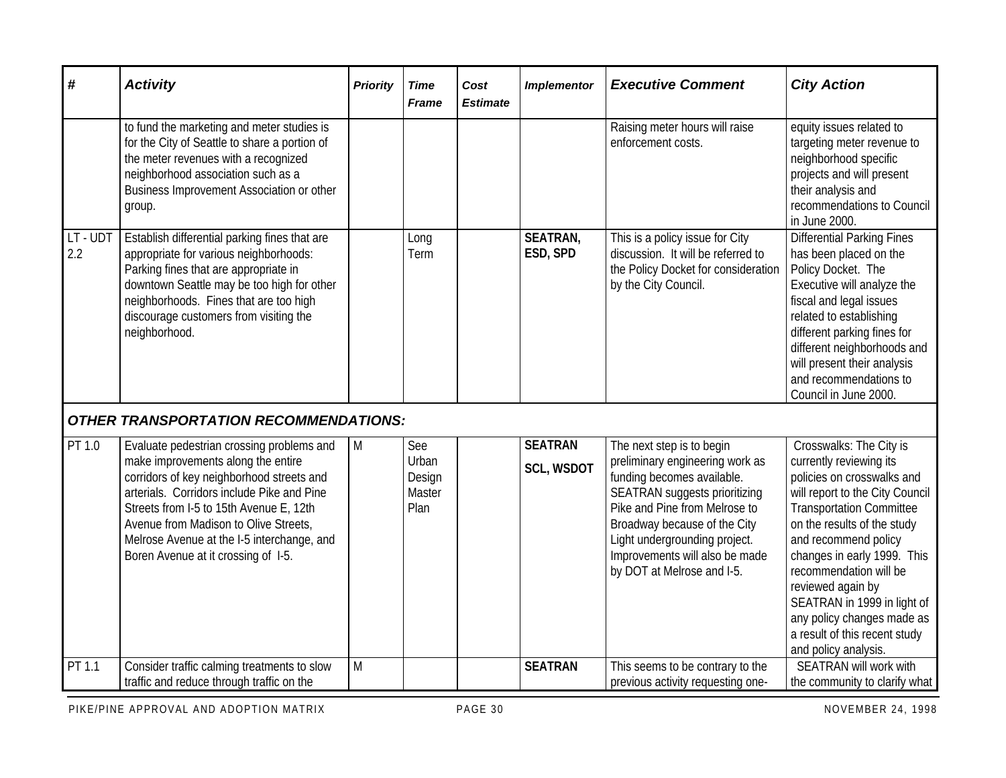| #                 | <b>Activity</b>                                                                                                                                                                                                                                                                                                                                     | <b>Priority</b> | <b>Time</b><br><b>Frame</b>              | Cost<br><b>Estimate</b> | <b>Implementor</b>                  | <b>Executive Comment</b>                                                                                                                                                                                                                                                                             | <b>City Action</b>                                                                                                                                                                                                                                                                                                                                                                                                |
|-------------------|-----------------------------------------------------------------------------------------------------------------------------------------------------------------------------------------------------------------------------------------------------------------------------------------------------------------------------------------------------|-----------------|------------------------------------------|-------------------------|-------------------------------------|------------------------------------------------------------------------------------------------------------------------------------------------------------------------------------------------------------------------------------------------------------------------------------------------------|-------------------------------------------------------------------------------------------------------------------------------------------------------------------------------------------------------------------------------------------------------------------------------------------------------------------------------------------------------------------------------------------------------------------|
|                   | to fund the marketing and meter studies is<br>for the City of Seattle to share a portion of<br>the meter revenues with a recognized<br>neighborhood association such as a<br>Business Improvement Association or other<br>group.                                                                                                                    |                 |                                          |                         |                                     | Raising meter hours will raise<br>enforcement costs.                                                                                                                                                                                                                                                 | equity issues related to<br>targeting meter revenue to<br>neighborhood specific<br>projects and will present<br>their analysis and<br>recommendations to Council<br>in June 2000.                                                                                                                                                                                                                                 |
| $LT - UDT$<br>2.2 | Establish differential parking fines that are<br>appropriate for various neighborhoods:<br>Parking fines that are appropriate in<br>downtown Seattle may be too high for other<br>neighborhoods. Fines that are too high<br>discourage customers from visiting the<br>neighborhood.                                                                 |                 | Long<br>Term                             |                         | <b>SEATRAN,</b><br>ESD, SPD         | This is a policy issue for City<br>discussion. It will be referred to<br>the Policy Docket for consideration<br>by the City Council.                                                                                                                                                                 | <b>Differential Parking Fines</b><br>has been placed on the<br>Policy Docket. The<br>Executive will analyze the<br>fiscal and legal issues<br>related to establishing<br>different parking fines for<br>different neighborhoods and<br>will present their analysis<br>and recommendations to<br>Council in June 2000.                                                                                             |
|                   | <b>OTHER TRANSPORTATION RECOMMENDATIONS:</b>                                                                                                                                                                                                                                                                                                        |                 |                                          |                         |                                     |                                                                                                                                                                                                                                                                                                      |                                                                                                                                                                                                                                                                                                                                                                                                                   |
| PT 1.0            | Evaluate pedestrian crossing problems and<br>make improvements along the entire<br>corridors of key neighborhood streets and<br>arterials. Corridors include Pike and Pine<br>Streets from I-5 to 15th Avenue E, 12th<br>Avenue from Madison to Olive Streets,<br>Melrose Avenue at the I-5 interchange, and<br>Boren Avenue at it crossing of 1-5. | M               | See<br>Urban<br>Design<br>Master<br>Plan |                         | <b>SEATRAN</b><br><b>SCL, WSDOT</b> | The next step is to begin<br>preliminary engineering work as<br>funding becomes available.<br><b>SEATRAN</b> suggests prioritizing<br>Pike and Pine from Melrose to<br>Broadway because of the City<br>Light undergrounding project.<br>Improvements will also be made<br>by DOT at Melrose and I-5. | Crosswalks: The City is<br>currently reviewing its<br>policies on crosswalks and<br>will report to the City Council<br><b>Transportation Committee</b><br>on the results of the study<br>and recommend policy<br>changes in early 1999. This<br>recommendation will be<br>reviewed again by<br>SEATRAN in 1999 in light of<br>any policy changes made as<br>a result of this recent study<br>and policy analysis. |
| PT 1.1            | Consider traffic calming treatments to slow<br>traffic and reduce through traffic on the                                                                                                                                                                                                                                                            | M               |                                          |                         | <b>SEATRAN</b>                      | This seems to be contrary to the<br>previous activity requesting one-                                                                                                                                                                                                                                | <b>SEATRAN will work with</b><br>the community to clarify what                                                                                                                                                                                                                                                                                                                                                    |

PIKE/PINE APPROVAL AND ADOPTION MATRIX **PAGE 30** PAGE 30 NOVEMBER 24, 1998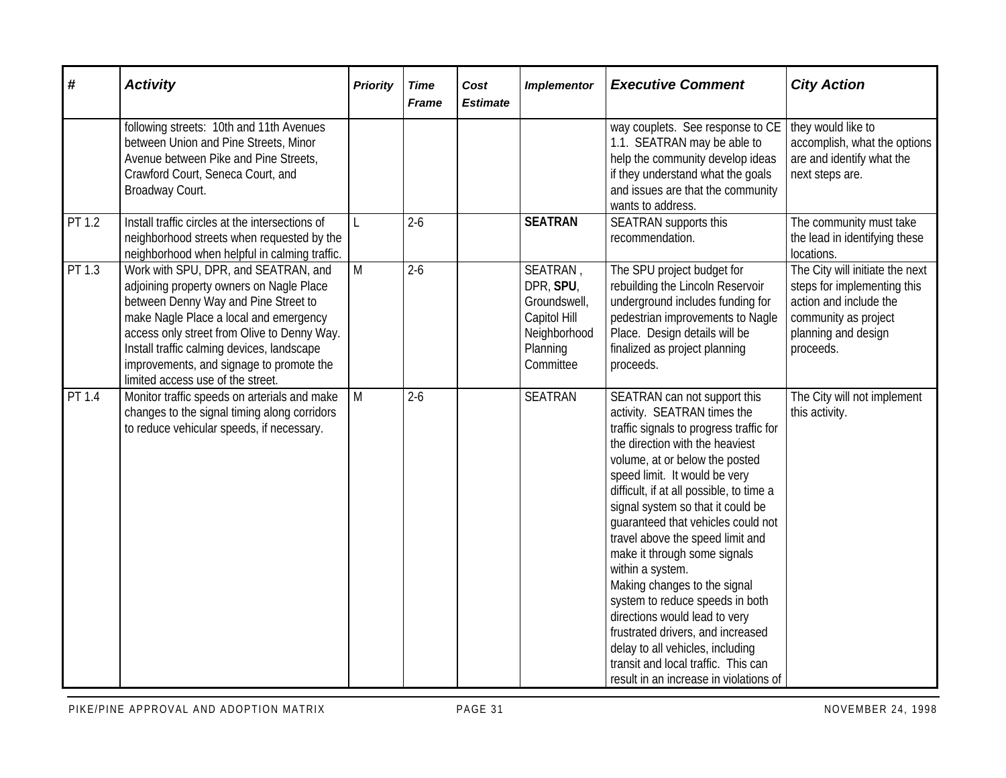| #      | <b>Activity</b>                                                                                                                                                                                                                                                                                                                                  | <b>Priority</b> | <b>Time</b><br><b>Frame</b> | Cost<br><b>Estimate</b> | <b>Implementor</b>                                                                             | <b>Executive Comment</b>                                                                                                                                                                                                                                                                                                                                                                                                                                                                                                                                                                                                                                                                  | <b>City Action</b>                                                                                                                                   |
|--------|--------------------------------------------------------------------------------------------------------------------------------------------------------------------------------------------------------------------------------------------------------------------------------------------------------------------------------------------------|-----------------|-----------------------------|-------------------------|------------------------------------------------------------------------------------------------|-------------------------------------------------------------------------------------------------------------------------------------------------------------------------------------------------------------------------------------------------------------------------------------------------------------------------------------------------------------------------------------------------------------------------------------------------------------------------------------------------------------------------------------------------------------------------------------------------------------------------------------------------------------------------------------------|------------------------------------------------------------------------------------------------------------------------------------------------------|
|        | following streets: 10th and 11th Avenues<br>between Union and Pine Streets, Minor<br>Avenue between Pike and Pine Streets,<br>Crawford Court, Seneca Court, and<br>Broadway Court.                                                                                                                                                               |                 |                             |                         |                                                                                                | way couplets. See response to CE<br>1.1. SEATRAN may be able to<br>help the community develop ideas<br>if they understand what the goals<br>and issues are that the community<br>wants to address.                                                                                                                                                                                                                                                                                                                                                                                                                                                                                        | they would like to<br>accomplish, what the options<br>are and identify what the<br>next steps are.                                                   |
| PT 1.2 | Install traffic circles at the intersections of<br>neighborhood streets when requested by the<br>neighborhood when helpful in calming traffic.                                                                                                                                                                                                   | L               | $2 - 6$                     |                         | <b>SEATRAN</b>                                                                                 | <b>SEATRAN</b> supports this<br>recommendation.                                                                                                                                                                                                                                                                                                                                                                                                                                                                                                                                                                                                                                           | The community must take<br>the lead in identifying these<br>locations.                                                                               |
| PT 1.3 | Work with SPU, DPR, and SEATRAN, and<br>adjoining property owners on Nagle Place<br>between Denny Way and Pine Street to<br>make Nagle Place a local and emergency<br>access only street from Olive to Denny Way.<br>Install traffic calming devices, landscape<br>improvements, and signage to promote the<br>limited access use of the street. | M               | $2-6$                       |                         | SEATRAN,<br>DPR, SPU,<br>Groundswell,<br>Capitol Hill<br>Neighborhood<br>Planning<br>Committee | The SPU project budget for<br>rebuilding the Lincoln Reservoir<br>underground includes funding for<br>pedestrian improvements to Nagle<br>Place. Design details will be<br>finalized as project planning<br>proceeds.                                                                                                                                                                                                                                                                                                                                                                                                                                                                     | The City will initiate the next<br>steps for implementing this<br>action and include the<br>community as project<br>planning and design<br>proceeds. |
| PT 1.4 | Monitor traffic speeds on arterials and make<br>changes to the signal timing along corridors<br>to reduce vehicular speeds, if necessary.                                                                                                                                                                                                        | M               | $2-6$                       |                         | <b>SEATRAN</b>                                                                                 | SEATRAN can not support this<br>activity. SEATRAN times the<br>traffic signals to progress traffic for<br>the direction with the heaviest<br>volume, at or below the posted<br>speed limit. It would be very<br>difficult, if at all possible, to time a<br>signal system so that it could be<br>quaranteed that vehicles could not<br>travel above the speed limit and<br>make it through some signals<br>within a system.<br>Making changes to the signal<br>system to reduce speeds in both<br>directions would lead to very<br>frustrated drivers, and increased<br>delay to all vehicles, including<br>transit and local traffic. This can<br>result in an increase in violations of | The City will not implement<br>this activity.                                                                                                        |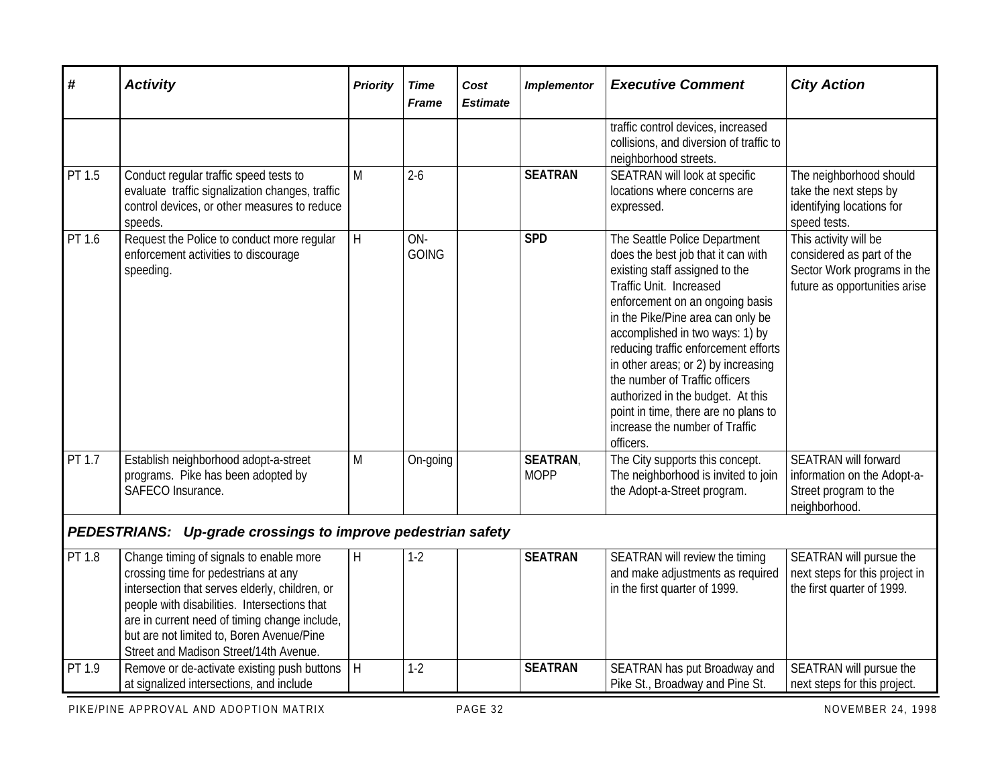| #      | <b>Activity</b>                                                                                                                                                                                                                                                                                                           | <b>Priority</b> | <b>Time</b><br><b>Frame</b> | Cost<br><b>Estimate</b> | <b>Implementor</b>            | <b>Executive Comment</b>                                                                                                                                                                                                                                                                                                                                                                                                                                                                 | <b>City Action</b>                                                                                                 |
|--------|---------------------------------------------------------------------------------------------------------------------------------------------------------------------------------------------------------------------------------------------------------------------------------------------------------------------------|-----------------|-----------------------------|-------------------------|-------------------------------|------------------------------------------------------------------------------------------------------------------------------------------------------------------------------------------------------------------------------------------------------------------------------------------------------------------------------------------------------------------------------------------------------------------------------------------------------------------------------------------|--------------------------------------------------------------------------------------------------------------------|
|        |                                                                                                                                                                                                                                                                                                                           |                 |                             |                         |                               | traffic control devices, increased<br>collisions, and diversion of traffic to<br>neighborhood streets.                                                                                                                                                                                                                                                                                                                                                                                   |                                                                                                                    |
| PT 1.5 | Conduct regular traffic speed tests to<br>evaluate traffic signalization changes, traffic<br>control devices, or other measures to reduce<br>speeds.                                                                                                                                                                      | M               | $2-6$                       |                         | <b>SEATRAN</b>                | SEATRAN will look at specific<br>locations where concerns are<br>expressed.                                                                                                                                                                                                                                                                                                                                                                                                              | The neighborhood should<br>take the next steps by<br>identifying locations for<br>speed tests.                     |
| PT 1.6 | Request the Police to conduct more regular<br>enforcement activities to discourage<br>speeding.                                                                                                                                                                                                                           | $\overline{H}$  | ON-<br><b>GOING</b>         |                         | <b>SPD</b>                    | The Seattle Police Department<br>does the best job that it can with<br>existing staff assigned to the<br>Traffic Unit. Increased<br>enforcement on an ongoing basis<br>in the Pike/Pine area can only be<br>accomplished in two ways: 1) by<br>reducing traffic enforcement efforts<br>in other areas; or 2) by increasing<br>the number of Traffic officers<br>authorized in the budget. At this<br>point in time, there are no plans to<br>increase the number of Traffic<br>officers. | This activity will be<br>considered as part of the<br>Sector Work programs in the<br>future as opportunities arise |
| PT 1.7 | Establish neighborhood adopt-a-street<br>programs. Pike has been adopted by<br>SAFECO Insurance.                                                                                                                                                                                                                          | M               | On-going                    |                         | <b>SEATRAN</b><br><b>MOPP</b> | The City supports this concept.<br>The neighborhood is invited to join<br>the Adopt-a-Street program.                                                                                                                                                                                                                                                                                                                                                                                    | <b>SEATRAN will forward</b><br>information on the Adopt-a-<br>Street program to the<br>neighborhood.               |
|        | PEDESTRIANS: Up-grade crossings to improve pedestrian safety                                                                                                                                                                                                                                                              |                 |                             |                         |                               |                                                                                                                                                                                                                                                                                                                                                                                                                                                                                          |                                                                                                                    |
| PT 1.8 | Change timing of signals to enable more<br>crossing time for pedestrians at any<br>intersection that serves elderly, children, or<br>people with disabilities. Intersections that<br>are in current need of timing change include,<br>but are not limited to, Boren Avenue/Pine<br>Street and Madison Street/14th Avenue. | H               | $1-2$                       |                         | <b>SEATRAN</b>                | SEATRAN will review the timing<br>and make adjustments as required<br>in the first quarter of 1999.                                                                                                                                                                                                                                                                                                                                                                                      | SEATRAN will pursue the<br>next steps for this project in<br>the first quarter of 1999.                            |
| PT 1.9 | Remove or de-activate existing push buttons<br>at signalized intersections, and include                                                                                                                                                                                                                                   | H               | $1-2$                       |                         | <b>SEATRAN</b>                | SEATRAN has put Broadway and<br>Pike St., Broadway and Pine St.                                                                                                                                                                                                                                                                                                                                                                                                                          | SEATRAN will pursue the<br>next steps for this project.                                                            |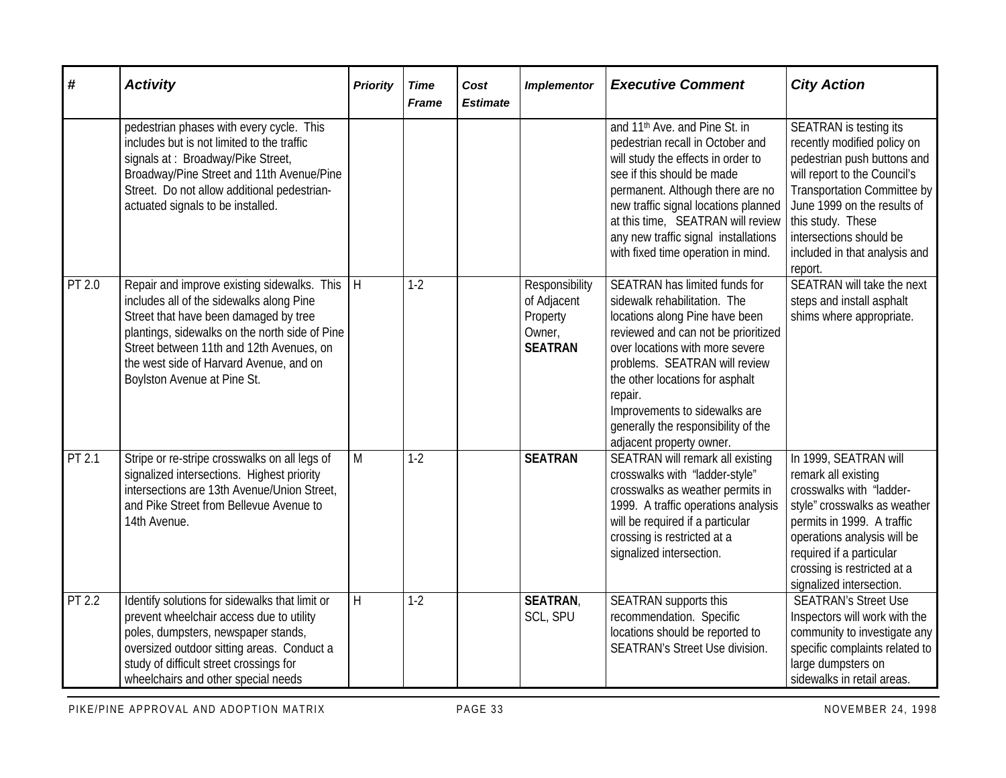| #      | <b>Activity</b>                                                                                                                                                                                                                                                                                              | <b>Priority</b> | <b>Time</b><br><b>Frame</b> | Cost<br><b>Estimate</b> | <b>Implementor</b>                                                    | <b>Executive Comment</b>                                                                                                                                                                                                                                                                                                                                            | <b>City Action</b>                                                                                                                                                                                                                                                             |
|--------|--------------------------------------------------------------------------------------------------------------------------------------------------------------------------------------------------------------------------------------------------------------------------------------------------------------|-----------------|-----------------------------|-------------------------|-----------------------------------------------------------------------|---------------------------------------------------------------------------------------------------------------------------------------------------------------------------------------------------------------------------------------------------------------------------------------------------------------------------------------------------------------------|--------------------------------------------------------------------------------------------------------------------------------------------------------------------------------------------------------------------------------------------------------------------------------|
|        | pedestrian phases with every cycle. This<br>includes but is not limited to the traffic<br>signals at: Broadway/Pike Street,<br>Broadway/Pine Street and 11th Avenue/Pine<br>Street. Do not allow additional pedestrian-<br>actuated signals to be installed.                                                 |                 |                             |                         |                                                                       | and 11 <sup>th</sup> Ave. and Pine St. in<br>pedestrian recall in October and<br>will study the effects in order to<br>see if this should be made<br>permanent. Although there are no<br>new traffic signal locations planned<br>at this time, SEATRAN will review<br>any new traffic signal installations<br>with fixed time operation in mind.                    | SEATRAN is testing its<br>recently modified policy on<br>pedestrian push buttons and<br>will report to the Council's<br>Transportation Committee by<br>June 1999 on the results of<br>this study. These<br>intersections should be<br>included in that analysis and<br>report. |
| PT 2.0 | Repair and improve existing sidewalks. This   H<br>includes all of the sidewalks along Pine<br>Street that have been damaged by tree<br>plantings, sidewalks on the north side of Pine<br>Street between 11th and 12th Avenues, on<br>the west side of Harvard Avenue, and on<br>Boylston Avenue at Pine St. |                 | $1-2$                       |                         | Responsibility<br>of Adjacent<br>Property<br>Owner,<br><b>SEATRAN</b> | <b>SEATRAN has limited funds for</b><br>sidewalk rehabilitation. The<br>locations along Pine have been<br>reviewed and can not be prioritized<br>over locations with more severe<br>problems. SEATRAN will review<br>the other locations for asphalt<br>repair.<br>Improvements to sidewalks are<br>generally the responsibility of the<br>adjacent property owner. | <b>SEATRAN</b> will take the next<br>steps and install asphalt<br>shims where appropriate.                                                                                                                                                                                     |
| PT 2.1 | Stripe or re-stripe crosswalks on all legs of<br>signalized intersections. Highest priority<br>intersections are 13th Avenue/Union Street,<br>and Pike Street from Bellevue Avenue to<br>14th Avenue.                                                                                                        | M               | $1-2$                       |                         | <b>SEATRAN</b>                                                        | SEATRAN will remark all existing<br>crosswalks with "ladder-style"<br>crosswalks as weather permits in<br>1999. A traffic operations analysis<br>will be required if a particular<br>crossing is restricted at a<br>signalized intersection.                                                                                                                        | In 1999, SEATRAN will<br>remark all existing<br>crosswalks with "ladder-<br>style" crosswalks as weather<br>permits in 1999. A traffic<br>operations analysis will be<br>required if a particular<br>crossing is restricted at a<br>signalized intersection.                   |
| PT 2.2 | Identify solutions for sidewalks that limit or<br>prevent wheelchair access due to utility<br>poles, dumpsters, newspaper stands,<br>oversized outdoor sitting areas. Conduct a<br>study of difficult street crossings for<br>wheelchairs and other special needs                                            | $\mathsf{H}$    | $1-2$                       |                         | <b>SEATRAN</b><br>SCL, SPU                                            | SEATRAN supports this<br>recommendation. Specific<br>locations should be reported to<br><b>SEATRAN's Street Use division.</b>                                                                                                                                                                                                                                       | <b>SEATRAN's Street Use</b><br>Inspectors will work with the<br>community to investigate any<br>specific complaints related to<br>large dumpsters on<br>sidewalks in retail areas.                                                                                             |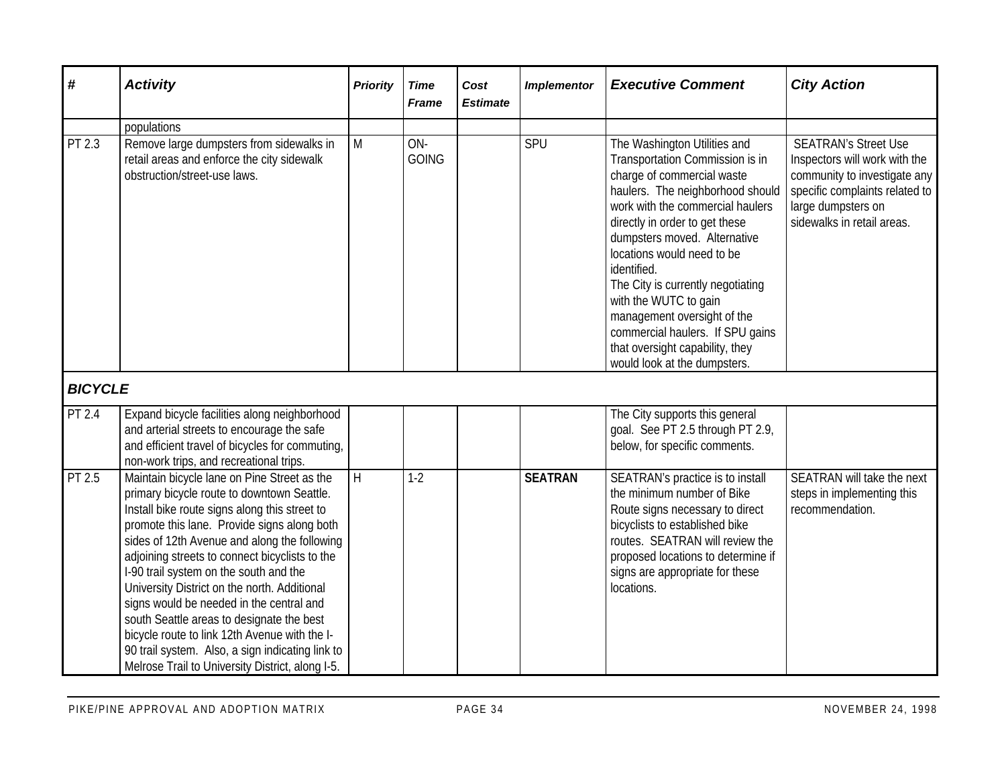| #              | <b>Activity</b>                                                                                                                                                                                                                                                                                                                                                                                                                                                                                                                                                                                                                         | <b>Priority</b> | <b>Time</b><br><b>Frame</b> | Cost<br><b>Estimate</b> | <b>Implementor</b> | <b>Executive Comment</b>                                                                                                                                                                                                                                                                                                                                                                                                                                                                 | <b>City Action</b>                                                                                                                                                                 |
|----------------|-----------------------------------------------------------------------------------------------------------------------------------------------------------------------------------------------------------------------------------------------------------------------------------------------------------------------------------------------------------------------------------------------------------------------------------------------------------------------------------------------------------------------------------------------------------------------------------------------------------------------------------------|-----------------|-----------------------------|-------------------------|--------------------|------------------------------------------------------------------------------------------------------------------------------------------------------------------------------------------------------------------------------------------------------------------------------------------------------------------------------------------------------------------------------------------------------------------------------------------------------------------------------------------|------------------------------------------------------------------------------------------------------------------------------------------------------------------------------------|
|                | populations                                                                                                                                                                                                                                                                                                                                                                                                                                                                                                                                                                                                                             |                 |                             |                         |                    |                                                                                                                                                                                                                                                                                                                                                                                                                                                                                          |                                                                                                                                                                                    |
| PT 2.3         | Remove large dumpsters from sidewalks in<br>retail areas and enforce the city sidewalk<br>obstruction/street-use laws.                                                                                                                                                                                                                                                                                                                                                                                                                                                                                                                  | M               | ON-<br><b>GOING</b>         |                         | SPU                | The Washington Utilities and<br>Transportation Commission is in<br>charge of commercial waste<br>haulers. The neighborhood should<br>work with the commercial haulers<br>directly in order to get these<br>dumpsters moved. Alternative<br>locations would need to be<br>identified.<br>The City is currently negotiating<br>with the WUTC to gain<br>management oversight of the<br>commercial haulers. If SPU gains<br>that oversight capability, they<br>would look at the dumpsters. | <b>SEATRAN's Street Use</b><br>Inspectors will work with the<br>community to investigate any<br>specific complaints related to<br>large dumpsters on<br>sidewalks in retail areas. |
| <b>BICYCLE</b> |                                                                                                                                                                                                                                                                                                                                                                                                                                                                                                                                                                                                                                         |                 |                             |                         |                    |                                                                                                                                                                                                                                                                                                                                                                                                                                                                                          |                                                                                                                                                                                    |
| PT 2.4         | Expand bicycle facilities along neighborhood<br>and arterial streets to encourage the safe<br>and efficient travel of bicycles for commuting,<br>non-work trips, and recreational trips.                                                                                                                                                                                                                                                                                                                                                                                                                                                |                 |                             |                         |                    | The City supports this general<br>goal. See PT 2.5 through PT 2.9,<br>below, for specific comments.                                                                                                                                                                                                                                                                                                                                                                                      |                                                                                                                                                                                    |
| PT 2.5         | Maintain bicycle lane on Pine Street as the<br>primary bicycle route to downtown Seattle.<br>Install bike route signs along this street to<br>promote this lane. Provide signs along both<br>sides of 12th Avenue and along the following<br>adjoining streets to connect bicyclists to the<br>I-90 trail system on the south and the<br>University District on the north. Additional<br>signs would be needed in the central and<br>south Seattle areas to designate the best<br>bicycle route to link 12th Avenue with the I-<br>90 trail system. Also, a sign indicating link to<br>Melrose Trail to University District, along I-5. | H               | $1-2$                       |                         | <b>SEATRAN</b>     | SEATRAN's practice is to install<br>the minimum number of Bike<br>Route signs necessary to direct<br>bicyclists to established bike<br>routes. SEATRAN will review the<br>proposed locations to determine if<br>signs are appropriate for these<br>locations.                                                                                                                                                                                                                            | SEATRAN will take the next<br>steps in implementing this<br>recommendation.                                                                                                        |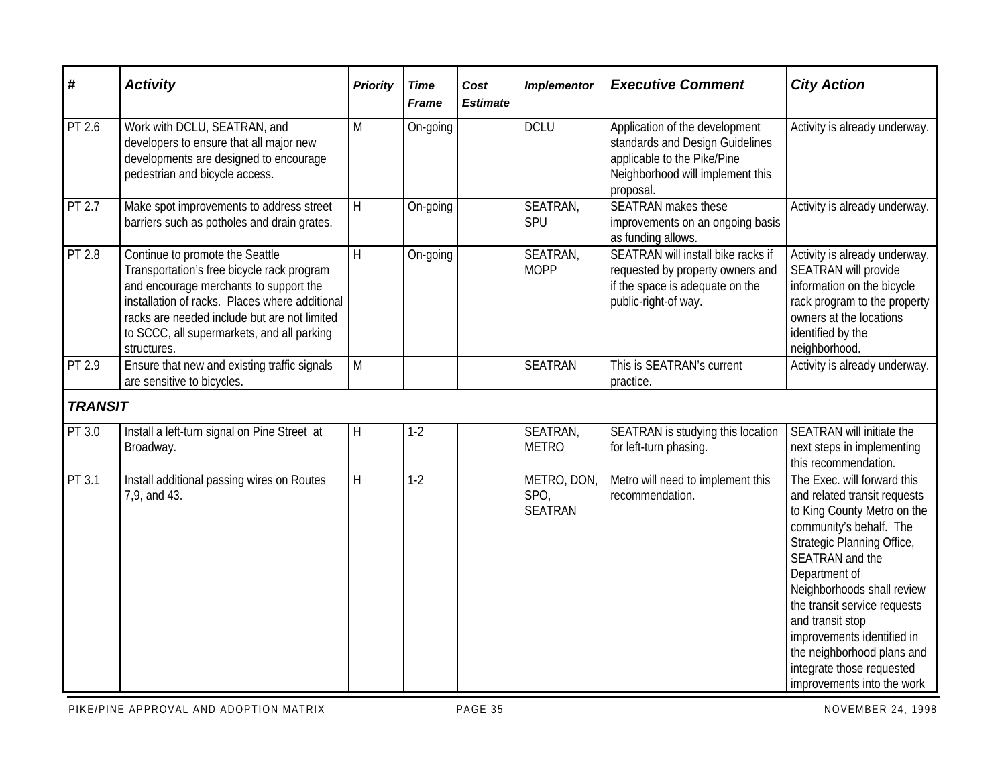| #                   | <b>Activity</b>                                                                                                                                                                                                                                                                        | <b>Priority</b> | <b>Time</b><br><b>Frame</b> | Cost<br><b>Estimate</b> | <b>Implementor</b>                    | <b>Executive Comment</b>                                                                                                                          | <b>City Action</b>                                                                                                                                                                                                                                                                                                                                                                               |
|---------------------|----------------------------------------------------------------------------------------------------------------------------------------------------------------------------------------------------------------------------------------------------------------------------------------|-----------------|-----------------------------|-------------------------|---------------------------------------|---------------------------------------------------------------------------------------------------------------------------------------------------|--------------------------------------------------------------------------------------------------------------------------------------------------------------------------------------------------------------------------------------------------------------------------------------------------------------------------------------------------------------------------------------------------|
| PT 2.6              | Work with DCLU, SEATRAN, and<br>developers to ensure that all major new<br>developments are designed to encourage<br>pedestrian and bicycle access.                                                                                                                                    | M               | On-going                    |                         | <b>DCLU</b>                           | Application of the development<br>standards and Design Guidelines<br>applicable to the Pike/Pine<br>Neighborhood will implement this<br>proposal. | Activity is already underway.                                                                                                                                                                                                                                                                                                                                                                    |
| PT 2.7              | Make spot improvements to address street<br>barriers such as potholes and drain grates.                                                                                                                                                                                                | H               | On-going                    |                         | SEATRAN,<br>SPU                       | <b>SEATRAN</b> makes these<br>improvements on an ongoing basis<br>as funding allows.                                                              | Activity is already underway.                                                                                                                                                                                                                                                                                                                                                                    |
| $\overline{PT}$ 2.8 | Continue to promote the Seattle<br>Transportation's free bicycle rack program<br>and encourage merchants to support the<br>installation of racks. Places where additional<br>racks are needed include but are not limited<br>to SCCC, all supermarkets, and all parking<br>structures. | $\overline{H}$  | On-going                    |                         | SEATRAN,<br><b>MOPP</b>               | SEATRAN will install bike racks if<br>requested by property owners and<br>if the space is adequate on the<br>public-right-of way.                 | Activity is already underway.<br><b>SEATRAN will provide</b><br>information on the bicycle<br>rack program to the property<br>owners at the locations<br>identified by the<br>neighborhood.                                                                                                                                                                                                      |
| PT 2.9              | Ensure that new and existing traffic signals<br>are sensitive to bicycles.                                                                                                                                                                                                             | M               |                             |                         | <b>SEATRAN</b>                        | This is SEATRAN's current<br>practice.                                                                                                            | Activity is already underway.                                                                                                                                                                                                                                                                                                                                                                    |
| <b>TRANSIT</b>      |                                                                                                                                                                                                                                                                                        |                 |                             |                         |                                       |                                                                                                                                                   |                                                                                                                                                                                                                                                                                                                                                                                                  |
| PT 3.0              | Install a left-turn signal on Pine Street at<br>Broadway.                                                                                                                                                                                                                              | H               | $1-2$                       |                         | SEATRAN,<br><b>METRO</b>              | SEATRAN is studying this location<br>for left-turn phasing.                                                                                       | SEATRAN will initiate the<br>next steps in implementing<br>this recommendation.                                                                                                                                                                                                                                                                                                                  |
| PT 3.1              | Install additional passing wires on Routes<br>7,9, and 43.                                                                                                                                                                                                                             | H               | $1-2$                       |                         | METRO, DON,<br>SPO,<br><b>SEATRAN</b> | Metro will need to implement this<br>recommendation.                                                                                              | The Exec. will forward this<br>and related transit requests<br>to King County Metro on the<br>community's behalf. The<br>Strategic Planning Office,<br>SEATRAN and the<br>Department of<br>Neighborhoods shall review<br>the transit service requests<br>and transit stop<br>improvements identified in<br>the neighborhood plans and<br>integrate those requested<br>improvements into the work |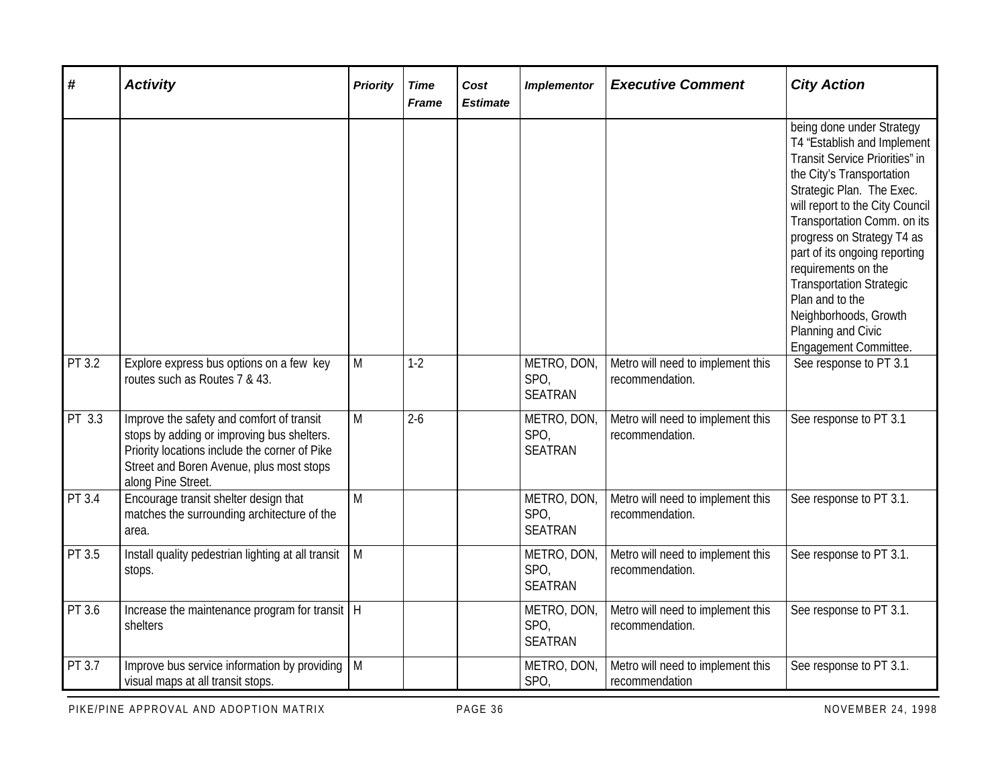| $\boldsymbol{\#}$ | <b>Activity</b>                                                                                                                                                                                            | <b>Priority</b> | <b>Time</b><br><b>Frame</b> | Cost<br><b>Estimate</b> | <b>Implementor</b>                    | <b>Executive Comment</b>                             | <b>City Action</b>                                                                                                                                                                                                                                                                                                                                                                                                                                                   |
|-------------------|------------------------------------------------------------------------------------------------------------------------------------------------------------------------------------------------------------|-----------------|-----------------------------|-------------------------|---------------------------------------|------------------------------------------------------|----------------------------------------------------------------------------------------------------------------------------------------------------------------------------------------------------------------------------------------------------------------------------------------------------------------------------------------------------------------------------------------------------------------------------------------------------------------------|
| PT 3.2            | Explore express bus options on a few key                                                                                                                                                                   | M               | $1-2$                       |                         | METRO, DON,                           | Metro will need to implement this                    | being done under Strategy<br>T4 "Establish and Implement<br>Transit Service Priorities" in<br>the City's Transportation<br>Strategic Plan. The Exec.<br>will report to the City Council<br>Transportation Comm. on its<br>progress on Strategy T4 as<br>part of its ongoing reporting<br>requirements on the<br><b>Transportation Strategic</b><br>Plan and to the<br>Neighborhoods, Growth<br>Planning and Civic<br>Engagement Committee.<br>See response to PT 3.1 |
|                   | routes such as Routes 7 & 43.                                                                                                                                                                              |                 |                             |                         | SPO,<br><b>SEATRAN</b>                | recommendation.                                      |                                                                                                                                                                                                                                                                                                                                                                                                                                                                      |
| PT 3.3            | Improve the safety and comfort of transit<br>stops by adding or improving bus shelters.<br>Priority locations include the corner of Pike<br>Street and Boren Avenue, plus most stops<br>along Pine Street. | M               | $2 - 6$                     |                         | METRO, DON,<br>SPO,<br><b>SEATRAN</b> | Metro will need to implement this<br>recommendation. | See response to PT 3.1                                                                                                                                                                                                                                                                                                                                                                                                                                               |
| PT 3.4            | Encourage transit shelter design that<br>matches the surrounding architecture of the<br>area.                                                                                                              | M               |                             |                         | METRO, DON,<br>SPO,<br><b>SEATRAN</b> | Metro will need to implement this<br>recommendation. | See response to PT 3.1.                                                                                                                                                                                                                                                                                                                                                                                                                                              |
| PT 3.5            | Install quality pedestrian lighting at all transit<br>stops.                                                                                                                                               | M               |                             |                         | METRO, DON,<br>SPO,<br><b>SEATRAN</b> | Metro will need to implement this<br>recommendation. | See response to PT 3.1.                                                                                                                                                                                                                                                                                                                                                                                                                                              |
| PT 3.6            | Increase the maintenance program for transit   H<br>shelters                                                                                                                                               |                 |                             |                         | METRO, DON,<br>SPO,<br><b>SEATRAN</b> | Metro will need to implement this<br>recommendation. | See response to PT 3.1.                                                                                                                                                                                                                                                                                                                                                                                                                                              |
| PT 3.7            | Improve bus service information by providing $\vert$ M<br>visual maps at all transit stops.                                                                                                                |                 |                             |                         | METRO, DON,<br>SPO,                   | Metro will need to implement this<br>recommendation  | See response to PT 3.1.                                                                                                                                                                                                                                                                                                                                                                                                                                              |

PIKE/PINE APPROVAL AND ADOPTION MATRIX **PAGE 36** PAGE 36 NOVEMBER 24, 1998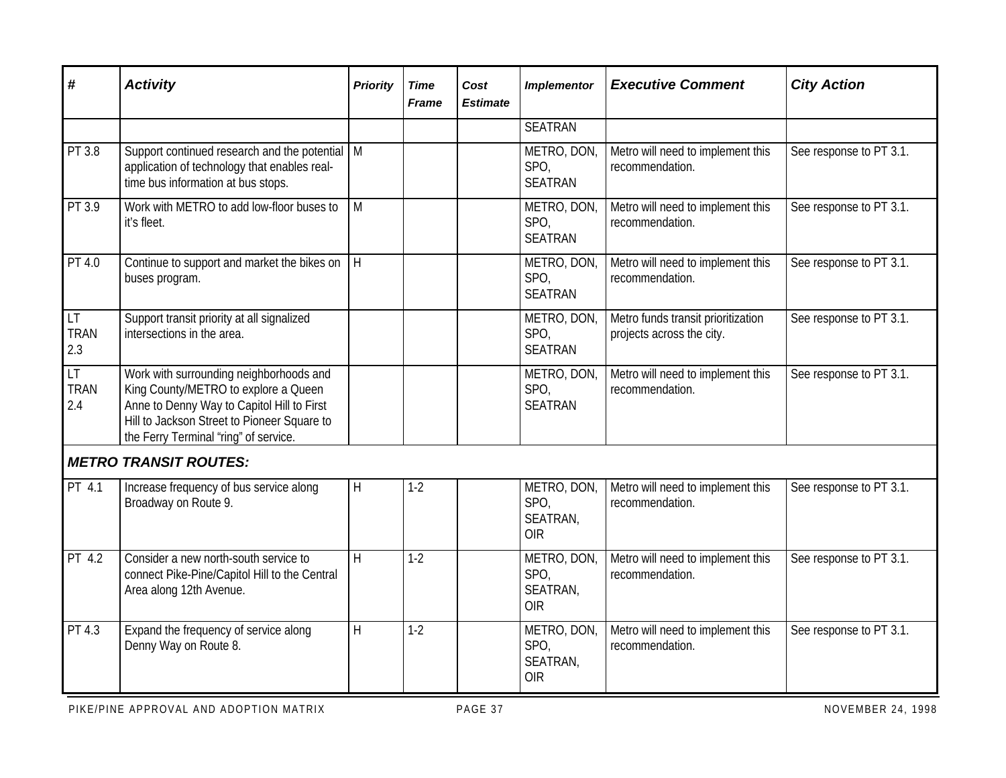| #                               | <b>Activity</b>                                                                                                                                                                                                       | <b>Priority</b>         | <b>Time</b><br><b>Frame</b> | Cost<br><b>Estimate</b> | <b>Implementor</b>                            | <b>Executive Comment</b>                                        | <b>City Action</b>      |
|---------------------------------|-----------------------------------------------------------------------------------------------------------------------------------------------------------------------------------------------------------------------|-------------------------|-----------------------------|-------------------------|-----------------------------------------------|-----------------------------------------------------------------|-------------------------|
|                                 |                                                                                                                                                                                                                       |                         |                             |                         | <b>SEATRAN</b>                                |                                                                 |                         |
| PT 3.8                          | Support continued research and the potential   M<br>application of technology that enables real-<br>time bus information at bus stops.                                                                                |                         |                             |                         | METRO, DON,<br>SPO,<br><b>SEATRAN</b>         | Metro will need to implement this<br>recommendation.            | See response to PT 3.1. |
| PT 3.9                          | Work with METRO to add low-floor buses to<br>it's fleet.                                                                                                                                                              | $\overline{M}$          |                             |                         | METRO, DON,<br>SPO,<br><b>SEATRAN</b>         | Metro will need to implement this<br>recommendation.            | See response to PT 3.1. |
| PT 4.0                          | Continue to support and market the bikes on<br>buses program.                                                                                                                                                         | H.                      |                             |                         | METRO, DON,<br>SPO,<br><b>SEATRAN</b>         | Metro will need to implement this<br>recommendation.            | See response to PT 3.1. |
| <b>LT</b><br><b>TRAN</b><br>2.3 | Support transit priority at all signalized<br>intersections in the area.                                                                                                                                              |                         |                             |                         | METRO, DON,<br>SPO,<br><b>SEATRAN</b>         | Metro funds transit prioritization<br>projects across the city. | See response to PT 3.1. |
| LT<br><b>TRAN</b><br>2.4        | Work with surrounding neighborhoods and<br>King County/METRO to explore a Queen<br>Anne to Denny Way to Capitol Hill to First<br>Hill to Jackson Street to Pioneer Square to<br>the Ferry Terminal "ring" of service. |                         |                             |                         | METRO, DON,<br>SPO,<br><b>SEATRAN</b>         | Metro will need to implement this<br>recommendation.            | See response to PT 3.1. |
|                                 | <b>METRO TRANSIT ROUTES:</b>                                                                                                                                                                                          |                         |                             |                         |                                               |                                                                 |                         |
| PT 4.1                          | Increase frequency of bus service along<br>Broadway on Route 9.                                                                                                                                                       | $\mathsf{H}$            | $1 - 2$                     |                         | METRO, DON,<br>SPO,<br>SEATRAN,<br><b>OIR</b> | Metro will need to implement this<br>recommendation.            | See response to PT 3.1. |
| PT 4.2                          | Consider a new north-south service to<br>connect Pike-Pine/Capitol Hill to the Central<br>Area along 12th Avenue.                                                                                                     | $\overline{\mathsf{H}}$ | $1-2$                       |                         | METRO, DON,<br>SPO,<br>SEATRAN,<br><b>OIR</b> | Metro will need to implement this<br>recommendation.            | See response to PT 3.1. |
| PT 4.3                          | Expand the frequency of service along<br>Denny Way on Route 8.                                                                                                                                                        | H                       | $1 - 2$                     |                         | METRO, DON,<br>SPO,<br>SEATRAN,<br><b>OIR</b> | Metro will need to implement this<br>recommendation.            | See response to PT 3.1. |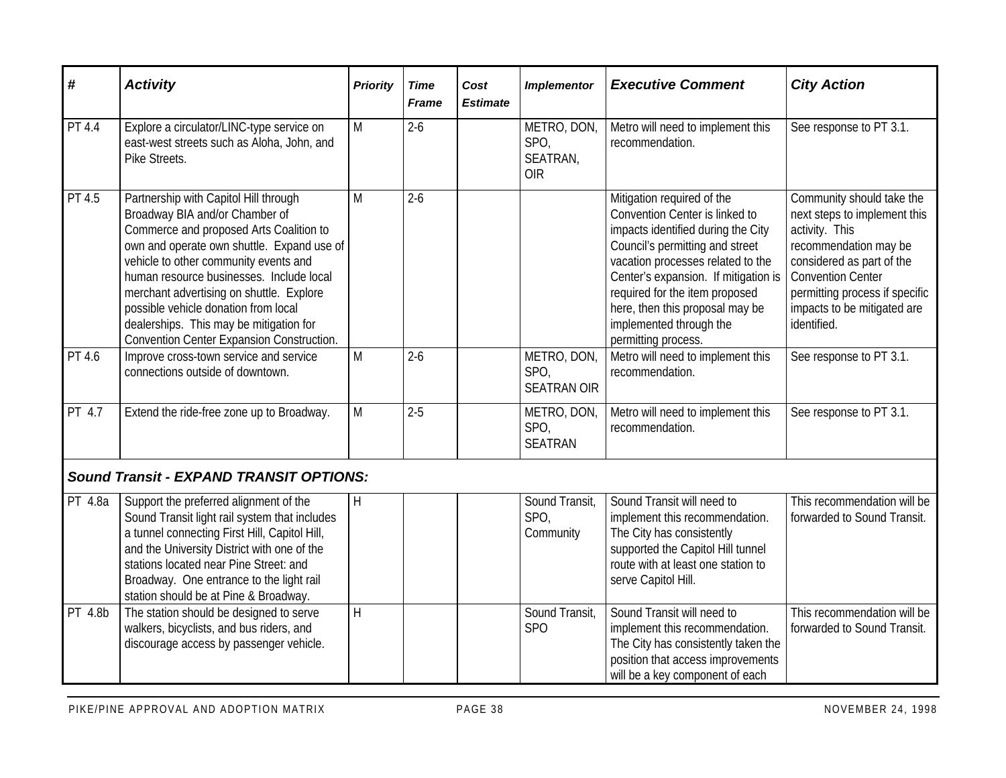| #       | <b>Activity</b>                                                                                                                                                                                                                                                                                                                                                                                                                   | <b>Priority</b> | <b>Time</b><br><b>Frame</b> | Cost<br><b>Estimate</b> | <b>Implementor</b>                            | <b>Executive Comment</b>                                                                                                                                                                                                                                                                                                                  | <b>City Action</b>                                                                                                                                                                                                                            |
|---------|-----------------------------------------------------------------------------------------------------------------------------------------------------------------------------------------------------------------------------------------------------------------------------------------------------------------------------------------------------------------------------------------------------------------------------------|-----------------|-----------------------------|-------------------------|-----------------------------------------------|-------------------------------------------------------------------------------------------------------------------------------------------------------------------------------------------------------------------------------------------------------------------------------------------------------------------------------------------|-----------------------------------------------------------------------------------------------------------------------------------------------------------------------------------------------------------------------------------------------|
| PT 4.4  | Explore a circulator/LINC-type service on<br>east-west streets such as Aloha, John, and<br>Pike Streets.                                                                                                                                                                                                                                                                                                                          | M               | $2 - 6$                     |                         | METRO, DON,<br>SPO,<br>SEATRAN,<br><b>OIR</b> | Metro will need to implement this<br>recommendation.                                                                                                                                                                                                                                                                                      | See response to PT 3.1.                                                                                                                                                                                                                       |
| PT 4.5  | Partnership with Capitol Hill through<br>Broadway BIA and/or Chamber of<br>Commerce and proposed Arts Coalition to<br>own and operate own shuttle. Expand use of<br>vehicle to other community events and<br>human resource businesses. Include local<br>merchant advertising on shuttle. Explore<br>possible vehicle donation from local<br>dealerships. This may be mitigation for<br>Convention Center Expansion Construction. | M               | $2 - 6$                     |                         |                                               | Mitigation required of the<br>Convention Center is linked to<br>impacts identified during the City<br>Council's permitting and street<br>vacation processes related to the<br>Center's expansion. If mitigation is<br>required for the item proposed<br>here, then this proposal may be<br>implemented through the<br>permitting process. | Community should take the<br>next steps to implement this<br>activity. This<br>recommendation may be<br>considered as part of the<br><b>Convention Center</b><br>permitting process if specific<br>impacts to be mitigated are<br>identified. |
| PT 4.6  | Improve cross-town service and service<br>connections outside of downtown.                                                                                                                                                                                                                                                                                                                                                        | M               | $2 - 6$                     |                         | METRO, DON,<br>SPO,<br><b>SEATRAN OIR</b>     | Metro will need to implement this<br>recommendation.                                                                                                                                                                                                                                                                                      | See response to PT 3.1.                                                                                                                                                                                                                       |
| PT 4.7  | Extend the ride-free zone up to Broadway.                                                                                                                                                                                                                                                                                                                                                                                         | M               | $2 - 5$                     |                         | METRO, DON,<br>SPO,<br><b>SEATRAN</b>         | Metro will need to implement this<br>recommendation.                                                                                                                                                                                                                                                                                      | See response to PT 3.1.                                                                                                                                                                                                                       |
|         | <b>Sound Transit - EXPAND TRANSIT OPTIONS:</b>                                                                                                                                                                                                                                                                                                                                                                                    |                 |                             |                         |                                               |                                                                                                                                                                                                                                                                                                                                           |                                                                                                                                                                                                                                               |
| PT 4.8a | Support the preferred alignment of the<br>Sound Transit light rail system that includes<br>a tunnel connecting First Hill, Capitol Hill,<br>and the University District with one of the<br>stations located near Pine Street: and<br>Broadway. One entrance to the light rail<br>station should be at Pine & Broadway.                                                                                                            | H               |                             |                         | Sound Transit,<br>SPO,<br>Community           | Sound Transit will need to<br>implement this recommendation.<br>The City has consistently<br>supported the Capitol Hill tunnel<br>route with at least one station to<br>serve Capitol Hill.                                                                                                                                               | This recommendation will be<br>forwarded to Sound Transit.                                                                                                                                                                                    |
| PT 4.8b | The station should be designed to serve<br>walkers, bicyclists, and bus riders, and<br>discourage access by passenger vehicle.                                                                                                                                                                                                                                                                                                    | H               |                             |                         | Sound Transit,<br><b>SPO</b>                  | Sound Transit will need to<br>implement this recommendation.<br>The City has consistently taken the<br>position that access improvements<br>will be a key component of each                                                                                                                                                               | This recommendation will be<br>forwarded to Sound Transit.                                                                                                                                                                                    |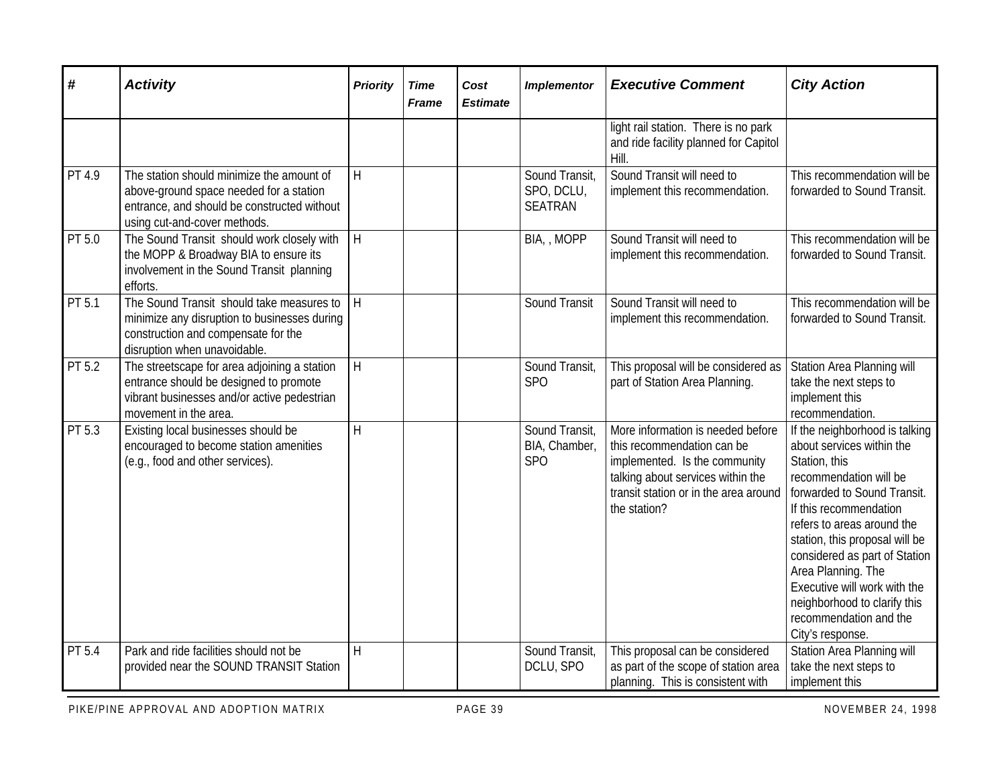| #                   | <b>Activity</b>                                                                                                                                                     | <b>Priority</b> | <b>Time</b><br><b>Frame</b> | Cost<br><b>Estimate</b> | <b>Implementor</b>                                 | <b>Executive Comment</b>                                                                                                                                                                       | <b>City Action</b>                                                                                                                                                                                                                                                                                                                                                                                   |
|---------------------|---------------------------------------------------------------------------------------------------------------------------------------------------------------------|-----------------|-----------------------------|-------------------------|----------------------------------------------------|------------------------------------------------------------------------------------------------------------------------------------------------------------------------------------------------|------------------------------------------------------------------------------------------------------------------------------------------------------------------------------------------------------------------------------------------------------------------------------------------------------------------------------------------------------------------------------------------------------|
|                     |                                                                                                                                                                     |                 |                             |                         |                                                    | light rail station. There is no park<br>and ride facility planned for Capitol<br>Hill.                                                                                                         |                                                                                                                                                                                                                                                                                                                                                                                                      |
| $\overline{PT}$ 4.9 | The station should minimize the amount of<br>above-ground space needed for a station<br>entrance, and should be constructed without<br>using cut-and-cover methods. | $\mathsf{H}$    |                             |                         | Sound Transit,<br>SPO, DCLU,<br><b>SEATRAN</b>     | Sound Transit will need to<br>implement this recommendation.                                                                                                                                   | This recommendation will be<br>forwarded to Sound Transit.                                                                                                                                                                                                                                                                                                                                           |
| PT 5.0              | The Sound Transit should work closely with<br>the MOPP & Broadway BIA to ensure its<br>involvement in the Sound Transit planning<br>efforts.                        | H               |                             |                         | BIA, , MOPP                                        | Sound Transit will need to<br>implement this recommendation.                                                                                                                                   | This recommendation will be<br>forwarded to Sound Transit.                                                                                                                                                                                                                                                                                                                                           |
| PT 5.1              | The Sound Transit should take measures to<br>minimize any disruption to businesses during<br>construction and compensate for the<br>disruption when unavoidable.    | H               |                             |                         | Sound Transit                                      | Sound Transit will need to<br>implement this recommendation.                                                                                                                                   | This recommendation will be<br>forwarded to Sound Transit.                                                                                                                                                                                                                                                                                                                                           |
| PT 5.2              | The streetscape for area adjoining a station<br>entrance should be designed to promote<br>vibrant businesses and/or active pedestrian<br>movement in the area.      | H               |                             |                         | Sound Transit,<br>SP <sub>O</sub>                  | This proposal will be considered as<br>part of Station Area Planning.                                                                                                                          | <b>Station Area Planning will</b><br>take the next steps to<br>implement this<br>recommendation.                                                                                                                                                                                                                                                                                                     |
| PT 5.3              | Existing local businesses should be<br>encouraged to become station amenities<br>(e.g., food and other services).                                                   | H               |                             |                         | Sound Transit,<br>BIA, Chamber,<br>SP <sub>O</sub> | More information is needed before<br>this recommendation can be<br>implemented. Is the community<br>talking about services within the<br>transit station or in the area around<br>the station? | If the neighborhood is talking<br>about services within the<br>Station, this<br>recommendation will be<br>forwarded to Sound Transit.<br>If this recommendation<br>refers to areas around the<br>station, this proposal will be<br>considered as part of Station<br>Area Planning. The<br>Executive will work with the<br>neighborhood to clarify this<br>recommendation and the<br>City's response. |
| PT 5.4              | Park and ride facilities should not be<br>provided near the SOUND TRANSIT Station                                                                                   | $\overline{H}$  |                             |                         | Sound Transit,<br>DCLU, SPO                        | This proposal can be considered<br>as part of the scope of station area<br>planning. This is consistent with                                                                                   | Station Area Planning will<br>take the next steps to<br>implement this                                                                                                                                                                                                                                                                                                                               |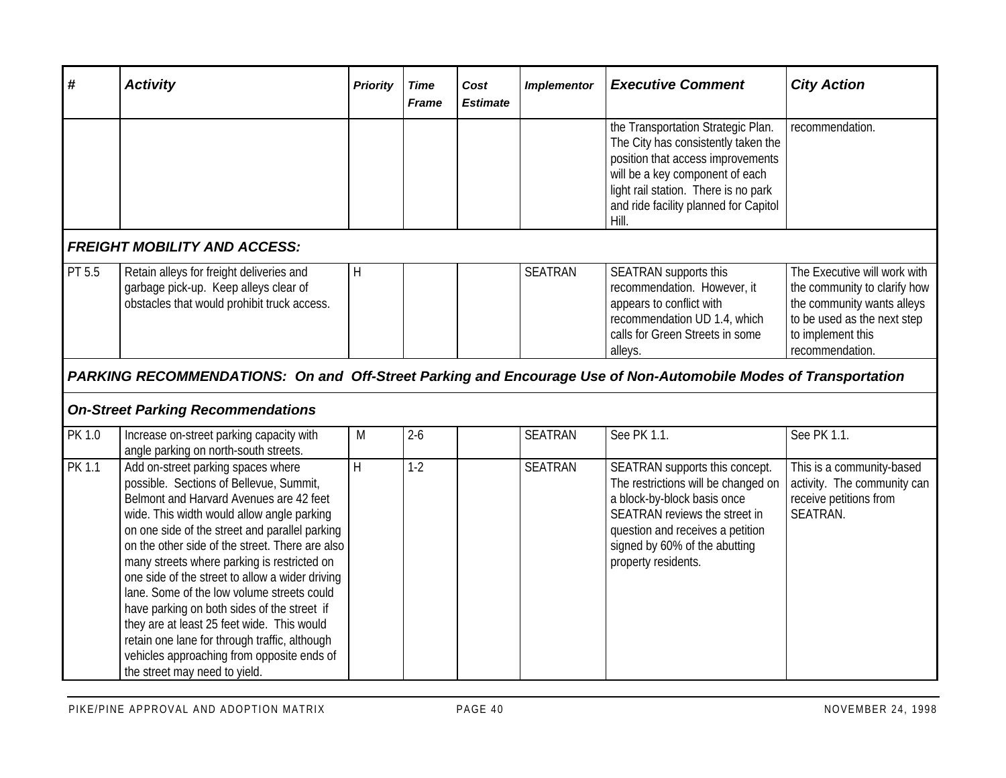| #             | <b>Activity</b>                                                                                                                                                                                                                                                                                                                                                                                                                                                                                                                                                                                                                                          | <b>Priority</b> | <b>Time</b><br><b>Frame</b> | Cost<br><b>Estimate</b> | <b>Implementor</b> | <b>Executive Comment</b>                                                                                                                                                                                                                    | <b>City Action</b>                                                                                                                                                |
|---------------|----------------------------------------------------------------------------------------------------------------------------------------------------------------------------------------------------------------------------------------------------------------------------------------------------------------------------------------------------------------------------------------------------------------------------------------------------------------------------------------------------------------------------------------------------------------------------------------------------------------------------------------------------------|-----------------|-----------------------------|-------------------------|--------------------|---------------------------------------------------------------------------------------------------------------------------------------------------------------------------------------------------------------------------------------------|-------------------------------------------------------------------------------------------------------------------------------------------------------------------|
|               |                                                                                                                                                                                                                                                                                                                                                                                                                                                                                                                                                                                                                                                          |                 |                             |                         |                    | the Transportation Strategic Plan.<br>The City has consistently taken the<br>position that access improvements<br>will be a key component of each<br>light rail station. There is no park<br>and ride facility planned for Capitol<br>Hill. | recommendation.                                                                                                                                                   |
|               | <b>FREIGHT MOBILITY AND ACCESS:</b>                                                                                                                                                                                                                                                                                                                                                                                                                                                                                                                                                                                                                      |                 |                             |                         |                    |                                                                                                                                                                                                                                             |                                                                                                                                                                   |
| PT 5.5        | Retain alleys for freight deliveries and<br>garbage pick-up. Keep alleys clear of<br>obstacles that would prohibit truck access.                                                                                                                                                                                                                                                                                                                                                                                                                                                                                                                         | H               |                             |                         | <b>SEATRAN</b>     | SEATRAN supports this<br>recommendation. However, it<br>appears to conflict with<br>recommendation UD 1.4, which<br>calls for Green Streets in some<br>alleys.                                                                              | The Executive will work with<br>the community to clarify how<br>the community wants alleys<br>to be used as the next step<br>to implement this<br>recommendation. |
|               | PARKING RECOMMENDATIONS: On and Off-Street Parking and Encourage Use of Non-Automobile Modes of Transportation                                                                                                                                                                                                                                                                                                                                                                                                                                                                                                                                           |                 |                             |                         |                    |                                                                                                                                                                                                                                             |                                                                                                                                                                   |
|               | <b>On-Street Parking Recommendations</b>                                                                                                                                                                                                                                                                                                                                                                                                                                                                                                                                                                                                                 |                 |                             |                         |                    |                                                                                                                                                                                                                                             |                                                                                                                                                                   |
| PK 1.0        | Increase on-street parking capacity with<br>angle parking on north-south streets.                                                                                                                                                                                                                                                                                                                                                                                                                                                                                                                                                                        | M               | $2-6$                       |                         | <b>SEATRAN</b>     | See PK 1.1.                                                                                                                                                                                                                                 | See PK 1.1.                                                                                                                                                       |
| <b>PK 1.1</b> | Add on-street parking spaces where<br>possible. Sections of Bellevue, Summit,<br>Belmont and Harvard Avenues are 42 feet<br>wide. This width would allow angle parking<br>on one side of the street and parallel parking<br>on the other side of the street. There are also<br>many streets where parking is restricted on<br>one side of the street to allow a wider driving<br>lane. Some of the low volume streets could<br>have parking on both sides of the street if<br>they are at least 25 feet wide. This would<br>retain one lane for through traffic, although<br>vehicles approaching from opposite ends of<br>the street may need to yield. | H               | $1-2$                       |                         | <b>SEATRAN</b>     | SEATRAN supports this concept.<br>The restrictions will be changed on<br>a block-by-block basis once<br>SEATRAN reviews the street in<br>question and receives a petition<br>signed by 60% of the abutting<br>property residents.           | This is a community-based<br>activity. The community can<br>receive petitions from<br>SEATRAN.                                                                    |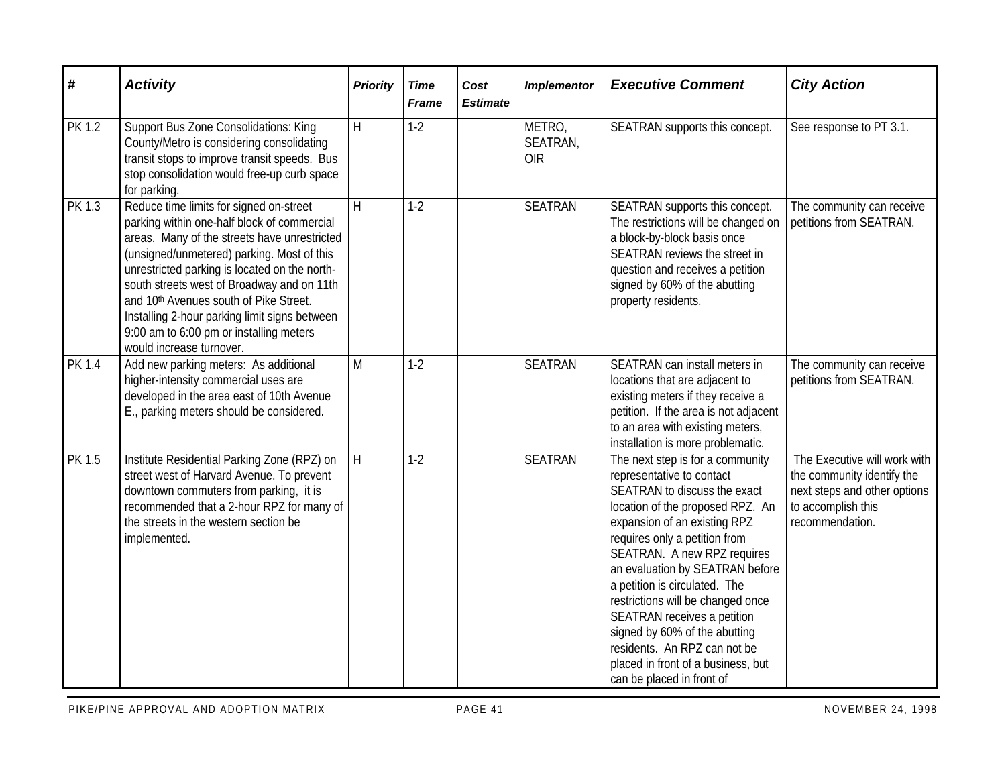| #             | <b>Activity</b>                                                                                                                                                                                                                                                                                                                                                                                                                                                   | <b>Priority</b> | <b>Time</b><br><b>Frame</b> | Cost<br><b>Estimate</b> | <b>Implementor</b>               | <b>Executive Comment</b>                                                                                                                                                                                                                                                                                                                                                                                                                                                                                      | <b>City Action</b>                                                                                                                  |
|---------------|-------------------------------------------------------------------------------------------------------------------------------------------------------------------------------------------------------------------------------------------------------------------------------------------------------------------------------------------------------------------------------------------------------------------------------------------------------------------|-----------------|-----------------------------|-------------------------|----------------------------------|---------------------------------------------------------------------------------------------------------------------------------------------------------------------------------------------------------------------------------------------------------------------------------------------------------------------------------------------------------------------------------------------------------------------------------------------------------------------------------------------------------------|-------------------------------------------------------------------------------------------------------------------------------------|
| <b>PK 1.2</b> | <b>Support Bus Zone Consolidations: King</b><br>County/Metro is considering consolidating<br>transit stops to improve transit speeds. Bus<br>stop consolidation would free-up curb space<br>for parking.                                                                                                                                                                                                                                                          | $\mathsf{H}$    | $1-2$                       |                         | METRO,<br>SEATRAN,<br><b>OIR</b> | SEATRAN supports this concept.                                                                                                                                                                                                                                                                                                                                                                                                                                                                                | See response to PT 3.1.                                                                                                             |
| PK 1.3        | Reduce time limits for signed on-street<br>parking within one-half block of commercial<br>areas. Many of the streets have unrestricted<br>(unsigned/unmetered) parking. Most of this<br>unrestricted parking is located on the north-<br>south streets west of Broadway and on 11th<br>and 10 <sup>th</sup> Avenues south of Pike Street.<br>Installing 2-hour parking limit signs between<br>9:00 am to 6:00 pm or installing meters<br>would increase turnover. | $\overline{H}$  | $1 - 2$                     |                         | <b>SEATRAN</b>                   | SEATRAN supports this concept.<br>The restrictions will be changed on<br>a block-by-block basis once<br>SEATRAN reviews the street in<br>question and receives a petition<br>signed by 60% of the abutting<br>property residents.                                                                                                                                                                                                                                                                             | The community can receive<br>petitions from SEATRAN.                                                                                |
| <b>PK 1.4</b> | Add new parking meters: As additional<br>higher-intensity commercial uses are<br>developed in the area east of 10th Avenue<br>E., parking meters should be considered.                                                                                                                                                                                                                                                                                            | M               | $1-2$                       |                         | <b>SEATRAN</b>                   | SEATRAN can install meters in<br>locations that are adjacent to<br>existing meters if they receive a<br>petition. If the area is not adjacent<br>to an area with existing meters,<br>installation is more problematic.                                                                                                                                                                                                                                                                                        | The community can receive<br>petitions from SEATRAN.                                                                                |
| PK 1.5        | Institute Residential Parking Zone (RPZ) on<br>street west of Harvard Avenue. To prevent<br>downtown commuters from parking, it is<br>recommended that a 2-hour RPZ for many of<br>the streets in the western section be<br>implemented.                                                                                                                                                                                                                          | H               | $1 - 2$                     |                         | <b>SEATRAN</b>                   | The next step is for a community<br>representative to contact<br>SEATRAN to discuss the exact<br>location of the proposed RPZ. An<br>expansion of an existing RPZ<br>requires only a petition from<br>SEATRAN. A new RPZ requires<br>an evaluation by SEATRAN before<br>a petition is circulated. The<br>restrictions will be changed once<br>SEATRAN receives a petition<br>signed by 60% of the abutting<br>residents. An RPZ can not be<br>placed in front of a business, but<br>can be placed in front of | The Executive will work with<br>the community identify the<br>next steps and other options<br>to accomplish this<br>recommendation. |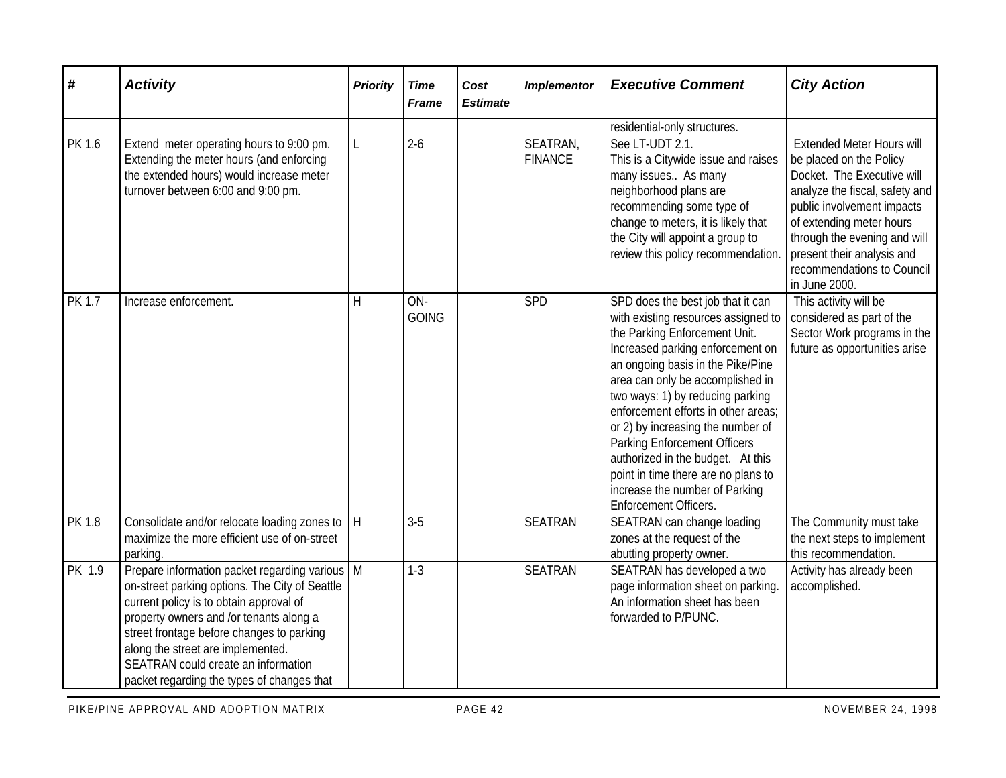| #             | <b>Activity</b>                                                                                                                                                                                                                                                                                                                                                 | <b>Priority</b> | <b>Time</b><br><b>Frame</b> | Cost<br><b>Estimate</b> | <b>Implementor</b>         | <b>Executive Comment</b>                                                                                                                                                                                                                                                                                                                                                                                                                                                                                             | <b>City Action</b>                                                                                                                                                                                                                                                                                 |
|---------------|-----------------------------------------------------------------------------------------------------------------------------------------------------------------------------------------------------------------------------------------------------------------------------------------------------------------------------------------------------------------|-----------------|-----------------------------|-------------------------|----------------------------|----------------------------------------------------------------------------------------------------------------------------------------------------------------------------------------------------------------------------------------------------------------------------------------------------------------------------------------------------------------------------------------------------------------------------------------------------------------------------------------------------------------------|----------------------------------------------------------------------------------------------------------------------------------------------------------------------------------------------------------------------------------------------------------------------------------------------------|
|               |                                                                                                                                                                                                                                                                                                                                                                 |                 |                             |                         |                            | residential-only structures.                                                                                                                                                                                                                                                                                                                                                                                                                                                                                         |                                                                                                                                                                                                                                                                                                    |
| PK 1.6        | Extend meter operating hours to 9:00 pm.<br>Extending the meter hours (and enforcing<br>the extended hours) would increase meter<br>turnover between 6:00 and 9:00 pm.                                                                                                                                                                                          | L               | $2-6$                       |                         | SEATRAN,<br><b>FINANCE</b> | See LT-UDT 2.1.<br>This is a Citywide issue and raises<br>many issues As many<br>neighborhood plans are<br>recommending some type of<br>change to meters, it is likely that<br>the City will appoint a group to<br>review this policy recommendation.                                                                                                                                                                                                                                                                | <b>Extended Meter Hours will</b><br>be placed on the Policy<br>Docket. The Executive will<br>analyze the fiscal, safety and<br>public involvement impacts<br>of extending meter hours<br>through the evening and will<br>present their analysis and<br>recommendations to Council<br>in June 2000. |
| <b>PK 1.7</b> | Increase enforcement.                                                                                                                                                                                                                                                                                                                                           | H               | ON-<br><b>GOING</b>         |                         | SPD                        | SPD does the best job that it can<br>with existing resources assigned to<br>the Parking Enforcement Unit.<br>Increased parking enforcement on<br>an ongoing basis in the Pike/Pine<br>area can only be accomplished in<br>two ways: 1) by reducing parking<br>enforcement efforts in other areas;<br>or 2) by increasing the number of<br><b>Parking Enforcement Officers</b><br>authorized in the budget. At this<br>point in time there are no plans to<br>increase the number of Parking<br>Enforcement Officers. | This activity will be<br>considered as part of the<br>Sector Work programs in the<br>future as opportunities arise                                                                                                                                                                                 |
| PK 1.8        | Consolidate and/or relocate loading zones to<br>maximize the more efficient use of on-street<br>parking.                                                                                                                                                                                                                                                        | H               | $3-5$                       |                         | <b>SEATRAN</b>             | SEATRAN can change loading<br>zones at the request of the<br>abutting property owner.                                                                                                                                                                                                                                                                                                                                                                                                                                | The Community must take<br>the next steps to implement<br>this recommendation.                                                                                                                                                                                                                     |
| PK 1.9        | Prepare information packet regarding various   M<br>on-street parking options. The City of Seattle<br>current policy is to obtain approval of<br>property owners and /or tenants along a<br>street frontage before changes to parking<br>along the street are implemented.<br>SEATRAN could create an information<br>packet regarding the types of changes that |                 | $1-3$                       |                         | <b>SEATRAN</b>             | SEATRAN has developed a two<br>page information sheet on parking.<br>An information sheet has been<br>forwarded to P/PUNC.                                                                                                                                                                                                                                                                                                                                                                                           | Activity has already been<br>accomplished.                                                                                                                                                                                                                                                         |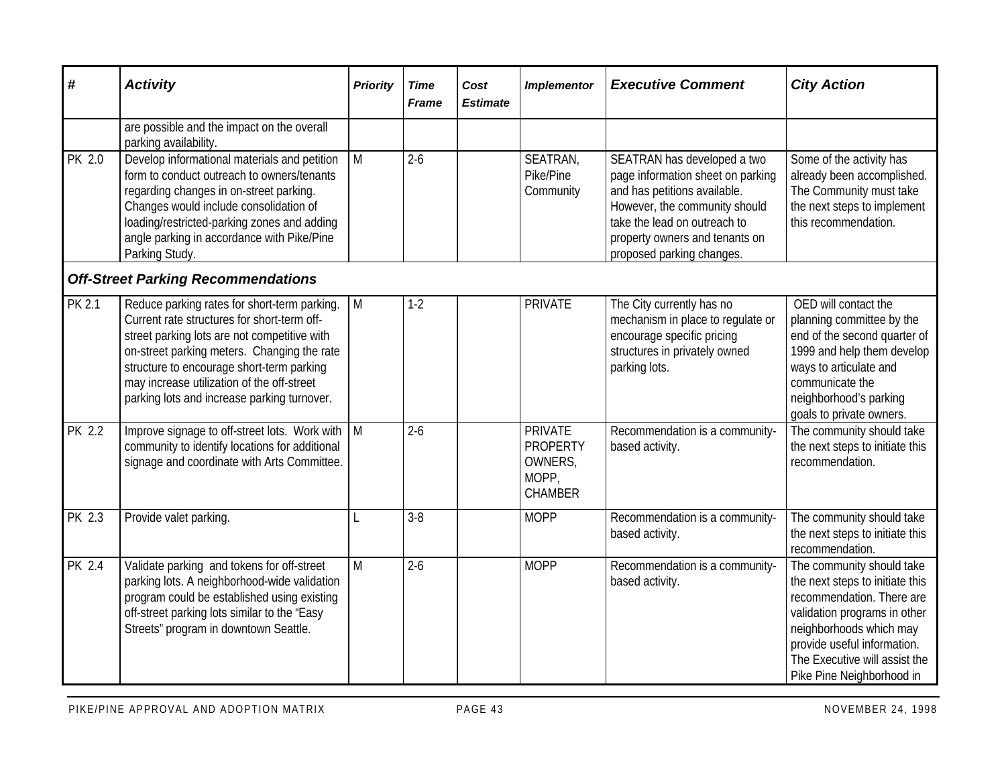| #             | <b>Activity</b>                                                                                                                                                                                                                                                                                                                      | <b>Priority</b> | <b>Time</b><br><b>Frame</b> | Cost<br><b>Estimate</b> | <b>Implementor</b>                                                      | <b>Executive Comment</b>                                                                                                                                                                                                         | <b>City Action</b>                                                                                                                                                                                                                                |
|---------------|--------------------------------------------------------------------------------------------------------------------------------------------------------------------------------------------------------------------------------------------------------------------------------------------------------------------------------------|-----------------|-----------------------------|-------------------------|-------------------------------------------------------------------------|----------------------------------------------------------------------------------------------------------------------------------------------------------------------------------------------------------------------------------|---------------------------------------------------------------------------------------------------------------------------------------------------------------------------------------------------------------------------------------------------|
|               | are possible and the impact on the overall<br>parking availability.                                                                                                                                                                                                                                                                  |                 |                             |                         |                                                                         |                                                                                                                                                                                                                                  |                                                                                                                                                                                                                                                   |
| <b>PK 2.0</b> | Develop informational materials and petition<br>form to conduct outreach to owners/tenants<br>regarding changes in on-street parking.<br>Changes would include consolidation of<br>loading/restricted-parking zones and adding<br>angle parking in accordance with Pike/Pine<br>Parking Study.                                       | $\overline{M}$  | $2 - 6$                     |                         | SEATRAN,<br>Pike/Pine<br>Community                                      | SEATRAN has developed a two<br>page information sheet on parking<br>and has petitions available.<br>However, the community should<br>take the lead on outreach to<br>property owners and tenants on<br>proposed parking changes. | Some of the activity has<br>already been accomplished.<br>The Community must take<br>the next steps to implement<br>this recommendation.                                                                                                          |
|               | <b>Off-Street Parking Recommendations</b>                                                                                                                                                                                                                                                                                            |                 |                             |                         |                                                                         |                                                                                                                                                                                                                                  |                                                                                                                                                                                                                                                   |
| <b>PK 2.1</b> | Reduce parking rates for short-term parking.<br>Current rate structures for short-term off-<br>street parking lots are not competitive with<br>on-street parking meters. Changing the rate<br>structure to encourage short-term parking<br>may increase utilization of the off-street<br>parking lots and increase parking turnover. | M               | $1-2$                       |                         | <b>PRIVATE</b>                                                          | The City currently has no<br>mechanism in place to regulate or<br>encourage specific pricing<br>structures in privately owned<br>parking lots.                                                                                   | OED will contact the<br>planning committee by the<br>end of the second quarter of<br>1999 and help them develop<br>ways to articulate and<br>communicate the<br>neighborhood's parking<br>goals to private owners.                                |
| PK 2.2        | Improve signage to off-street lots. Work with<br>community to identify locations for additional<br>signage and coordinate with Arts Committee.                                                                                                                                                                                       | M               | $2-6$                       |                         | <b>PRIVATE</b><br><b>PROPERTY</b><br>OWNERS,<br>MOPP,<br><b>CHAMBER</b> | Recommendation is a community-<br>based activity.                                                                                                                                                                                | The community should take<br>the next steps to initiate this<br>recommendation.                                                                                                                                                                   |
| PK 2.3        | Provide valet parking.                                                                                                                                                                                                                                                                                                               | L               | $3 - 8$                     |                         | <b>MOPP</b>                                                             | Recommendation is a community-<br>based activity.                                                                                                                                                                                | The community should take<br>the next steps to initiate this<br>recommendation.                                                                                                                                                                   |
| PK 2.4        | Validate parking and tokens for off-street<br>parking lots. A neighborhood-wide validation<br>program could be established using existing<br>off-street parking lots similar to the "Easy<br>Streets" program in downtown Seattle.                                                                                                   | M               | $2 - 6$                     |                         | <b>MOPP</b>                                                             | Recommendation is a community-<br>based activity.                                                                                                                                                                                | The community should take<br>the next steps to initiate this<br>recommendation. There are<br>validation programs in other<br>neighborhoods which may<br>provide useful information.<br>The Executive will assist the<br>Pike Pine Neighborhood in |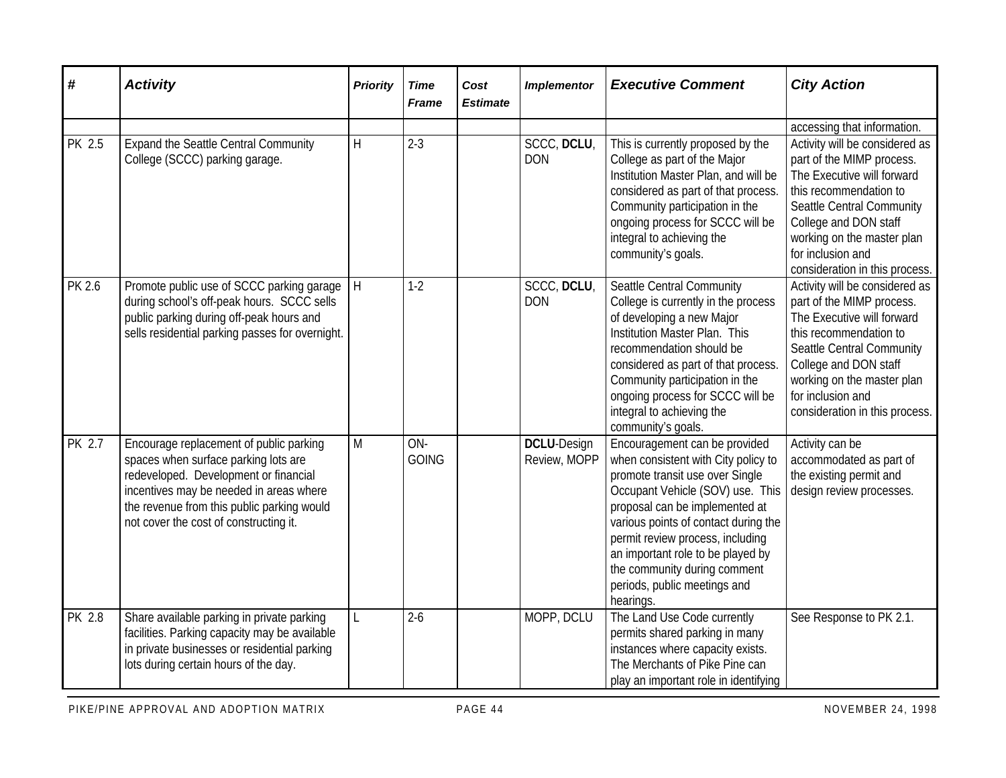| #      | <b>Activity</b>                                                                                                                                                                                                                                             | <b>Priority</b> | <b>Time</b><br><b>Frame</b> | Cost<br><b>Estimate</b> | <b>Implementor</b>                 | <b>Executive Comment</b>                                                                                                                                                                                                                                                                                                                                                    | <b>City Action</b>                                                                                                                                                                                                                                             |
|--------|-------------------------------------------------------------------------------------------------------------------------------------------------------------------------------------------------------------------------------------------------------------|-----------------|-----------------------------|-------------------------|------------------------------------|-----------------------------------------------------------------------------------------------------------------------------------------------------------------------------------------------------------------------------------------------------------------------------------------------------------------------------------------------------------------------------|----------------------------------------------------------------------------------------------------------------------------------------------------------------------------------------------------------------------------------------------------------------|
|        |                                                                                                                                                                                                                                                             |                 |                             |                         |                                    |                                                                                                                                                                                                                                                                                                                                                                             | accessing that information.                                                                                                                                                                                                                                    |
| PK 2.5 | <b>Expand the Seattle Central Community</b><br>College (SCCC) parking garage.                                                                                                                                                                               | $\mathsf{H}$    | $2 - 3$                     |                         | SCCC, DCLU,<br><b>DON</b>          | This is currently proposed by the<br>College as part of the Major<br>Institution Master Plan, and will be<br>considered as part of that process.<br>Community participation in the<br>ongoing process for SCCC will be<br>integral to achieving the<br>community's goals.                                                                                                   | Activity will be considered as<br>part of the MIMP process.<br>The Executive will forward<br>this recommendation to<br>Seattle Central Community<br>College and DON staff<br>working on the master plan<br>for inclusion and<br>consideration in this process. |
| PK 2.6 | Promote public use of SCCC parking garage<br>during school's off-peak hours. SCCC sells<br>public parking during off-peak hours and<br>sells residential parking passes for overnight.                                                                      | H               | $1-2$                       |                         | SCCC, DCLU,<br><b>DON</b>          | Seattle Central Community<br>College is currently in the process<br>of developing a new Major<br>Institution Master Plan. This<br>recommendation should be<br>considered as part of that process.<br>Community participation in the<br>ongoing process for SCCC will be<br>integral to achieving the<br>community's goals.                                                  | Activity will be considered as<br>part of the MIMP process.<br>The Executive will forward<br>this recommendation to<br>Seattle Central Community<br>College and DON staff<br>working on the master plan<br>for inclusion and<br>consideration in this process. |
| PK 2.7 | Encourage replacement of public parking<br>spaces when surface parking lots are<br>redeveloped. Development or financial<br>incentives may be needed in areas where<br>the revenue from this public parking would<br>not cover the cost of constructing it. | M               | ON-<br><b>GOING</b>         |                         | <b>DCLU-Design</b><br>Review, MOPP | Encouragement can be provided<br>when consistent with City policy to<br>promote transit use over Single<br>Occupant Vehicle (SOV) use. This<br>proposal can be implemented at<br>various points of contact during the<br>permit review process, including<br>an important role to be played by<br>the community during comment<br>periods, public meetings and<br>hearings. | Activity can be<br>accommodated as part of<br>the existing permit and<br>design review processes.                                                                                                                                                              |
| PK 2.8 | Share available parking in private parking<br>facilities. Parking capacity may be available<br>in private businesses or residential parking<br>lots during certain hours of the day.                                                                        | L               | $2 - 6$                     |                         | MOPP, DCLU                         | The Land Use Code currently<br>permits shared parking in many<br>instances where capacity exists.<br>The Merchants of Pike Pine can<br>play an important role in identifying                                                                                                                                                                                                | See Response to PK 2.1.                                                                                                                                                                                                                                        |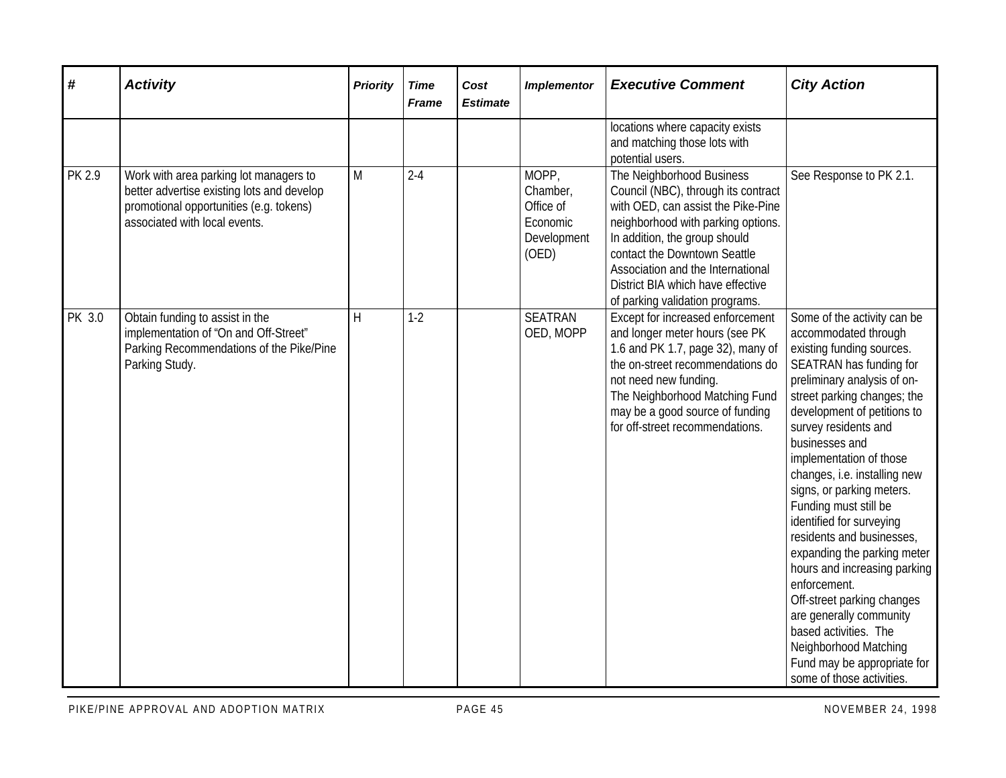| #      | <b>Activity</b>                                                                                                                                                  | <b>Priority</b> | <b>Time</b><br><b>Frame</b> | Cost<br><b>Estimate</b> | <b>Implementor</b>                                                 | <b>Executive Comment</b>                                                                                                                                                                                                                                                                                                   | <b>City Action</b>                                                                                                                                                                                                                                                                                                                                                                                                                                                                                                                                                                                                                                                                 |
|--------|------------------------------------------------------------------------------------------------------------------------------------------------------------------|-----------------|-----------------------------|-------------------------|--------------------------------------------------------------------|----------------------------------------------------------------------------------------------------------------------------------------------------------------------------------------------------------------------------------------------------------------------------------------------------------------------------|------------------------------------------------------------------------------------------------------------------------------------------------------------------------------------------------------------------------------------------------------------------------------------------------------------------------------------------------------------------------------------------------------------------------------------------------------------------------------------------------------------------------------------------------------------------------------------------------------------------------------------------------------------------------------------|
|        |                                                                                                                                                                  |                 |                             |                         |                                                                    | locations where capacity exists<br>and matching those lots with<br>potential users.                                                                                                                                                                                                                                        |                                                                                                                                                                                                                                                                                                                                                                                                                                                                                                                                                                                                                                                                                    |
| PK 2.9 | Work with area parking lot managers to<br>better advertise existing lots and develop<br>promotional opportunities (e.g. tokens)<br>associated with local events. | M               | $2 - 4$                     |                         | MOPP,<br>Chamber,<br>Office of<br>Economic<br>Development<br>(OED) | The Neighborhood Business<br>Council (NBC), through its contract<br>with OED, can assist the Pike-Pine<br>neighborhood with parking options.<br>In addition, the group should<br>contact the Downtown Seattle<br>Association and the International<br>District BIA which have effective<br>of parking validation programs. | See Response to PK 2.1.                                                                                                                                                                                                                                                                                                                                                                                                                                                                                                                                                                                                                                                            |
| PK 3.0 | Obtain funding to assist in the<br>implementation of "On and Off-Street"<br>Parking Recommendations of the Pike/Pine<br>Parking Study.                           | H               | $1-2$                       |                         | <b>SEATRAN</b><br>OED, MOPP                                        | Except for increased enforcement<br>and longer meter hours (see PK<br>1.6 and PK 1.7, page 32), many of<br>the on-street recommendations do<br>not need new funding.<br>The Neighborhood Matching Fund<br>may be a good source of funding<br>for off-street recommendations.                                               | Some of the activity can be<br>accommodated through<br>existing funding sources.<br>SEATRAN has funding for<br>preliminary analysis of on-<br>street parking changes; the<br>development of petitions to<br>survey residents and<br>businesses and<br>implementation of those<br>changes, i.e. installing new<br>signs, or parking meters.<br>Funding must still be<br>identified for surveying<br>residents and businesses,<br>expanding the parking meter<br>hours and increasing parking<br>enforcement.<br>Off-street parking changes<br>are generally community<br>based activities. The<br>Neighborhood Matching<br>Fund may be appropriate for<br>some of those activities. |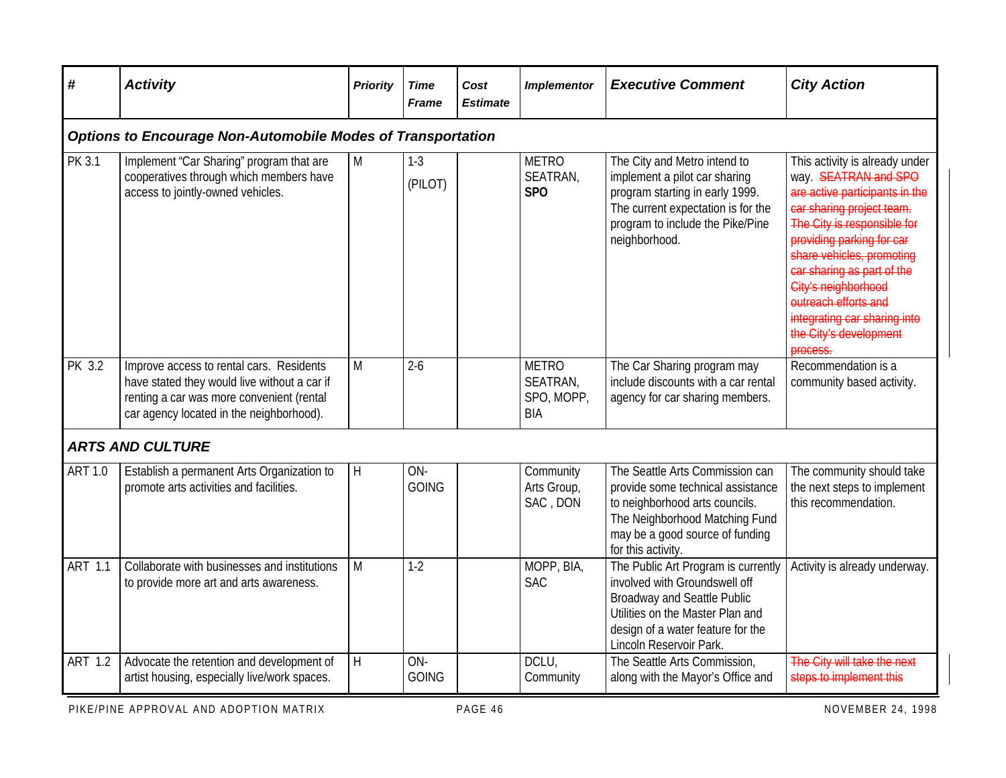| #              | <b>Activity</b>                                                                                                                                                                   | <b>Priority</b> | <b>Time</b><br><b>Frame</b> | Cost<br><b>Estimate</b> | <b>Implementor</b>                            | <b>Executive Comment</b>                                                                                                                                                                                       | <b>City Action</b>                                                                                                                                                                                                                                                                                                                                                |
|----------------|-----------------------------------------------------------------------------------------------------------------------------------------------------------------------------------|-----------------|-----------------------------|-------------------------|-----------------------------------------------|----------------------------------------------------------------------------------------------------------------------------------------------------------------------------------------------------------------|-------------------------------------------------------------------------------------------------------------------------------------------------------------------------------------------------------------------------------------------------------------------------------------------------------------------------------------------------------------------|
|                | <b>Options to Encourage Non-Automobile Modes of Transportation</b>                                                                                                                |                 |                             |                         |                                               |                                                                                                                                                                                                                |                                                                                                                                                                                                                                                                                                                                                                   |
| PK 3.1         | Implement "Car Sharing" program that are<br>cooperatives through which members have<br>access to jointly-owned vehicles.                                                          | M               | $1-3$<br>(PILOT)            |                         | <b>METRO</b><br>SEATRAN,<br><b>SPO</b>        | The City and Metro intend to<br>implement a pilot car sharing<br>program starting in early 1999.<br>The current expectation is for the<br>program to include the Pike/Pine<br>neighborhood.                    | This activity is already under<br>way. SEATRAN and SPO<br>are active participants in the<br>car sharing project team.<br>The City is responsible for<br>providing parking for car<br>share vehicles, promoting<br>car sharing as part of the<br>City's neighborhood<br>outreach efforts and<br>integrating car sharing into<br>the City's development<br>process. |
| <b>PK 3.2</b>  | Improve access to rental cars. Residents<br>have stated they would live without a car if<br>renting a car was more convenient (rental<br>car agency located in the neighborhood). | M               | $2 - 6$                     |                         | <b>METRO</b><br>SEATRAN,<br>SPO, MOPP,<br>BIA | The Car Sharing program may<br>include discounts with a car rental<br>agency for car sharing members.                                                                                                          | Recommendation is a<br>community based activity.                                                                                                                                                                                                                                                                                                                  |
|                | <b>ARTS AND CULTURE</b>                                                                                                                                                           |                 |                             |                         |                                               |                                                                                                                                                                                                                |                                                                                                                                                                                                                                                                                                                                                                   |
| <b>ART 1.0</b> | Establish a permanent Arts Organization to<br>promote arts activities and facilities.                                                                                             | H               | ON-<br><b>GOING</b>         |                         | Community<br>Arts Group,<br>SAC, DON          | The Seattle Arts Commission can<br>provide some technical assistance<br>to neighborhood arts councils.<br>The Neighborhood Matching Fund<br>may be a good source of funding<br>for this activity.              | The community should take<br>the next steps to implement<br>this recommendation.                                                                                                                                                                                                                                                                                  |
| <b>ART 1.1</b> | Collaborate with businesses and institutions<br>to provide more art and arts awareness.                                                                                           | M               | $1-2$                       |                         | MOPP, BIA,<br><b>SAC</b>                      | The Public Art Program is currently<br>involved with Groundswell off<br><b>Broadway and Seattle Public</b><br>Utilities on the Master Plan and<br>design of a water feature for the<br>Lincoln Reservoir Park. | Activity is already underway.                                                                                                                                                                                                                                                                                                                                     |
| <b>ART 1.2</b> | Advocate the retention and development of<br>artist housing, especially live/work spaces.                                                                                         | $\mathsf{H}$    | ON-<br><b>GOING</b>         |                         | DCLU,<br>Community                            | The Seattle Arts Commission,<br>along with the Mayor's Office and                                                                                                                                              | The City will take the next<br>steps to implement this                                                                                                                                                                                                                                                                                                            |

PIKE/PINE APPROVAL AND ADOPTION MATRIX **PAGE 46** PAGE 46 NOVEMBER 24, 1998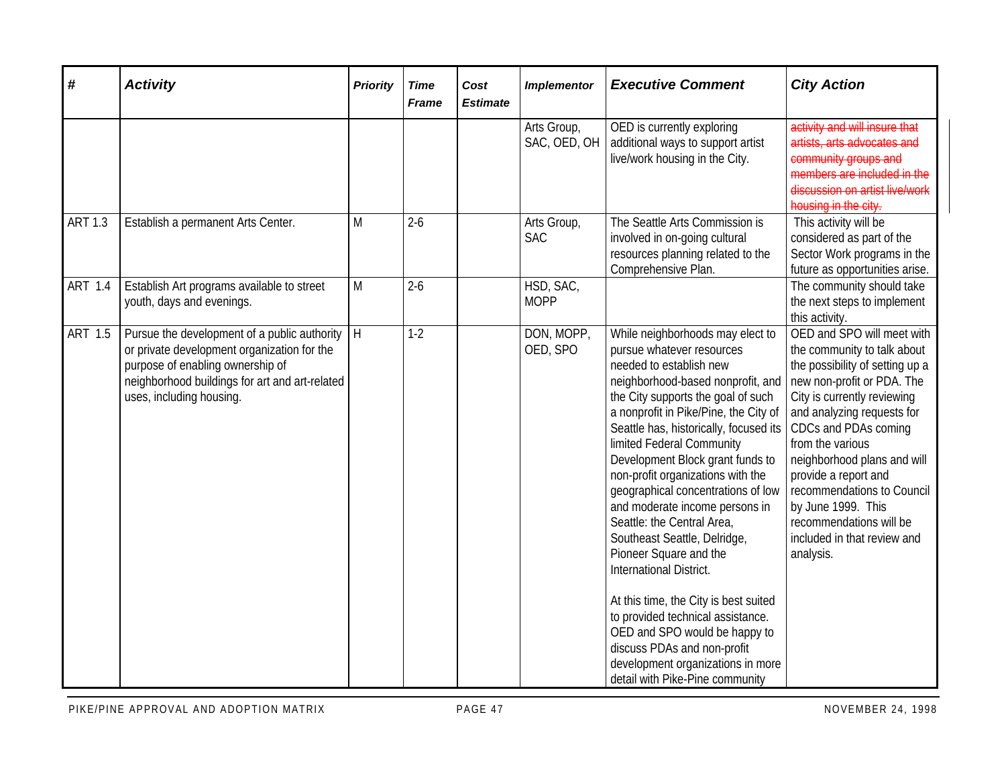| #              | <b>Activity</b>                                                                                                                                                                                               | <b>Priority</b> | <b>Time</b><br><b>Frame</b> | Cost<br><b>Estimate</b> | <b>Implementor</b>          | <b>Executive Comment</b>                                                                                                                                                                                                                                                                                                                                                                                                                                                                                                                                                                                                                                                                                                                                                      | <b>City Action</b>                                                                                                                                                                                                                                                                                                                                                                                                    |
|----------------|---------------------------------------------------------------------------------------------------------------------------------------------------------------------------------------------------------------|-----------------|-----------------------------|-------------------------|-----------------------------|-------------------------------------------------------------------------------------------------------------------------------------------------------------------------------------------------------------------------------------------------------------------------------------------------------------------------------------------------------------------------------------------------------------------------------------------------------------------------------------------------------------------------------------------------------------------------------------------------------------------------------------------------------------------------------------------------------------------------------------------------------------------------------|-----------------------------------------------------------------------------------------------------------------------------------------------------------------------------------------------------------------------------------------------------------------------------------------------------------------------------------------------------------------------------------------------------------------------|
|                |                                                                                                                                                                                                               |                 |                             |                         | Arts Group,<br>SAC, OED, OH | OED is currently exploring<br>additional ways to support artist<br>live/work housing in the City.                                                                                                                                                                                                                                                                                                                                                                                                                                                                                                                                                                                                                                                                             | activity and will insure that<br>artists, arts advocates and<br>community groups and<br>members are included in the<br>discussion on artist live/work<br>housing in the city.                                                                                                                                                                                                                                         |
| <b>ART 1.3</b> | Establish a permanent Arts Center.                                                                                                                                                                            | M               | $2 - 6$                     |                         | Arts Group,<br><b>SAC</b>   | The Seattle Arts Commission is<br>involved in on-going cultural<br>resources planning related to the<br>Comprehensive Plan.                                                                                                                                                                                                                                                                                                                                                                                                                                                                                                                                                                                                                                                   | This activity will be<br>considered as part of the<br>Sector Work programs in the<br>future as opportunities arise.                                                                                                                                                                                                                                                                                                   |
| ART 1.4        | Establish Art programs available to street<br>youth, days and evenings.                                                                                                                                       | M               | $2-6$                       |                         | HSD, SAC,<br><b>MOPP</b>    |                                                                                                                                                                                                                                                                                                                                                                                                                                                                                                                                                                                                                                                                                                                                                                               | The community should take<br>the next steps to implement<br>this activity.                                                                                                                                                                                                                                                                                                                                            |
| <b>ART 1.5</b> | Pursue the development of a public authority<br>or private development organization for the<br>purpose of enabling ownership of<br>neighborhood buildings for art and art-related<br>uses, including housing. | H               | $1-2$                       |                         | DON, MOPP,<br>OED, SPO      | While neighborhoods may elect to<br>pursue whatever resources<br>needed to establish new<br>neighborhood-based nonprofit, and<br>the City supports the goal of such<br>a nonprofit in Pike/Pine, the City of<br>Seattle has, historically, focused its<br>limited Federal Community<br>Development Block grant funds to<br>non-profit organizations with the<br>geographical concentrations of low<br>and moderate income persons in<br>Seattle: the Central Area,<br>Southeast Seattle, Delridge,<br>Pioneer Square and the<br>International District.<br>At this time, the City is best suited<br>to provided technical assistance.<br>OED and SPO would be happy to<br>discuss PDAs and non-profit<br>development organizations in more<br>detail with Pike-Pine community | OED and SPO will meet with<br>the community to talk about<br>the possibility of setting up a<br>new non-profit or PDA. The<br>City is currently reviewing<br>and analyzing requests for<br>CDCs and PDAs coming<br>from the various<br>neighborhood plans and will<br>provide a report and<br>recommendations to Council<br>by June 1999. This<br>recommendations will be<br>included in that review and<br>analysis. |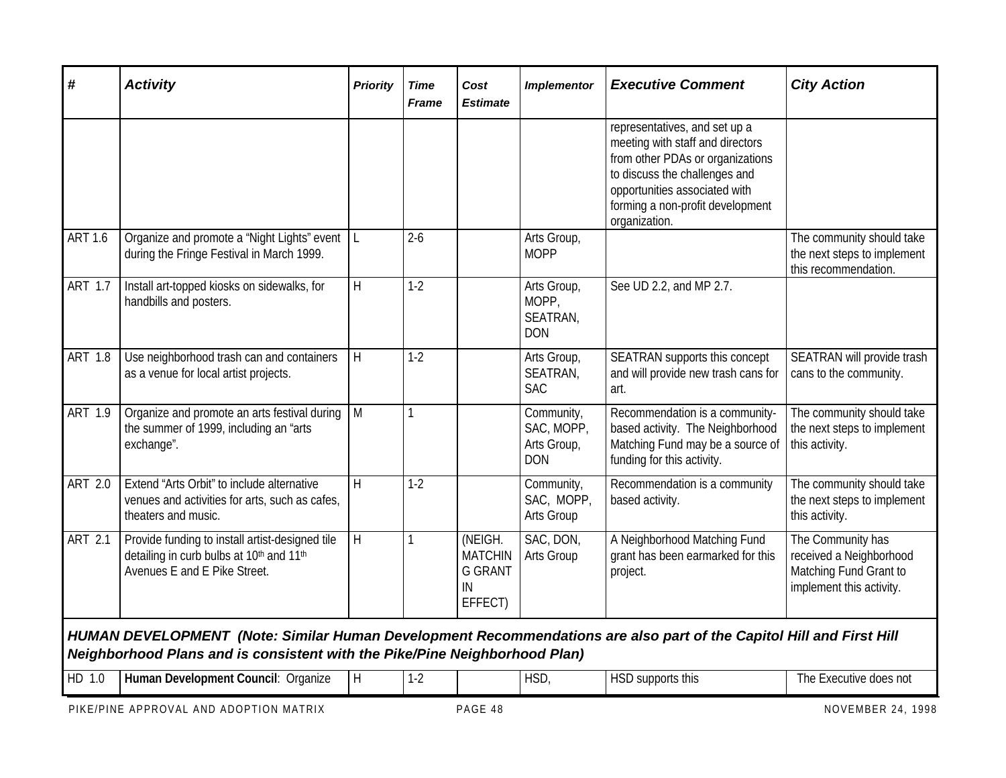| #                                                                                                                                                                                                 | <b>Activity</b>                                                                                                             | <b>Priority</b> | <b>Time</b><br><b>Frame</b> | Cost<br><b>Estimate</b>                                      | <b>Implementor</b>                                    | <b>Executive Comment</b>                                                                                                                                                                                                     | <b>City Action</b>                                                                                 |  |  |  |
|---------------------------------------------------------------------------------------------------------------------------------------------------------------------------------------------------|-----------------------------------------------------------------------------------------------------------------------------|-----------------|-----------------------------|--------------------------------------------------------------|-------------------------------------------------------|------------------------------------------------------------------------------------------------------------------------------------------------------------------------------------------------------------------------------|----------------------------------------------------------------------------------------------------|--|--|--|
|                                                                                                                                                                                                   |                                                                                                                             |                 |                             |                                                              |                                                       | representatives, and set up a<br>meeting with staff and directors<br>from other PDAs or organizations<br>to discuss the challenges and<br>opportunities associated with<br>forming a non-profit development<br>organization. |                                                                                                    |  |  |  |
| <b>ART 1.6</b>                                                                                                                                                                                    | Organize and promote a "Night Lights" event<br>during the Fringe Festival in March 1999.                                    | L               | $2 - 6$                     |                                                              | Arts Group,<br><b>MOPP</b>                            |                                                                                                                                                                                                                              | The community should take<br>the next steps to implement<br>this recommendation.                   |  |  |  |
| <b>ART 1.7</b>                                                                                                                                                                                    | Install art-topped kiosks on sidewalks, for<br>handbills and posters.                                                       | $\mathsf{H}$    | $1 - 2$                     |                                                              | Arts Group,<br>MOPP,<br>SEATRAN,<br><b>DON</b>        | See UD 2.2, and MP 2.7.                                                                                                                                                                                                      |                                                                                                    |  |  |  |
| ART 1.8                                                                                                                                                                                           | Use neighborhood trash can and containers<br>as a venue for local artist projects.                                          | $\sf H$         | $1-2$                       |                                                              | Arts Group,<br>SEATRAN,<br><b>SAC</b>                 | SEATRAN supports this concept<br>and will provide new trash cans for<br>art.                                                                                                                                                 | SEATRAN will provide trash<br>cans to the community.                                               |  |  |  |
| ART 1.9                                                                                                                                                                                           | Organize and promote an arts festival during<br>the summer of 1999, including an "arts<br>exchange".                        | M               |                             |                                                              | Community,<br>SAC, MOPP,<br>Arts Group,<br><b>DON</b> | Recommendation is a community-<br>based activity. The Neighborhood<br>Matching Fund may be a source of<br>funding for this activity.                                                                                         | The community should take<br>the next steps to implement<br>this activity.                         |  |  |  |
| ART 2.0                                                                                                                                                                                           | Extend "Arts Orbit" to include alternative<br>venues and activities for arts, such as cafes,<br>theaters and music.         | $\mathsf{H}$    | $1-2$                       |                                                              | Community,<br>SAC, MOPP,<br>Arts Group                | Recommendation is a community<br>based activity.                                                                                                                                                                             | The community should take<br>the next steps to implement<br>this activity.                         |  |  |  |
| <b>ART 2.1</b>                                                                                                                                                                                    | Provide funding to install artist-designed tile<br>detailing in curb bulbs at 10th and 11th<br>Avenues E and E Pike Street. | $\sf H$         |                             | (NEIGH.<br><b>MATCHIN</b><br><b>G GRANT</b><br>IN<br>EFFECT) | SAC, DON,<br>Arts Group                               | A Neighborhood Matching Fund<br>grant has been earmarked for this<br>project.                                                                                                                                                | The Community has<br>received a Neighborhood<br>Matching Fund Grant to<br>implement this activity. |  |  |  |
| HUMAN DEVELOPMENT (Note: Similar Human Development Recommendations are also part of the Capitol Hill and First Hill<br>Neighborhood Plans and is consistent with the Pike/Pine Neighborhood Plan) |                                                                                                                             |                 |                             |                                                              |                                                       |                                                                                                                                                                                                                              |                                                                                                    |  |  |  |
| HD 1.0                                                                                                                                                                                            | Human Development Council: Organize                                                                                         | $\mathsf{H}$    | $1-2$                       |                                                              | HSD,                                                  | HSD supports this                                                                                                                                                                                                            | The Executive does not                                                                             |  |  |  |

PIKE/PINE APPROVAL AND ADOPTION MATRIX **PAGE 48** PAGE 48 NOVEMBER 24, 1998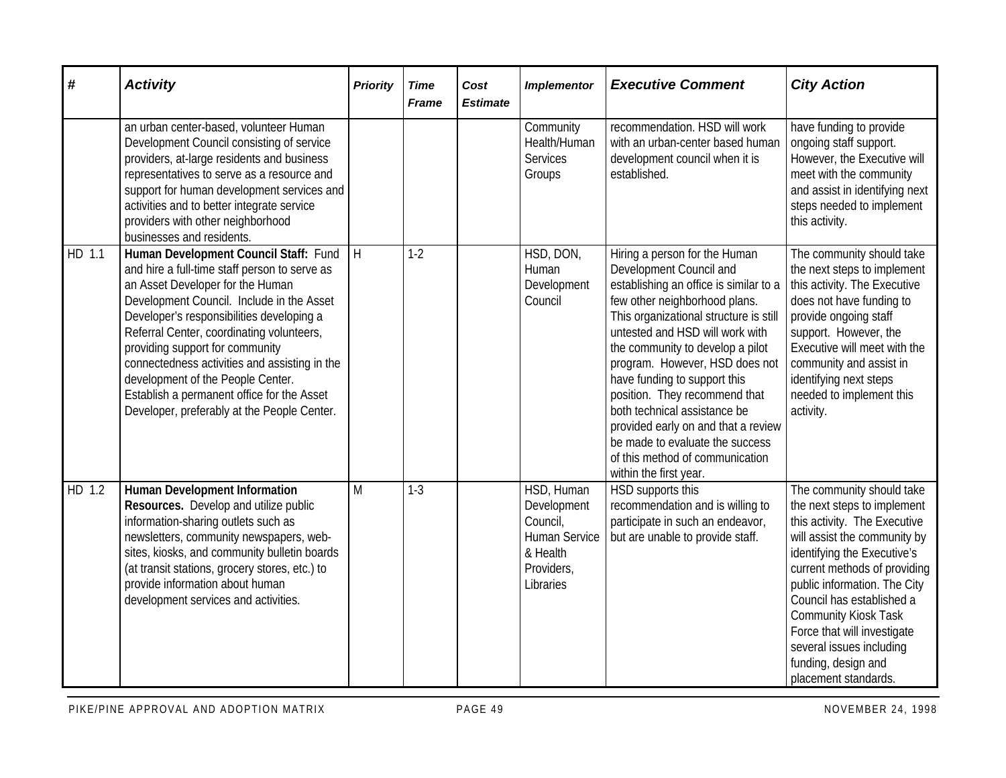| #      | <b>Activity</b>                                                                                                                                                                                                                                                                                                                                                                                                                                                                         | <b>Priority</b> | <b>Time</b><br><b>Frame</b> | Cost<br><b>Estimate</b> | <b>Implementor</b>                                                                            | <b>Executive Comment</b>                                                                                                                                                                                                                                                                                                                                                                                                                                                                                                       | <b>City Action</b>                                                                                                                                                                                                                                                                                                                                                                            |
|--------|-----------------------------------------------------------------------------------------------------------------------------------------------------------------------------------------------------------------------------------------------------------------------------------------------------------------------------------------------------------------------------------------------------------------------------------------------------------------------------------------|-----------------|-----------------------------|-------------------------|-----------------------------------------------------------------------------------------------|--------------------------------------------------------------------------------------------------------------------------------------------------------------------------------------------------------------------------------------------------------------------------------------------------------------------------------------------------------------------------------------------------------------------------------------------------------------------------------------------------------------------------------|-----------------------------------------------------------------------------------------------------------------------------------------------------------------------------------------------------------------------------------------------------------------------------------------------------------------------------------------------------------------------------------------------|
|        | an urban center-based, volunteer Human<br>Development Council consisting of service<br>providers, at-large residents and business<br>representatives to serve as a resource and<br>support for human development services and<br>activities and to better integrate service<br>providers with other neighborhood<br>businesses and residents.                                                                                                                                           |                 |                             |                         | Community<br>Health/Human<br><b>Services</b><br>Groups                                        | recommendation. HSD will work<br>with an urban-center based human<br>development council when it is<br>established.                                                                                                                                                                                                                                                                                                                                                                                                            | have funding to provide<br>ongoing staff support.<br>However, the Executive will<br>meet with the community<br>and assist in identifying next<br>steps needed to implement<br>this activity.                                                                                                                                                                                                  |
| HD 1.1 | Human Development Council Staff: Fund<br>and hire a full-time staff person to serve as<br>an Asset Developer for the Human<br>Development Council. Include in the Asset<br>Developer's responsibilities developing a<br>Referral Center, coordinating volunteers,<br>providing support for community<br>connectedness activities and assisting in the<br>development of the People Center.<br>Establish a permanent office for the Asset<br>Developer, preferably at the People Center. | H               | $1-2$                       |                         | HSD, DON,<br>Human<br>Development<br>Council                                                  | Hiring a person for the Human<br>Development Council and<br>establishing an office is similar to a<br>few other neighborhood plans.<br>This organizational structure is still<br>untested and HSD will work with<br>the community to develop a pilot<br>program. However, HSD does not<br>have funding to support this<br>position. They recommend that<br>both technical assistance be<br>provided early on and that a review<br>be made to evaluate the success<br>of this method of communication<br>within the first year. | The community should take<br>the next steps to implement<br>this activity. The Executive<br>does not have funding to<br>provide ongoing staff<br>support. However, the<br>Executive will meet with the<br>community and assist in<br>identifying next steps<br>needed to implement this<br>activity.                                                                                          |
| HD 1.2 | <b>Human Development Information</b><br>Resources. Develop and utilize public<br>information-sharing outlets such as<br>newsletters, community newspapers, web-<br>sites, kiosks, and community bulletin boards<br>(at transit stations, grocery stores, etc.) to<br>provide information about human<br>development services and activities.                                                                                                                                            | M               | $1-3$                       |                         | HSD, Human<br>Development<br>Council,<br>Human Service<br>& Health<br>Providers,<br>Libraries | HSD supports this<br>recommendation and is willing to<br>participate in such an endeavor,<br>but are unable to provide staff.                                                                                                                                                                                                                                                                                                                                                                                                  | The community should take<br>the next steps to implement<br>this activity. The Executive<br>will assist the community by<br>identifying the Executive's<br>current methods of providing<br>public information. The City<br>Council has established a<br><b>Community Kiosk Task</b><br>Force that will investigate<br>several issues including<br>funding, design and<br>placement standards. |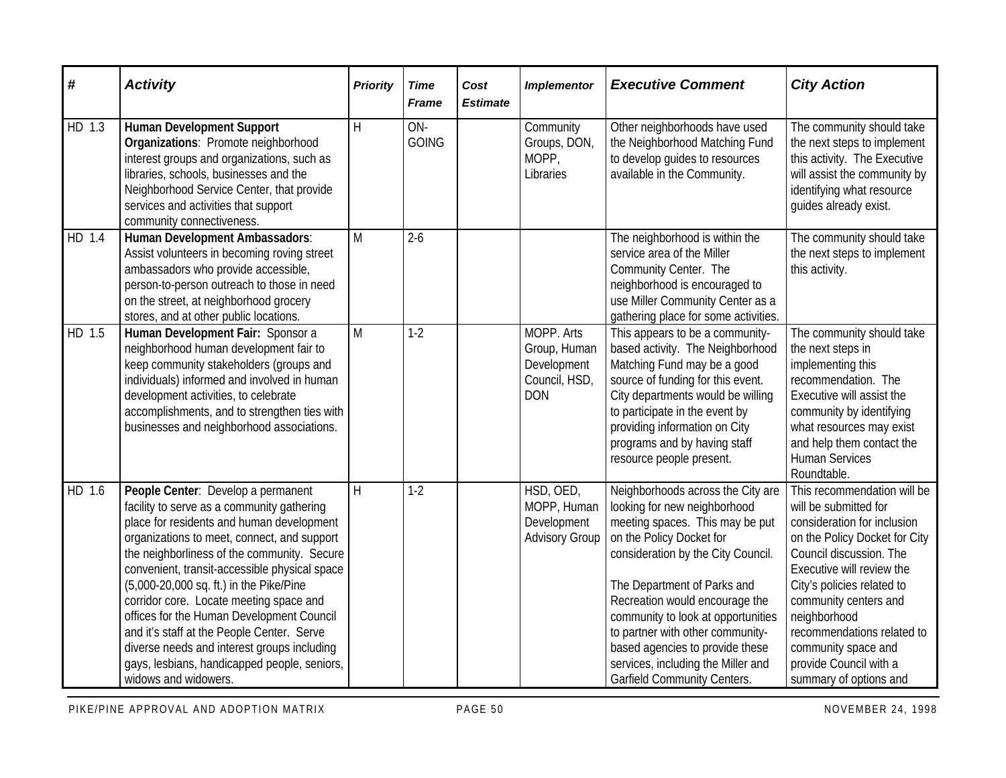| $\pmb{\#}$ | <b>Activity</b>                                                                                                                                                                                                                                                                                                                                                                                                                                                                                                                                                                      | <b>Priority</b> | <b>Time</b><br><b>Frame</b> | Cost<br><b>Estimate</b> | <b>Implementor</b>                                                       | <b>Executive Comment</b>                                                                                                                                                                                                                                                                                                                                                                                                         | <b>City Action</b>                                                                                                                                                                                                                                                                                                                                           |
|------------|--------------------------------------------------------------------------------------------------------------------------------------------------------------------------------------------------------------------------------------------------------------------------------------------------------------------------------------------------------------------------------------------------------------------------------------------------------------------------------------------------------------------------------------------------------------------------------------|-----------------|-----------------------------|-------------------------|--------------------------------------------------------------------------|----------------------------------------------------------------------------------------------------------------------------------------------------------------------------------------------------------------------------------------------------------------------------------------------------------------------------------------------------------------------------------------------------------------------------------|--------------------------------------------------------------------------------------------------------------------------------------------------------------------------------------------------------------------------------------------------------------------------------------------------------------------------------------------------------------|
| HD 1.3     | <b>Human Development Support</b><br>Organizations: Promote neighborhood<br>interest groups and organizations, such as<br>libraries, schools, businesses and the<br>Neighborhood Service Center, that provide<br>services and activities that support<br>community connectiveness.                                                                                                                                                                                                                                                                                                    | H               | ON-<br><b>GOING</b>         |                         | Community<br>Groups, DON,<br>MOPP,<br>Libraries                          | Other neighborhoods have used<br>the Neighborhood Matching Fund<br>to develop guides to resources<br>available in the Community.                                                                                                                                                                                                                                                                                                 | The community should take<br>the next steps to implement<br>this activity. The Executive<br>will assist the community by<br>identifying what resource<br>guides already exist.                                                                                                                                                                               |
| HD 1.4     | <b>Human Development Ambassadors:</b><br>Assist volunteers in becoming roving street<br>ambassadors who provide accessible,<br>person-to-person outreach to those in need<br>on the street, at neighborhood grocery<br>stores, and at other public locations.                                                                                                                                                                                                                                                                                                                        | M               | $2 - 6$                     |                         |                                                                          | The neighborhood is within the<br>service area of the Miller<br>Community Center. The<br>neighborhood is encouraged to<br>use Miller Community Center as a<br>gathering place for some activities.                                                                                                                                                                                                                               | The community should take<br>the next steps to implement<br>this activity.                                                                                                                                                                                                                                                                                   |
| HD 1.5     | Human Development Fair: Sponsor a<br>neighborhood human development fair to<br>keep community stakeholders (groups and<br>individuals) informed and involved in human<br>development activities, to celebrate<br>accomplishments, and to strengthen ties with<br>businesses and neighborhood associations.                                                                                                                                                                                                                                                                           | M               | $1-2$                       |                         | MOPP. Arts<br>Group, Human<br>Development<br>Council, HSD,<br><b>DON</b> | This appears to be a community-<br>based activity. The Neighborhood<br>Matching Fund may be a good<br>source of funding for this event.<br>City departments would be willing<br>to participate in the event by<br>providing information on City<br>programs and by having staff<br>resource people present.                                                                                                                      | The community should take<br>the next steps in<br>implementing this<br>recommendation. The<br>Executive will assist the<br>community by identifying<br>what resources may exist<br>and help them contact the<br><b>Human Services</b><br>Roundtable.                                                                                                         |
| HD 1.6     | People Center: Develop a permanent<br>facility to serve as a community gathering<br>place for residents and human development<br>organizations to meet, connect, and support<br>the neighborliness of the community. Secure<br>convenient, transit-accessible physical space<br>(5,000-20,000 sq. ft.) in the Pike/Pine<br>corridor core. Locate meeting space and<br>offices for the Human Development Council<br>and it's staff at the People Center. Serve<br>diverse needs and interest groups including<br>gays, lesbians, handicapped people, seniors,<br>widows and widowers. | H               | $1-2$                       |                         | HSD, OED,<br>MOPP, Human<br>Development<br><b>Advisory Group</b>         | Neighborhoods across the City are<br>looking for new neighborhood<br>meeting spaces. This may be put<br>on the Policy Docket for<br>consideration by the City Council.<br>The Department of Parks and<br>Recreation would encourage the<br>community to look at opportunities<br>to partner with other community-<br>based agencies to provide these<br>services, including the Miller and<br><b>Garfield Community Centers.</b> | This recommendation will be<br>will be submitted for<br>consideration for inclusion<br>on the Policy Docket for City<br>Council discussion. The<br>Executive will review the<br>City's policies related to<br>community centers and<br>neighborhood<br>recommendations related to<br>community space and<br>provide Council with a<br>summary of options and |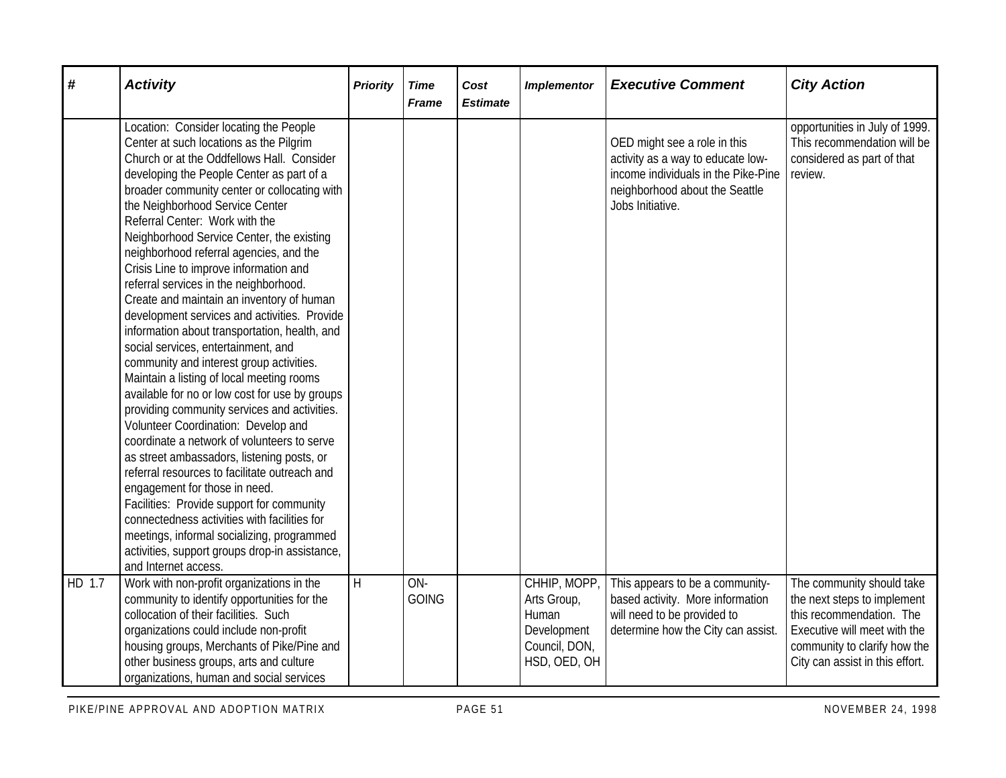| #      | <b>Activity</b>                                                                                                                                                                                                                                                                                                                                                                                                                                                                                                                                                                                                                                                                                                                                                                                                                                                                                                                                                                                                                                                                                                                                                                                                                                                                                          | <b>Priority</b> | <b>Time</b><br><b>Frame</b> | Cost<br><b>Estimate</b> | <b>Implementor</b>                                                                   | <b>Executive Comment</b>                                                                                                                                       | <b>City Action</b>                                                                                                                                                                      |
|--------|----------------------------------------------------------------------------------------------------------------------------------------------------------------------------------------------------------------------------------------------------------------------------------------------------------------------------------------------------------------------------------------------------------------------------------------------------------------------------------------------------------------------------------------------------------------------------------------------------------------------------------------------------------------------------------------------------------------------------------------------------------------------------------------------------------------------------------------------------------------------------------------------------------------------------------------------------------------------------------------------------------------------------------------------------------------------------------------------------------------------------------------------------------------------------------------------------------------------------------------------------------------------------------------------------------|-----------------|-----------------------------|-------------------------|--------------------------------------------------------------------------------------|----------------------------------------------------------------------------------------------------------------------------------------------------------------|-----------------------------------------------------------------------------------------------------------------------------------------------------------------------------------------|
|        | Location: Consider locating the People<br>Center at such locations as the Pilgrim<br>Church or at the Oddfellows Hall. Consider<br>developing the People Center as part of a<br>broader community center or collocating with<br>the Neighborhood Service Center<br>Referral Center: Work with the<br>Neighborhood Service Center, the existing<br>neighborhood referral agencies, and the<br>Crisis Line to improve information and<br>referral services in the neighborhood.<br>Create and maintain an inventory of human<br>development services and activities. Provide<br>information about transportation, health, and<br>social services, entertainment, and<br>community and interest group activities.<br>Maintain a listing of local meeting rooms<br>available for no or low cost for use by groups<br>providing community services and activities.<br>Volunteer Coordination: Develop and<br>coordinate a network of volunteers to serve<br>as street ambassadors, listening posts, or<br>referral resources to facilitate outreach and<br>engagement for those in need.<br>Facilities: Provide support for community<br>connectedness activities with facilities for<br>meetings, informal socializing, programmed<br>activities, support groups drop-in assistance,<br>and Internet access. |                 |                             |                         |                                                                                      | OED might see a role in this<br>activity as a way to educate low-<br>income individuals in the Pike-Pine<br>neighborhood about the Seattle<br>Jobs Initiative. | opportunities in July of 1999.<br>This recommendation will be<br>considered as part of that<br>review.                                                                                  |
| HD 1.7 | Work with non-profit organizations in the<br>community to identify opportunities for the<br>collocation of their facilities. Such<br>organizations could include non-profit<br>housing groups, Merchants of Pike/Pine and<br>other business groups, arts and culture<br>organizations, human and social services                                                                                                                                                                                                                                                                                                                                                                                                                                                                                                                                                                                                                                                                                                                                                                                                                                                                                                                                                                                         | H               | ON-<br><b>GOING</b>         |                         | CHHIP, MOPP,<br>Arts Group,<br>Human<br>Development<br>Council, DON,<br>HSD, OED, OH | This appears to be a community-<br>based activity. More information<br>will need to be provided to<br>determine how the City can assist.                       | The community should take<br>the next steps to implement<br>this recommendation. The<br>Executive will meet with the<br>community to clarify how the<br>City can assist in this effort. |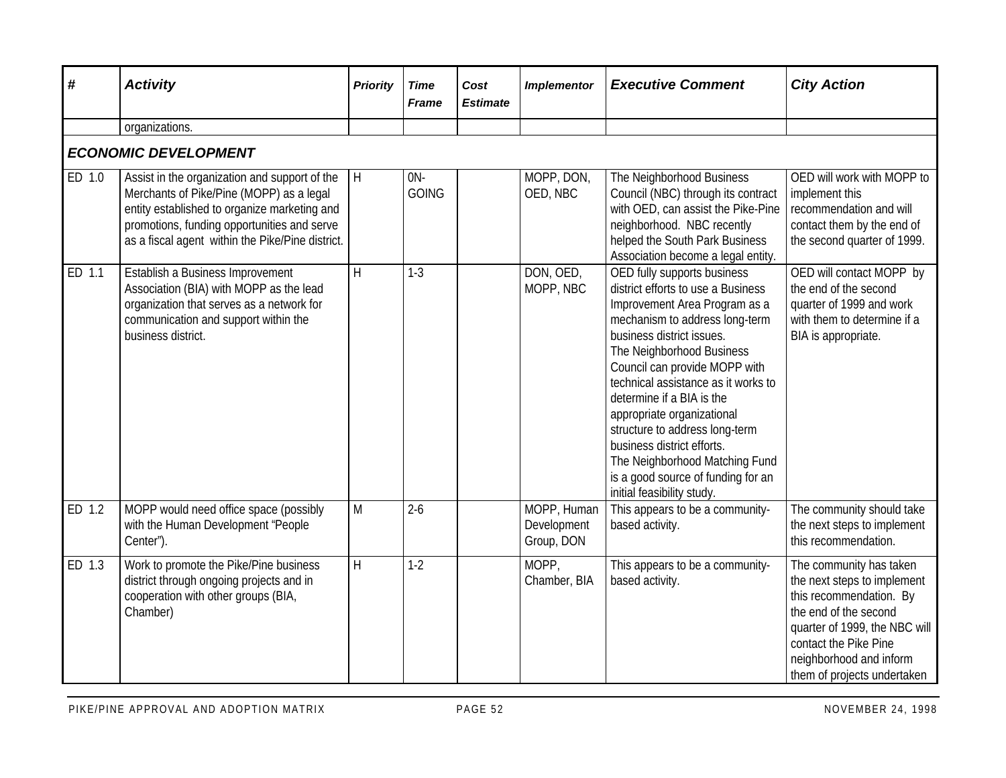| #                           | <b>Activity</b>                                                                                                                                                                                                                              | <b>Priority</b> | <b>Time</b><br><b>Frame</b> | Cost<br><b>Estimate</b> | <b>Implementor</b>                       | <b>Executive Comment</b>                                                                                                                                                                                                                                                                                                                                                                                                                                                                                | <b>City Action</b>                                                                                                                                                                                                             |  |  |  |  |
|-----------------------------|----------------------------------------------------------------------------------------------------------------------------------------------------------------------------------------------------------------------------------------------|-----------------|-----------------------------|-------------------------|------------------------------------------|---------------------------------------------------------------------------------------------------------------------------------------------------------------------------------------------------------------------------------------------------------------------------------------------------------------------------------------------------------------------------------------------------------------------------------------------------------------------------------------------------------|--------------------------------------------------------------------------------------------------------------------------------------------------------------------------------------------------------------------------------|--|--|--|--|
|                             | organizations.                                                                                                                                                                                                                               |                 |                             |                         |                                          |                                                                                                                                                                                                                                                                                                                                                                                                                                                                                                         |                                                                                                                                                                                                                                |  |  |  |  |
| <b>ECONOMIC DEVELOPMENT</b> |                                                                                                                                                                                                                                              |                 |                             |                         |                                          |                                                                                                                                                                                                                                                                                                                                                                                                                                                                                                         |                                                                                                                                                                                                                                |  |  |  |  |
| ED 1.0                      | Assist in the organization and support of the<br>Merchants of Pike/Pine (MOPP) as a legal<br>entity established to organize marketing and<br>promotions, funding opportunities and serve<br>as a fiscal agent within the Pike/Pine district. | l H             | $ON -$<br><b>GOING</b>      |                         | MOPP, DON,<br>OED, NBC                   | The Neighborhood Business<br>Council (NBC) through its contract<br>with OED, can assist the Pike-Pine<br>neighborhood. NBC recently<br>helped the South Park Business<br>Association become a legal entity.                                                                                                                                                                                                                                                                                             | OED will work with MOPP to<br>implement this<br>recommendation and will<br>contact them by the end of<br>the second quarter of 1999.                                                                                           |  |  |  |  |
| ED 1.1                      | Establish a Business Improvement<br>Association (BIA) with MOPP as the lead<br>organization that serves as a network for<br>communication and support within the<br>business district.                                                       | $\overline{H}$  | $1 - 3$                     |                         | DON, OED,<br>MOPP, NBC                   | OED fully supports business<br>district efforts to use a Business<br>Improvement Area Program as a<br>mechanism to address long-term<br>business district issues.<br>The Neighborhood Business<br>Council can provide MOPP with<br>technical assistance as it works to<br>determine if a BIA is the<br>appropriate organizational<br>structure to address long-term<br>business district efforts.<br>The Neighborhood Matching Fund<br>is a good source of funding for an<br>initial feasibility study. | OED will contact MOPP by<br>the end of the second<br>quarter of 1999 and work<br>with them to determine if a<br>BIA is appropriate.                                                                                            |  |  |  |  |
| ED 1.2                      | MOPP would need office space (possibly<br>with the Human Development "People<br>Center").                                                                                                                                                    | M               | $2-6$                       |                         | MOPP, Human<br>Development<br>Group, DON | This appears to be a community-<br>based activity.                                                                                                                                                                                                                                                                                                                                                                                                                                                      | The community should take<br>the next steps to implement<br>this recommendation.                                                                                                                                               |  |  |  |  |
| ED 1.3                      | Work to promote the Pike/Pine business<br>district through ongoing projects and in<br>cooperation with other groups (BIA,<br>Chamber)                                                                                                        | H               | $1-2$                       |                         | MOPP,<br>Chamber, BIA                    | This appears to be a community-<br>based activity.                                                                                                                                                                                                                                                                                                                                                                                                                                                      | The community has taken<br>the next steps to implement<br>this recommendation. By<br>the end of the second<br>quarter of 1999, the NBC will<br>contact the Pike Pine<br>neighborhood and inform<br>them of projects undertaken |  |  |  |  |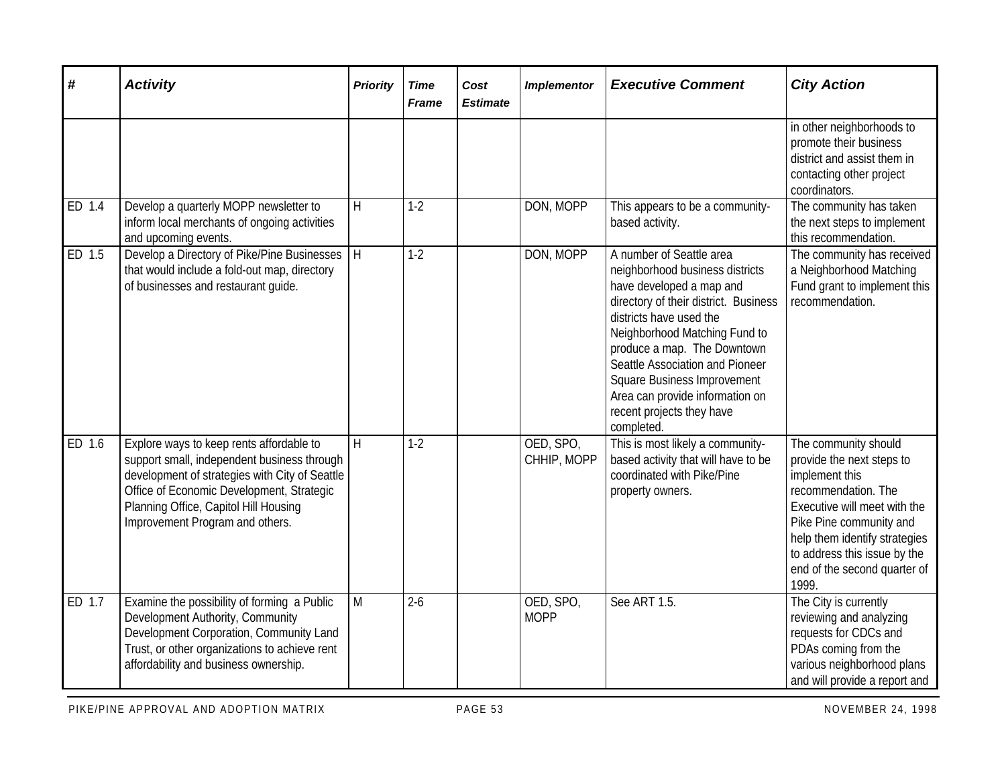| #                   | <b>Activity</b>                                                                                                                                                                                                                                                    | <b>Priority</b> | <b>Time</b><br><b>Frame</b> | Cost<br><b>Estimate</b> | <b>Implementor</b>       | <b>Executive Comment</b>                                                                                                                                                                                                                                                                                                                                                           | <b>City Action</b>                                                                                                                                                                                                                                              |
|---------------------|--------------------------------------------------------------------------------------------------------------------------------------------------------------------------------------------------------------------------------------------------------------------|-----------------|-----------------------------|-------------------------|--------------------------|------------------------------------------------------------------------------------------------------------------------------------------------------------------------------------------------------------------------------------------------------------------------------------------------------------------------------------------------------------------------------------|-----------------------------------------------------------------------------------------------------------------------------------------------------------------------------------------------------------------------------------------------------------------|
|                     |                                                                                                                                                                                                                                                                    |                 |                             |                         |                          |                                                                                                                                                                                                                                                                                                                                                                                    | in other neighborhoods to<br>promote their business<br>district and assist them in<br>contacting other project<br>coordinators.                                                                                                                                 |
| ED 1.4              | Develop a quarterly MOPP newsletter to<br>inform local merchants of ongoing activities<br>and upcoming events.                                                                                                                                                     | H               | $1-2$                       |                         | DON, MOPP                | This appears to be a community-<br>based activity.                                                                                                                                                                                                                                                                                                                                 | The community has taken<br>the next steps to implement<br>this recommendation.                                                                                                                                                                                  |
| ED $1.\overline{5}$ | Develop a Directory of Pike/Pine Businesses<br>that would include a fold-out map, directory<br>of businesses and restaurant guide.                                                                                                                                 | $\overline{H}$  | $1-2$                       |                         | DON, MOPP                | A number of Seattle area<br>neighborhood business districts<br>have developed a map and<br>directory of their district. Business<br>districts have used the<br>Neighborhood Matching Fund to<br>produce a map. The Downtown<br>Seattle Association and Pioneer<br><b>Square Business Improvement</b><br>Area can provide information on<br>recent projects they have<br>completed. | The community has received<br>a Neighborhood Matching<br>Fund grant to implement this<br>recommendation.                                                                                                                                                        |
| ED 1.6              | Explore ways to keep rents affordable to<br>support small, independent business through<br>development of strategies with City of Seattle<br>Office of Economic Development, Strategic<br>Planning Office, Capitol Hill Housing<br>Improvement Program and others. | H               | $1-2$                       |                         | OED, SPO,<br>CHHIP, MOPP | This is most likely a community-<br>based activity that will have to be<br>coordinated with Pike/Pine<br>property owners.                                                                                                                                                                                                                                                          | The community should<br>provide the next steps to<br>implement this<br>recommendation. The<br>Executive will meet with the<br>Pike Pine community and<br>help them identify strategies<br>to address this issue by the<br>end of the second quarter of<br>1999. |
| ED 1.7              | Examine the possibility of forming a Public<br>Development Authority, Community<br>Development Corporation, Community Land<br>Trust, or other organizations to achieve rent<br>affordability and business ownership.                                               | M               | $2-6$                       |                         | OED, SPO,<br><b>MOPP</b> | See ART 1.5.                                                                                                                                                                                                                                                                                                                                                                       | The City is currently<br>reviewing and analyzing<br>requests for CDCs and<br>PDAs coming from the<br>various neighborhood plans<br>and will provide a report and                                                                                                |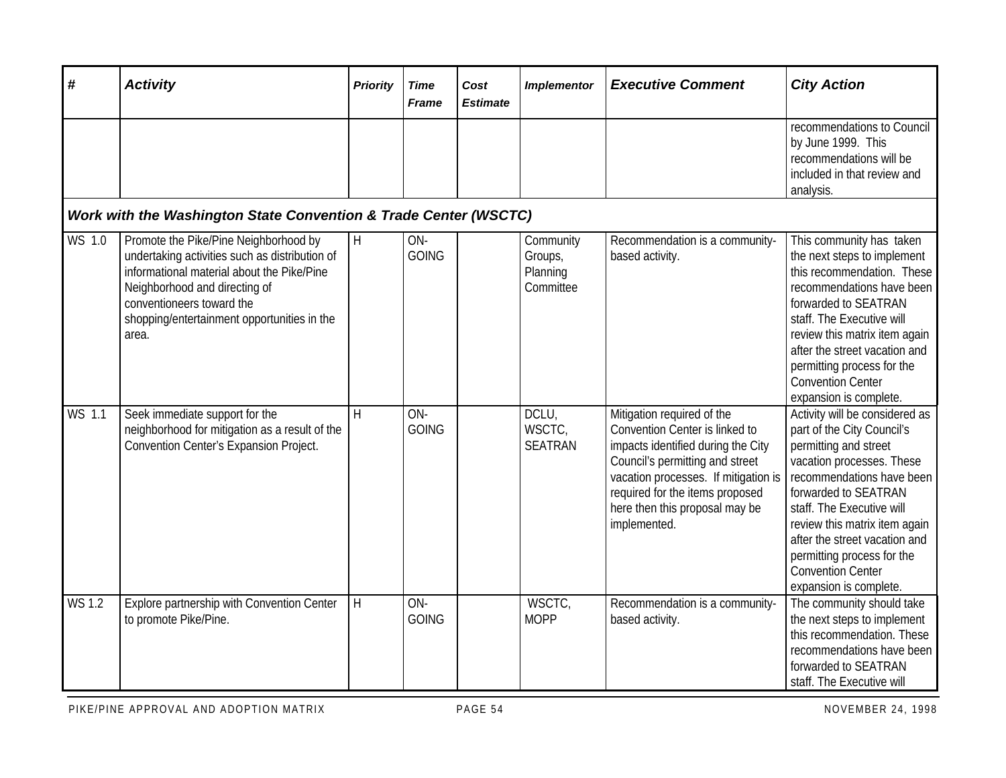| #             | <b>Activity</b>                                                                                                                                                                                                                                             | <b>Priority</b> | <b>Time</b><br><b>Frame</b> | Cost<br><b>Estimate</b> | <b>Implementor</b>                            | <b>Executive Comment</b>                                                                                                                                                                                                                                           | <b>City Action</b>                                                                                                                                                                                                                                                                                                                                         |
|---------------|-------------------------------------------------------------------------------------------------------------------------------------------------------------------------------------------------------------------------------------------------------------|-----------------|-----------------------------|-------------------------|-----------------------------------------------|--------------------------------------------------------------------------------------------------------------------------------------------------------------------------------------------------------------------------------------------------------------------|------------------------------------------------------------------------------------------------------------------------------------------------------------------------------------------------------------------------------------------------------------------------------------------------------------------------------------------------------------|
|               |                                                                                                                                                                                                                                                             |                 |                             |                         |                                               |                                                                                                                                                                                                                                                                    | recommendations to Council<br>by June 1999. This<br>recommendations will be<br>included in that review and<br>analysis.                                                                                                                                                                                                                                    |
|               | Work with the Washington State Convention & Trade Center (WSCTC)                                                                                                                                                                                            |                 |                             |                         |                                               |                                                                                                                                                                                                                                                                    |                                                                                                                                                                                                                                                                                                                                                            |
| WS 1.0        | Promote the Pike/Pine Neighborhood by<br>undertaking activities such as distribution of<br>informational material about the Pike/Pine<br>Neighborhood and directing of<br>conventioneers toward the<br>shopping/entertainment opportunities in the<br>area. | H               | ON-<br><b>GOING</b>         |                         | Community<br>Groups,<br>Planning<br>Committee | Recommendation is a community-<br>based activity.                                                                                                                                                                                                                  | This community has taken<br>the next steps to implement<br>this recommendation. These<br>recommendations have been<br>forwarded to SEATRAN<br>staff. The Executive will<br>review this matrix item again<br>after the street vacation and<br>permitting process for the<br><b>Convention Center</b><br>expansion is complete.                              |
| WS 1.1        | Seek immediate support for the<br>neighborhood for mitigation as a result of the<br>Convention Center's Expansion Project.                                                                                                                                  | H               | ON-<br><b>GOING</b>         |                         | DCLU,<br>WSCTC,<br><b>SEATRAN</b>             | Mitigation required of the<br>Convention Center is linked to<br>impacts identified during the City<br>Council's permitting and street<br>vacation processes. If mitigation is<br>required for the items proposed<br>here then this proposal may be<br>implemented. | Activity will be considered as<br>part of the City Council's<br>permitting and street<br>vacation processes. These<br>recommendations have been<br>forwarded to SEATRAN<br>staff. The Executive will<br>review this matrix item again<br>after the street vacation and<br>permitting process for the<br><b>Convention Center</b><br>expansion is complete. |
| <b>WS 1.2</b> | Explore partnership with Convention Center<br>to promote Pike/Pine.                                                                                                                                                                                         | H               | ON-<br><b>GOING</b>         |                         | WSCTC,<br><b>MOPP</b>                         | Recommendation is a community-<br>based activity.                                                                                                                                                                                                                  | The community should take<br>the next steps to implement<br>this recommendation. These<br>recommendations have been<br>forwarded to SEATRAN<br>staff. The Executive will                                                                                                                                                                                   |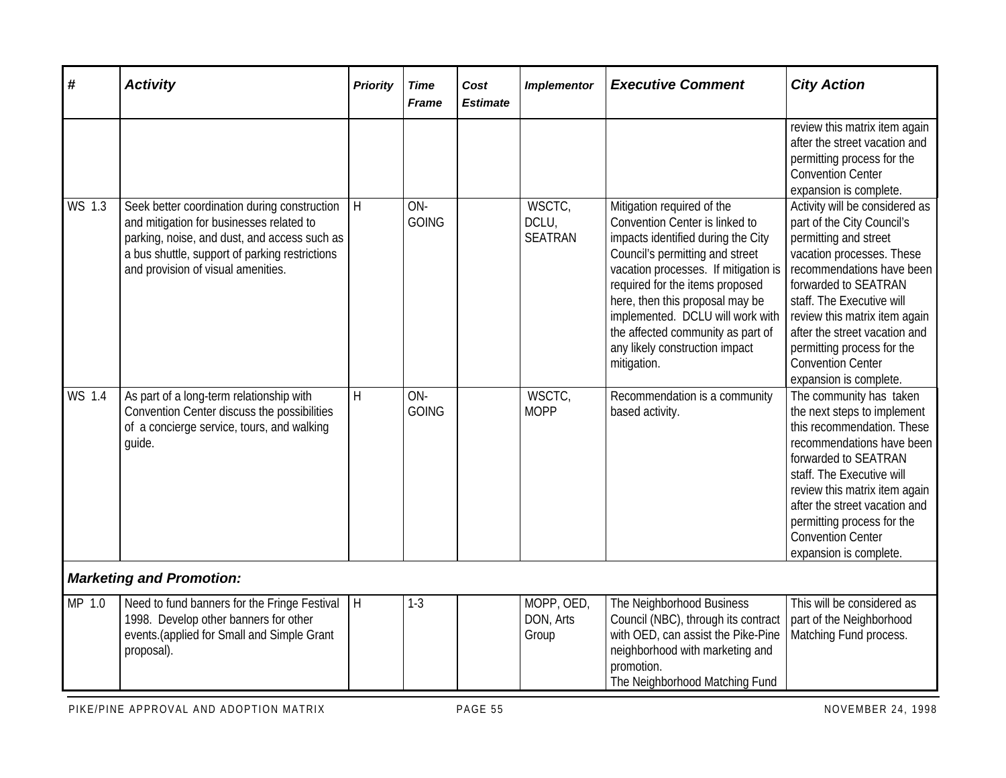| #                   | <b>Activity</b>                                                                                                                                                                                                                  | <b>Priority</b> | <b>Time</b><br><b>Frame</b> | Cost<br><b>Estimate</b> | <b>Implementor</b>                | <b>Executive Comment</b>                                                                                                                                                                                                                                                                                                                                                      | <b>City Action</b>                                                                                                                                                                                                                                                                                                                                         |
|---------------------|----------------------------------------------------------------------------------------------------------------------------------------------------------------------------------------------------------------------------------|-----------------|-----------------------------|-------------------------|-----------------------------------|-------------------------------------------------------------------------------------------------------------------------------------------------------------------------------------------------------------------------------------------------------------------------------------------------------------------------------------------------------------------------------|------------------------------------------------------------------------------------------------------------------------------------------------------------------------------------------------------------------------------------------------------------------------------------------------------------------------------------------------------------|
|                     |                                                                                                                                                                                                                                  |                 |                             |                         |                                   |                                                                                                                                                                                                                                                                                                                                                                               | review this matrix item again<br>after the street vacation and<br>permitting process for the<br><b>Convention Center</b><br>expansion is complete.                                                                                                                                                                                                         |
| $\overline{W}S$ 1.3 | Seek better coordination during construction<br>and mitigation for businesses related to<br>parking, noise, and dust, and access such as<br>a bus shuttle, support of parking restrictions<br>and provision of visual amenities. | H               | ON-<br><b>GOING</b>         |                         | WSCTC,<br>DCLU,<br><b>SEATRAN</b> | Mitigation required of the<br>Convention Center is linked to<br>impacts identified during the City<br>Council's permitting and street<br>vacation processes. If mitigation is<br>required for the items proposed<br>here, then this proposal may be<br>implemented. DCLU will work with<br>the affected community as part of<br>any likely construction impact<br>mitigation. | Activity will be considered as<br>part of the City Council's<br>permitting and street<br>vacation processes. These<br>recommendations have been<br>forwarded to SEATRAN<br>staff. The Executive will<br>review this matrix item again<br>after the street vacation and<br>permitting process for the<br><b>Convention Center</b><br>expansion is complete. |
| <b>WS 1.4</b>       | As part of a long-term relationship with<br>Convention Center discuss the possibilities<br>of a concierge service, tours, and walking<br>guide.                                                                                  | H               | ON-<br><b>GOING</b>         |                         | WSCTC,<br><b>MOPP</b>             | Recommendation is a community<br>based activity.                                                                                                                                                                                                                                                                                                                              | The community has taken<br>the next steps to implement<br>this recommendation. These<br>recommendations have been<br>forwarded to SEATRAN<br>staff. The Executive will<br>review this matrix item again<br>after the street vacation and<br>permitting process for the<br><b>Convention Center</b><br>expansion is complete.                               |
|                     | <b>Marketing and Promotion:</b>                                                                                                                                                                                                  |                 |                             |                         |                                   |                                                                                                                                                                                                                                                                                                                                                                               |                                                                                                                                                                                                                                                                                                                                                            |
| MP 1.0              | Need to fund banners for the Fringe Festival<br>1998. Develop other banners for other<br>events.(applied for Small and Simple Grant<br>proposal).                                                                                | H               | $1-3$                       |                         | MOPP, OED,<br>DON, Arts<br>Group  | The Neighborhood Business<br>Council (NBC), through its contract<br>with OED, can assist the Pike-Pine<br>neighborhood with marketing and<br>promotion.<br>The Neighborhood Matching Fund                                                                                                                                                                                     | This will be considered as<br>part of the Neighborhood<br>Matching Fund process.                                                                                                                                                                                                                                                                           |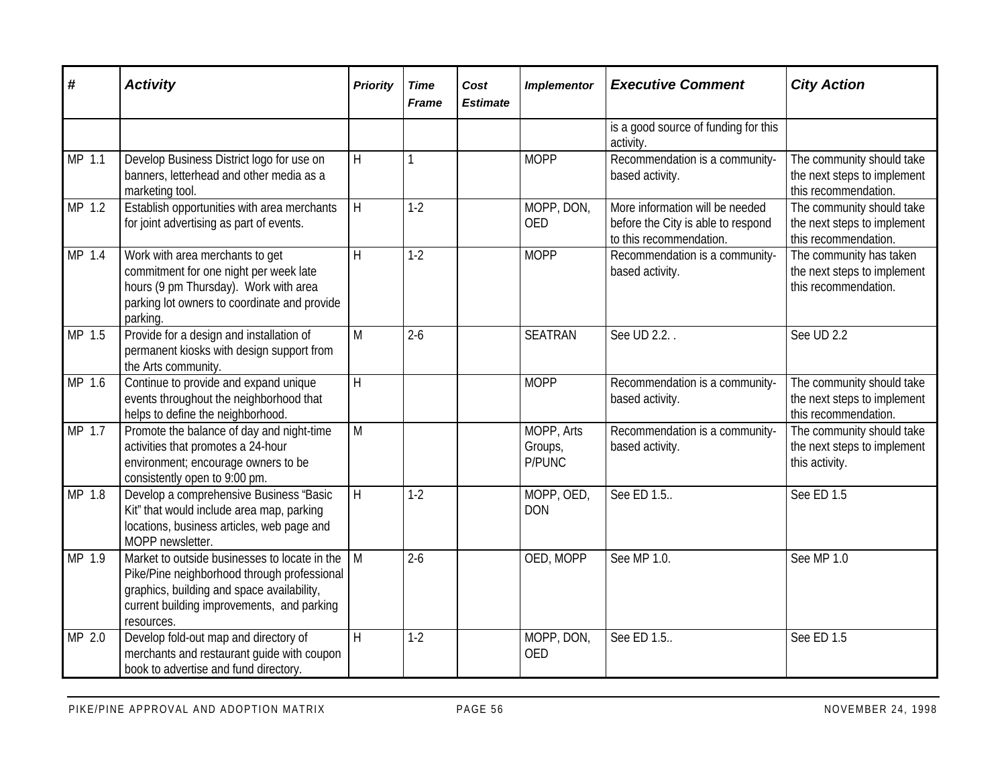| $\boldsymbol{\#}$ | <b>Activity</b>                                                                                                                                                                                        | <b>Priority</b>         | <b>Time</b><br>Frame | Cost<br><b>Estimate</b> | <b>Implementor</b>                     | <b>Executive Comment</b>                                                                         | <b>City Action</b>                                                               |
|-------------------|--------------------------------------------------------------------------------------------------------------------------------------------------------------------------------------------------------|-------------------------|----------------------|-------------------------|----------------------------------------|--------------------------------------------------------------------------------------------------|----------------------------------------------------------------------------------|
|                   |                                                                                                                                                                                                        |                         |                      |                         |                                        | is a good source of funding for this<br>activity.                                                |                                                                                  |
| MP 1.1            | Develop Business District logo for use on<br>banners, letterhead and other media as a<br>marketing tool.                                                                                               | H                       | 1                    |                         | <b>MOPP</b>                            | Recommendation is a community-<br>based activity.                                                | The community should take<br>the next steps to implement<br>this recommendation. |
| MP 1.2            | Establish opportunities with area merchants<br>for joint advertising as part of events.                                                                                                                | H                       | $1-2$                |                         | MOPP, DON,<br><b>OED</b>               | More information will be needed<br>before the City is able to respond<br>to this recommendation. | The community should take<br>the next steps to implement<br>this recommendation. |
| $MP$ 1.4          | Work with area merchants to get<br>commitment for one night per week late<br>hours (9 pm Thursday). Work with area<br>parking lot owners to coordinate and provide<br>parking.                         | $\overline{H}$          | $1-2$                |                         | <b>MOPP</b>                            | Recommendation is a community-<br>based activity.                                                | The community has taken<br>the next steps to implement<br>this recommendation.   |
| MP 1.5            | Provide for a design and installation of<br>permanent kiosks with design support from<br>the Arts community.                                                                                           | M                       | $2 - 6$              |                         | <b>SEATRAN</b>                         | See UD 2.2.                                                                                      | See UD 2.2                                                                       |
| MP 1.6            | Continue to provide and expand unique<br>events throughout the neighborhood that<br>helps to define the neighborhood.                                                                                  | H                       |                      |                         | <b>MOPP</b>                            | Recommendation is a community-<br>based activity.                                                | The community should take<br>the next steps to implement<br>this recommendation. |
| MP 1.7            | Promote the balance of day and night-time<br>activities that promotes a 24-hour<br>environment; encourage owners to be<br>consistently open to 9:00 pm.                                                | M                       |                      |                         | MOPP, Arts<br>Groups,<br><b>P/PUNC</b> | Recommendation is a community-<br>based activity.                                                | The community should take<br>the next steps to implement<br>this activity.       |
| MP 1.8            | Develop a comprehensive Business "Basic<br>Kit" that would include area map, parking<br>locations, business articles, web page and<br>MOPP newsletter.                                                 | H                       | $1-2$                |                         | MOPP, OED,<br><b>DON</b>               | See ED 1.5                                                                                       | See ED 1.5                                                                       |
| MP 1.9            | Market to outside businesses to locate in the<br>Pike/Pine neighborhood through professional<br>graphics, building and space availability,<br>current building improvements, and parking<br>resources. | M                       | $2 - 6$              |                         | OED, MOPP                              | See MP 1.0.                                                                                      | See MP 1.0                                                                       |
| MP 2.0            | Develop fold-out map and directory of<br>merchants and restaurant guide with coupon<br>book to advertise and fund directory.                                                                           | $\overline{\mathsf{H}}$ | $1 - 2$              |                         | MOPP, DON,<br><b>OED</b>               | See ED 1.5                                                                                       | See ED 1.5                                                                       |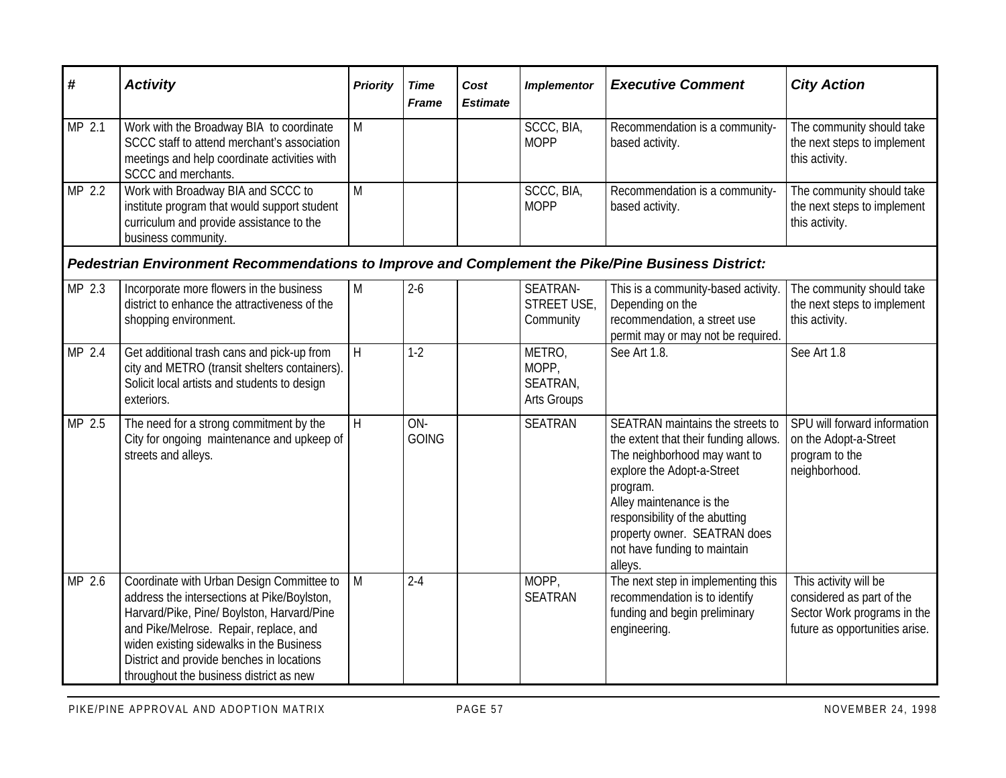| #      | <b>Activity</b>                                                                                                                                                                                                                                                                                                      | <b>Priority</b> | <b>Time</b><br><b>Frame</b> | Cost<br><b>Estimate</b> | <b>Implementor</b>                         | <b>Executive Comment</b>                                                                                                                                                                                                                                                                     | <b>City Action</b>                                                                                                  |
|--------|----------------------------------------------------------------------------------------------------------------------------------------------------------------------------------------------------------------------------------------------------------------------------------------------------------------------|-----------------|-----------------------------|-------------------------|--------------------------------------------|----------------------------------------------------------------------------------------------------------------------------------------------------------------------------------------------------------------------------------------------------------------------------------------------|---------------------------------------------------------------------------------------------------------------------|
| MP 2.1 | Work with the Broadway BIA to coordinate<br>SCCC staff to attend merchant's association<br>meetings and help coordinate activities with<br>SCCC and merchants.                                                                                                                                                       | M               |                             |                         | SCCC, BIA,<br><b>MOPP</b>                  | Recommendation is a community-<br>based activity.                                                                                                                                                                                                                                            | The community should take<br>the next steps to implement<br>this activity.                                          |
| MP 2.2 | Work with Broadway BIA and SCCC to<br>institute program that would support student<br>curriculum and provide assistance to the<br>business community.                                                                                                                                                                | $\overline{M}$  |                             |                         | SCCC, BIA,<br><b>MOPP</b>                  | Recommendation is a community-<br>based activity.                                                                                                                                                                                                                                            | The community should take<br>the next steps to implement<br>this activity.                                          |
|        | Pedestrian Environment Recommendations to Improve and Complement the Pike/Pine Business District:                                                                                                                                                                                                                    |                 |                             |                         |                                            |                                                                                                                                                                                                                                                                                              |                                                                                                                     |
| MP 2.3 | Incorporate more flowers in the business<br>district to enhance the attractiveness of the<br>shopping environment.                                                                                                                                                                                                   | M               | $2 - 6$                     |                         | SEATRAN-<br>STREET USE,<br>Community       | This is a community-based activity.<br>Depending on the<br>recommendation, a street use<br>permit may or may not be required.                                                                                                                                                                | The community should take<br>the next steps to implement<br>this activity.                                          |
| MP 2.4 | Get additional trash cans and pick-up from<br>city and METRO (transit shelters containers).<br>Solicit local artists and students to design<br>exteriors.                                                                                                                                                            | H               | $1-2$                       |                         | METRO,<br>MOPP,<br>SEATRAN,<br>Arts Groups | See Art 1.8.                                                                                                                                                                                                                                                                                 | See Art 1.8                                                                                                         |
| MP 2.5 | The need for a strong commitment by the<br>City for ongoing maintenance and upkeep of<br>streets and alleys.                                                                                                                                                                                                         | H               | ON-<br><b>GOING</b>         |                         | <b>SEATRAN</b>                             | SEATRAN maintains the streets to<br>the extent that their funding allows.<br>The neighborhood may want to<br>explore the Adopt-a-Street<br>program.<br>Alley maintenance is the<br>responsibility of the abutting<br>property owner. SEATRAN does<br>not have funding to maintain<br>alleys. | SPU will forward information<br>on the Adopt-a-Street<br>program to the<br>neighborhood.                            |
| MP 2.6 | Coordinate with Urban Design Committee to<br>address the intersections at Pike/Boylston,<br>Harvard/Pike, Pine/ Boylston, Harvard/Pine<br>and Pike/Melrose. Repair, replace, and<br>widen existing sidewalks in the Business<br>District and provide benches in locations<br>throughout the business district as new | M               | $2 - 4$                     |                         | MOPP,<br><b>SEATRAN</b>                    | The next step in implementing this<br>recommendation is to identify<br>funding and begin preliminary<br>engineering.                                                                                                                                                                         | This activity will be<br>considered as part of the<br>Sector Work programs in the<br>future as opportunities arise. |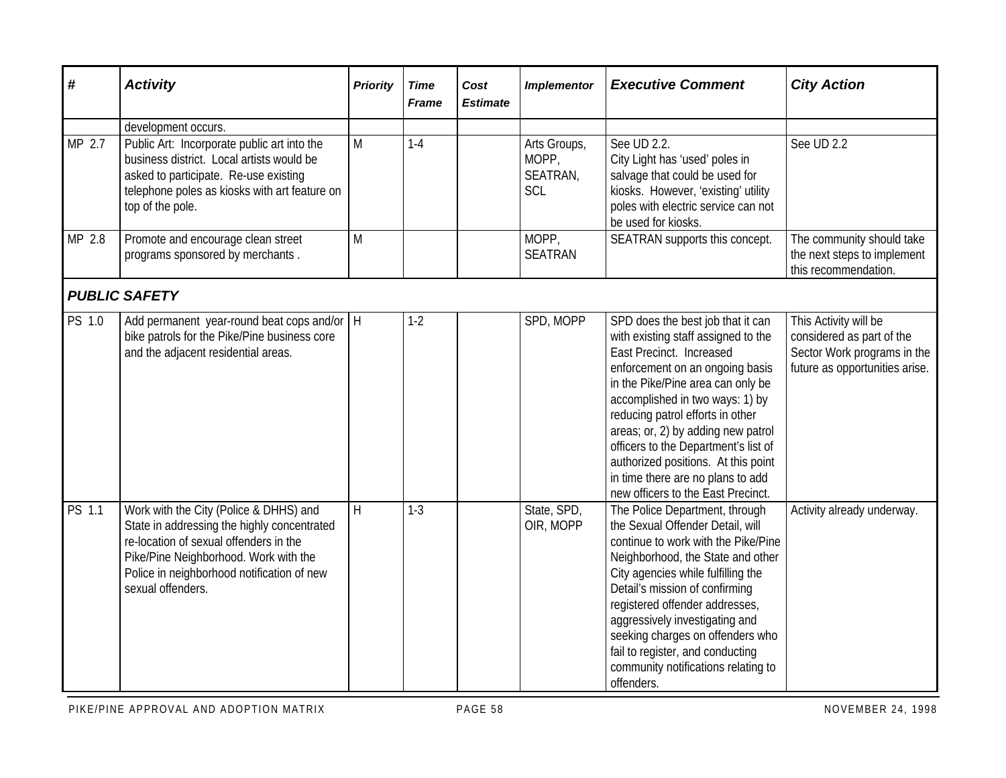| #                   | <b>Activity</b>                                                                                                                                                                                                                             | <b>Priority</b> | <b>Time</b><br><b>Frame</b> | Cost<br><b>Estimate</b> | <b>Implementor</b>                       | <b>Executive Comment</b>                                                                                                                                                                                                                                                                                                                                                                                                                            | <b>City Action</b>                                                                                                  |
|---------------------|---------------------------------------------------------------------------------------------------------------------------------------------------------------------------------------------------------------------------------------------|-----------------|-----------------------------|-------------------------|------------------------------------------|-----------------------------------------------------------------------------------------------------------------------------------------------------------------------------------------------------------------------------------------------------------------------------------------------------------------------------------------------------------------------------------------------------------------------------------------------------|---------------------------------------------------------------------------------------------------------------------|
|                     | development occurs.                                                                                                                                                                                                                         |                 |                             |                         |                                          |                                                                                                                                                                                                                                                                                                                                                                                                                                                     |                                                                                                                     |
| MP 2.7              | Public Art: Incorporate public art into the<br>business district. Local artists would be<br>asked to participate. Re-use existing<br>telephone poles as kiosks with art feature on<br>top of the pole.                                      | M               | $1-4$                       |                         | Arts Groups,<br>MOPP,<br>SEATRAN,<br>SCL | See UD 2.2.<br>City Light has 'used' poles in<br>salvage that could be used for<br>kiosks. However, 'existing' utility<br>poles with electric service can not<br>be used for kiosks.                                                                                                                                                                                                                                                                | See UD 2.2                                                                                                          |
| MP 2.8              | Promote and encourage clean street<br>programs sponsored by merchants.                                                                                                                                                                      | M               |                             |                         | MOPP,<br><b>SEATRAN</b>                  | SEATRAN supports this concept.                                                                                                                                                                                                                                                                                                                                                                                                                      | The community should take<br>the next steps to implement<br>this recommendation.                                    |
|                     | <b>PUBLIC SAFETY</b>                                                                                                                                                                                                                        |                 |                             |                         |                                          |                                                                                                                                                                                                                                                                                                                                                                                                                                                     |                                                                                                                     |
| $\overline{PS}$ 1.0 | Add permanent year-round beat cops and/or   H<br>bike patrols for the Pike/Pine business core<br>and the adjacent residential areas.                                                                                                        |                 | $1-2$                       |                         | SPD, MOPP                                | SPD does the best job that it can<br>with existing staff assigned to the<br>East Precinct. Increased<br>enforcement on an ongoing basis<br>in the Pike/Pine area can only be<br>accomplished in two ways: 1) by<br>reducing patrol efforts in other<br>areas; or, 2) by adding new patrol<br>officers to the Department's list of<br>authorized positions. At this point<br>in time there are no plans to add<br>new officers to the East Precinct. | This Activity will be<br>considered as part of the<br>Sector Work programs in the<br>future as opportunities arise. |
| PS 1.1              | Work with the City (Police & DHHS) and<br>State in addressing the highly concentrated<br>re-location of sexual offenders in the<br>Pike/Pine Neighborhood. Work with the<br>Police in neighborhood notification of new<br>sexual offenders. | H               | $1-3$                       |                         | State, SPD,<br>OIR, MOPP                 | The Police Department, through<br>the Sexual Offender Detail, will<br>continue to work with the Pike/Pine<br>Neighborhood, the State and other<br>City agencies while fulfilling the<br>Detail's mission of confirming<br>registered offender addresses,<br>aggressively investigating and<br>seeking charges on offenders who<br>fail to register, and conducting<br>community notifications relating to<br>offenders.                             | Activity already underway.                                                                                          |